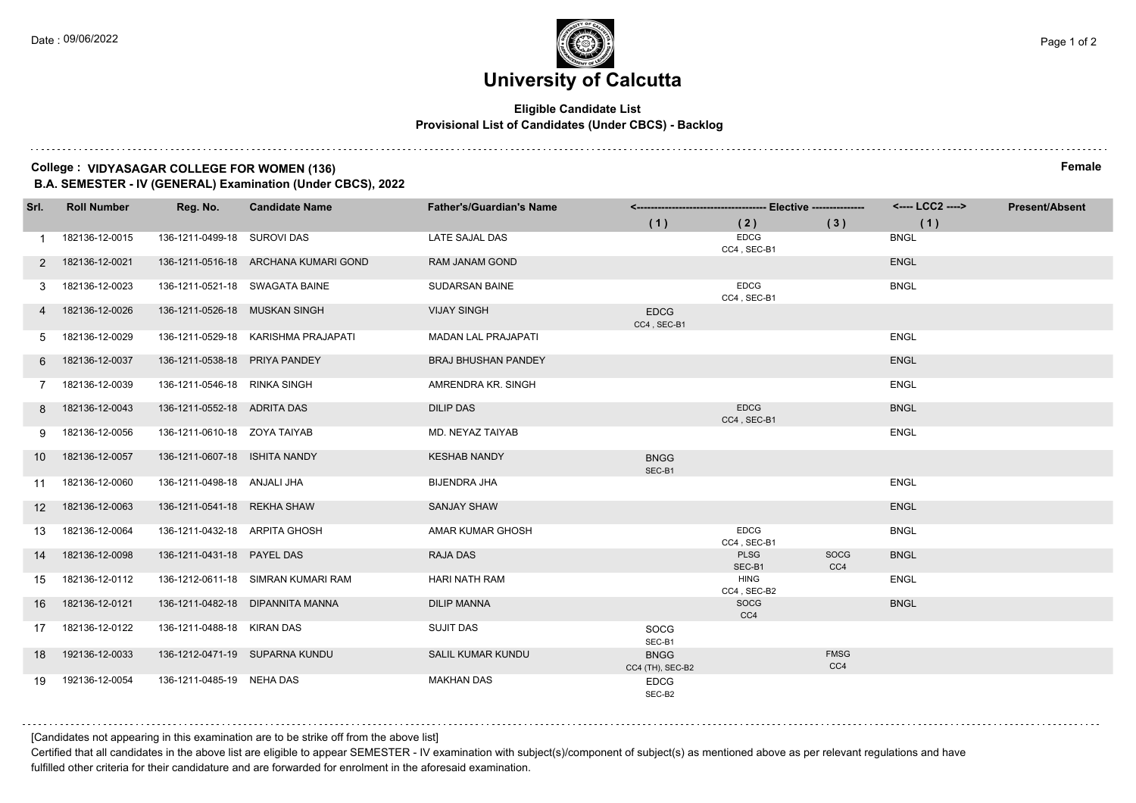#### **Eligible Candidate List Provisional List of Candidates (Under CBCS) - Backlog**

#### **College : VIDYASAGAR COLLEGE FOR WOMEN (136) Female B.A. SEMESTER - IV (GENERAL) Examination (Under CBCS), 2022**

**Srl. Roll Number Reg. No. Candidate Name Father's/Guardian's Name <------------------------------------- Elective --------------- <---- LCC2 ----> ( 1 ) ( 2 ) ( 3 ) ( 1 ) Present/Absent** 1 182136-12-0015 136-1211-0499-18 SUROVI DAS LATE SAJAL DAS EDCG CC4 , SEC-B1 BNGL 2 182136-12-0021 136-1211-0516-18 ARCHANA KUMARI GOND RAM JANAM GOND ENGL 3 182136-12-0023 136-1211-0521-18 SWAGATA BAINE SUDARSAN BAINE EDCG CC4 , SEC-B1 **BNGL**  4 182136-12-0026 136-1211-0526-18 MUSKAN SINGH VIJAY SINGH EDCG  $CC4$ ,  $SEC-B'$  5 182136-12-0029 136-1211-0529-18 KARISHMA PRAJAPATI MADAN LAL PRAJAPATI ENGL 6 182136-12-0037 136-1211-0538-18 PRIYA PANDEY BRAJ BHUSHAN PANDEY ENGL 7 182136-12-0039 136-1211-0546-18 RINKA SINGH AMRENDRA KR. SINGH ENGL 8 182136-12-0043 136-1211-0552-18 ADRITA DAS DILIP DAS EDCG CC4 , SEC-B1 BNGL 9 182136-12-0056 136-1211-0610-18 ZOYA TAIYAB MD. NEYAZ TAIYAB ENGL 10 182136-12-0057 136-1211-0607-18 ISHITA NANDY KESHAB NANDY BNGG SEC-B1 11 182136-12-0060 136-1211-0498-18 ANJALI JHA BIJENDRA JHA ENGL 12 182136-12-0063 136-1211-0541-18 REKHA SHAW SANJAY SHAW ENGL 13 182136-12-0064 136-1211-0432-18 ARPITA GHOSH AMAR KUMAR GHOSH EDCG CC4 , SEC-B1 BNGL 14 182136-12-0098 136-1211-0431-18 PAYEL DAS RAJA DAS PLSG SEC-B1 SOCG C<sub>C</sub>4 **BNGL**  15 182136-12-0112 136-1212-0611-18 SIMRAN KUMARI RAM HARI NATH RAM HING CC4 , SEC-B2 ENGL 16 182136-12-0121 136-1211-0482-18 DIPANNITA MANNA DILIP MANNA SOCG C<sub>C</sub>4 BNGL 17 182136-12-0122 136-1211-0488-18 KIRAN DAS SUJIT DAS SOCG SEC-B1 18 192136-12-0033 136-1212-0471-19 SUPARNA KUNDU SALIL KUMAR KUNDU BNGG CC4 (TH), SEC-B2 FMSG CC<sub>4</sub> 19 192136-12-0054 136-1211-0485-19 NEHA DAS MAKHAN DAS EDCG SEC-B2

[Candidates not appearing in this examination are to be strike off from the above list]

Certified that all candidates in the above list are eligible to appear SEMESTER - IV examination with subject(s)/component of subject(s) as mentioned above as per relevant regulations and have fulfilled other criteria for their candidature and are forwarded for enrolment in the aforesaid examination.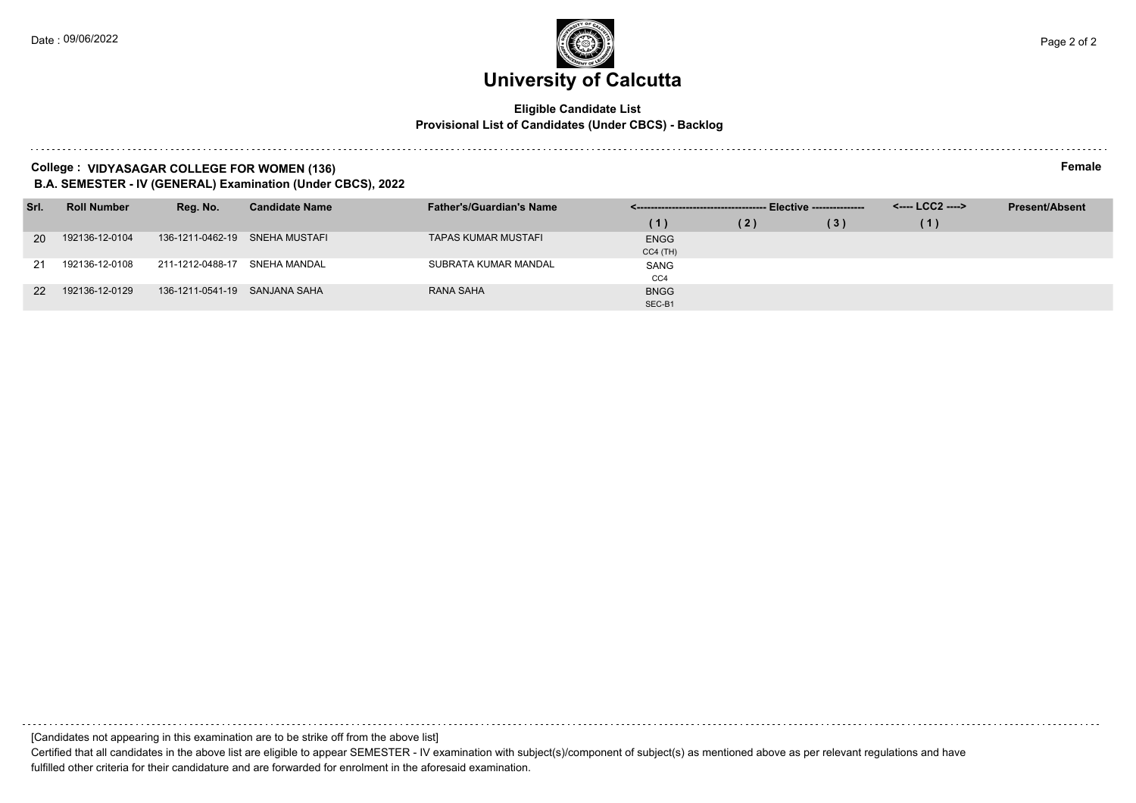#### **Eligible Candidate List Provisional List of Candidates (Under CBCS) - Backlog**

#### **College : VIDYASAGAR COLLEGE FOR WOMEN (136) Female B.A. SEMESTER - IV (GENERAL) Examination (Under CBCS), 2022**

| Srl.      | <b>Roll Number</b> | Reg. No.                       | <b>Candidate Name</b> | <b>Father's/Guardian's Name</b> |                 |     |     | <---- LCC2 ----> | <b>Present/Absent</b> |
|-----------|--------------------|--------------------------------|-----------------------|---------------------------------|-----------------|-----|-----|------------------|-----------------------|
|           |                    |                                |                       |                                 | (1)             | (2) | (3) | (1)              |                       |
| <b>20</b> | 192136-12-0104     | 136-1211-0462-19 SNEHA MUSTAFI |                       | <b>TAPAS KUMAR MUSTAFI</b>      | <b>ENGG</b>     |     |     |                  |                       |
|           |                    |                                |                       |                                 | $CC4$ (TH)      |     |     |                  |                       |
| 21        | 192136-12-0108     | 211-1212-0488-17               | SNEHA MANDAL          | SUBRATA KUMAR MANDAL            | SANG            |     |     |                  |                       |
|           |                    |                                |                       |                                 | CC <sub>4</sub> |     |     |                  |                       |
| <b>22</b> | 192136-12-0129     | 136-1211-0541-19 SANJANA SAHA  |                       | RANA SAHA                       | <b>BNGG</b>     |     |     |                  |                       |
|           |                    |                                |                       |                                 | SEC-B1          |     |     |                  |                       |

[Candidates not appearing in this examination are to be strike off from the above list]

Certified that all candidates in the above list are eligible to appear SEMESTER - IV examination with subject(s)/component of subject(s) as mentioned above as per relevant regulations and have fulfilled other criteria for their candidature and are forwarded for enrolment in the aforesaid examination.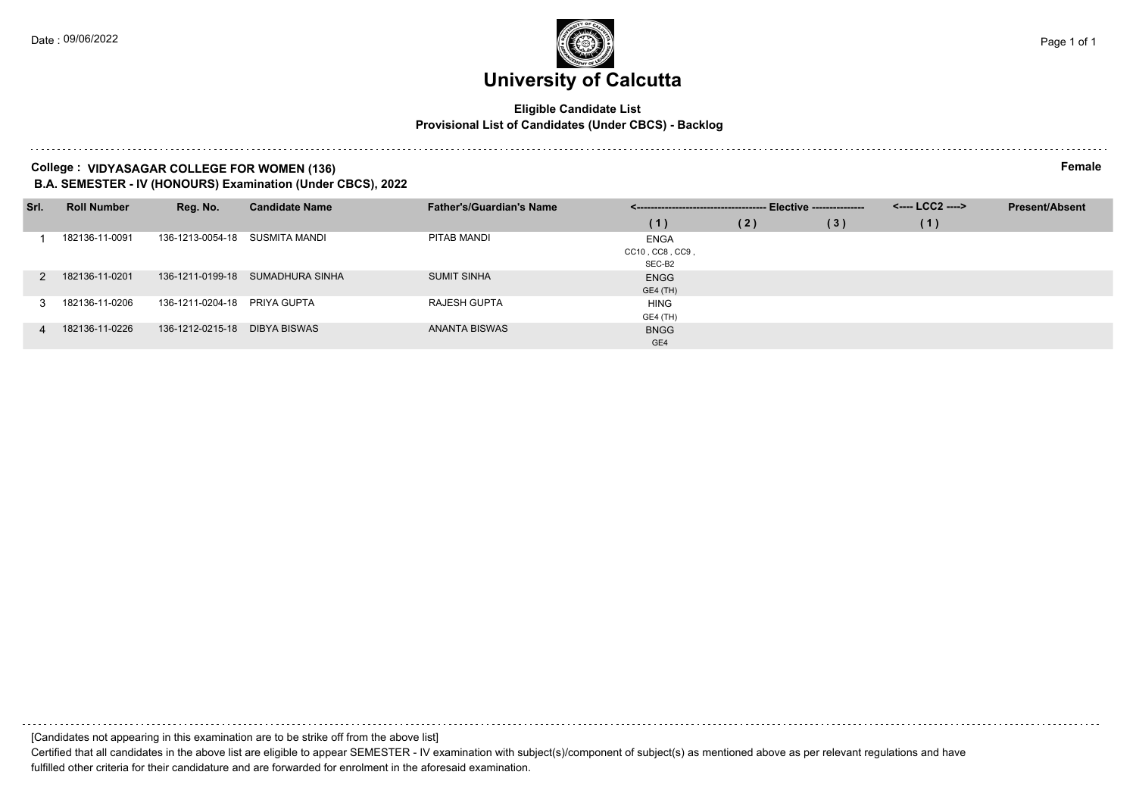#### **Eligible Candidate List Provisional List of Candidates (Under CBCS) - Backlog**

### **College : VIDYASAGAR COLLEGE FOR WOMEN (136) Female**

**B.A. SEMESTER - IV (HONOURS) Examination (Under CBCS), 2022**

| Srl. | <b>Roll Number</b> | Reg. No.                     | <b>Candidate Name</b>            | <b>Father's/Guardian's Name</b> | ---- Elective --------------- |     |     | <---- LCC2 ----> | <b>Present/Absent</b> |
|------|--------------------|------------------------------|----------------------------------|---------------------------------|-------------------------------|-----|-----|------------------|-----------------------|
|      |                    |                              |                                  |                                 | (1)                           | (2) | (3) | (1)              |                       |
|      | 182136-11-0091     | 136-1213-0054-18             | SUSMITA MANDI                    | PITAB MANDI                     | <b>ENGA</b>                   |     |     |                  |                       |
|      |                    |                              |                                  |                                 | CC10, CC8, CC9,               |     |     |                  |                       |
|      |                    |                              |                                  |                                 | SEC-B2                        |     |     |                  |                       |
|      | 182136-11-0201     |                              | 136-1211-0199-18 SUMADHURA SINHA | <b>SUMIT SINHA</b>              | <b>ENGG</b>                   |     |     |                  |                       |
|      |                    |                              |                                  |                                 | GE4 (TH)                      |     |     |                  |                       |
|      | 182136-11-0206     | 136-1211-0204-18 PRIYA GUPTA |                                  | <b>RAJESH GUPTA</b>             | <b>HING</b>                   |     |     |                  |                       |
|      |                    |                              |                                  |                                 | GE4 (TH)                      |     |     |                  |                       |
|      | 182136-11-0226     | 136-1212-0215-18             | DIBYA BISWAS                     | ANANTA BISWAS                   | <b>BNGG</b>                   |     |     |                  |                       |
|      |                    |                              |                                  |                                 | GE4                           |     |     |                  |                       |

[Candidates not appearing in this examination are to be strike off from the above list]

Certified that all candidates in the above list are eligible to appear SEMESTER - IV examination with subject(s)/component of subject(s) as mentioned above as per relevant regulations and have fulfilled other criteria for their candidature and are forwarded for enrolment in the aforesaid examination.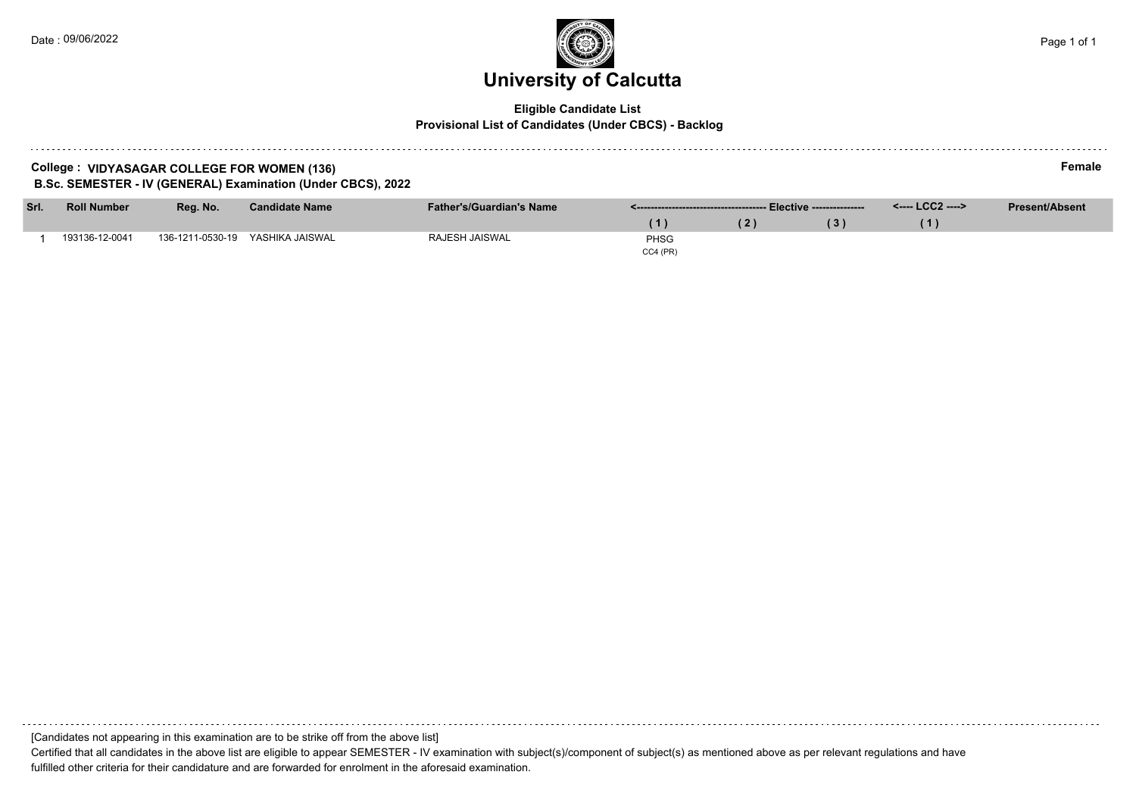### **University of Calcutta**  Date : 09/06/2022 Page 1 of 1

### **Eligible Candidate List Provisional List of Candidates (Under CBCS) - Backlog**

| College:                                                     | ∙emale |
|--------------------------------------------------------------|--------|
| : VIDYASAGAR COLLEGE FOR WOMEN (136)                         |        |
| B.Sc. SEMESTER - IV (GENERAL) Examination (Under CBCS), 2022 |        |

| Srl. | <b>Roll Number</b> | Reg. No.         | <b>Candidate Name</b> | <b>Father's/Guardian's Name</b> |             | Summan manual Elective --------------- | <----- LCC2 ----> | <b>Present/Absent</b> |
|------|--------------------|------------------|-----------------------|---------------------------------|-------------|----------------------------------------|-------------------|-----------------------|
|      |                    |                  |                       |                                 |             |                                        |                   |                       |
|      | 193136-12-0041     | 136-1211-0530-19 | YASHIKA JAISWAL       | RAJESH JAISWAL                  | <b>PHSG</b> |                                        |                   |                       |
|      |                    |                  |                       |                                 | CC4 (PR)    |                                        |                   |                       |

[Candidates not appearing in this examination are to be strike off from the above list]

Certified that all candidates in the above list are eligible to appear SEMESTER - IV examination with subject(s)/component of subject(s) as mentioned above as per relevant regulations and have fulfilled other criteria for their candidature and are forwarded for enrolment in the aforesaid examination.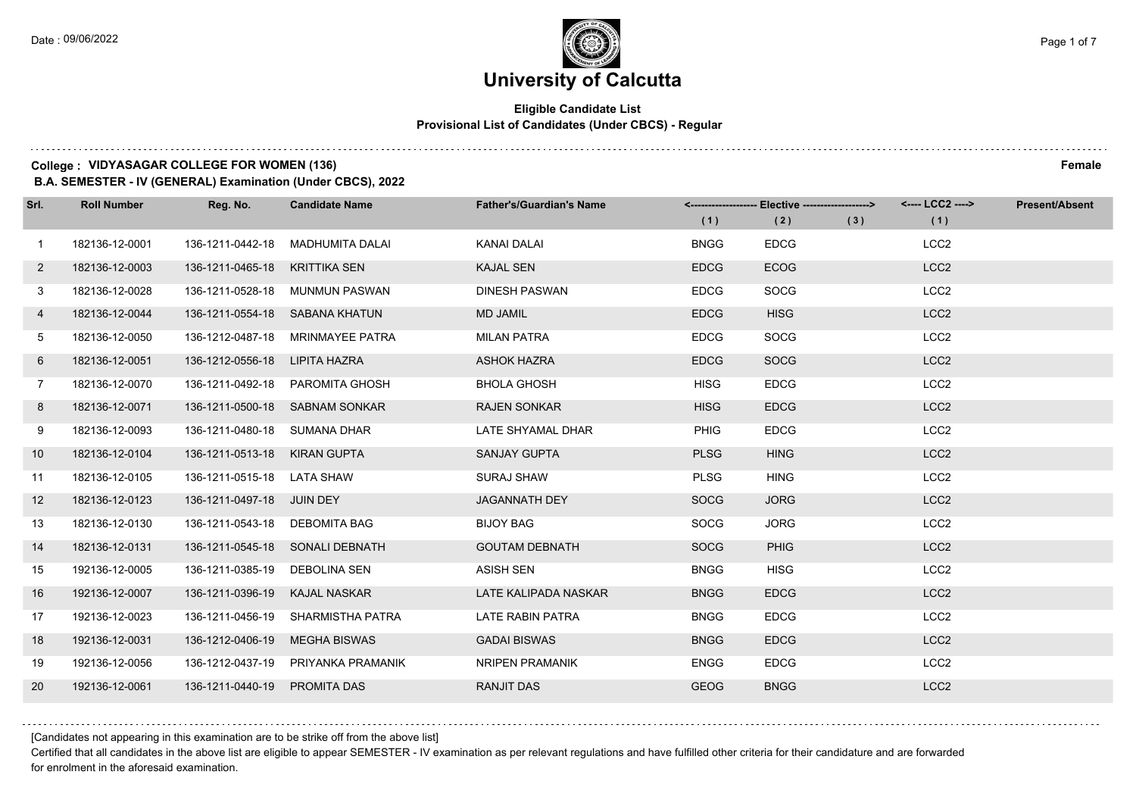### **Eligible Candidate List Provisional List of Candidates (Under CBCS) - Regular**

### **College : VIDYASAGAR COLLEGE FOR WOMEN (136) Female**

**B.A. SEMESTER - IV (GENERAL) Examination (Under CBCS), 2022**

| Srl.           | <b>Roll Number</b> | Reg. No.                      | <b>Candidate Name</b>              | <b>Father's/Guardian's Name</b> | (1)         | <-------------------- Elective -------------------><br>(2) | (3) | <---- LCC2 ----><br>(1) | <b>Present/Absent</b> |
|----------------|--------------------|-------------------------------|------------------------------------|---------------------------------|-------------|------------------------------------------------------------|-----|-------------------------|-----------------------|
| $\mathbf{1}$   | 182136-12-0001     | 136-1211-0442-18              | MADHUMITA DALAI                    | KANAI DALAI                     | <b>BNGG</b> | <b>EDCG</b>                                                |     | LCC <sub>2</sub>        |                       |
| $2^{\circ}$    | 182136-12-0003     | 136-1211-0465-18              | <b>KRITTIKA SEN</b>                | <b>KAJAL SEN</b>                | <b>EDCG</b> | <b>ECOG</b>                                                |     | LCC <sub>2</sub>        |                       |
| 3              | 182136-12-0028     |                               | 136-1211-0528-18 MUNMUN PASWAN     | <b>DINESH PASWAN</b>            | <b>EDCG</b> | SOCG                                                       |     | LCC <sub>2</sub>        |                       |
| 4              | 182136-12-0044     |                               | 136-1211-0554-18 SABANA KHATUN     | <b>MD JAMIL</b>                 | <b>EDCG</b> | <b>HISG</b>                                                |     | LCC <sub>2</sub>        |                       |
| 5              | 182136-12-0050     | 136-1212-0487-18              | MRINMAYEE PATRA                    | <b>MILAN PATRA</b>              | <b>EDCG</b> | <b>SOCG</b>                                                |     | LCC <sub>2</sub>        |                       |
| 6              | 182136-12-0051     | 136-1212-0556-18              | LIPITA HAZRA                       | <b>ASHOK HAZRA</b>              | <b>EDCG</b> | <b>SOCG</b>                                                |     | LCC <sub>2</sub>        |                       |
| $\overline{7}$ | 182136-12-0070     |                               | 136-1211-0492-18 PAROMITA GHOSH    | <b>BHOLA GHOSH</b>              | <b>HISG</b> | <b>EDCG</b>                                                |     | LCC <sub>2</sub>        |                       |
| 8              | 182136-12-0071     |                               | 136-1211-0500-18 SABNAM SONKAR     | <b>RAJEN SONKAR</b>             | <b>HISG</b> | <b>EDCG</b>                                                |     | LCC <sub>2</sub>        |                       |
| 9              | 182136-12-0093     | 136-1211-0480-18 SUMANA DHAR  |                                    | LATE SHYAMAL DHAR               | PHIG        | <b>EDCG</b>                                                |     | LCC <sub>2</sub>        |                       |
| 10             | 182136-12-0104     | 136-1211-0513-18 KIRAN GUPTA  |                                    | <b>SANJAY GUPTA</b>             | <b>PLSG</b> | <b>HING</b>                                                |     | LCC <sub>2</sub>        |                       |
| 11             | 182136-12-0105     | 136-1211-0515-18 LATA SHAW    |                                    | <b>SURAJ SHAW</b>               | <b>PLSG</b> | <b>HING</b>                                                |     | LCC <sub>2</sub>        |                       |
| 12             | 182136-12-0123     | 136-1211-0497-18 JUIN DEY     |                                    | <b>JAGANNATH DEY</b>            | <b>SOCG</b> | <b>JORG</b>                                                |     | LCC <sub>2</sub>        |                       |
| 13             | 182136-12-0130     | 136-1211-0543-18 DEBOMITA BAG |                                    | <b>BIJOY BAG</b>                | <b>SOCG</b> | <b>JORG</b>                                                |     | LCC <sub>2</sub>        |                       |
| 14             | 182136-12-0131     |                               | 136-1211-0545-18 SONALI DEBNATH    | <b>GOUTAM DEBNATH</b>           | <b>SOCG</b> | PHIG                                                       |     | LCC <sub>2</sub>        |                       |
| 15             | 192136-12-0005     | 136-1211-0385-19 DEBOLINA SEN |                                    | <b>ASISH SEN</b>                | <b>BNGG</b> | <b>HISG</b>                                                |     | LCC <sub>2</sub>        |                       |
| 16             | 192136-12-0007     | 136-1211-0396-19              | KAJAL NASKAR                       | LATE KALIPADA NASKAR            | <b>BNGG</b> | <b>EDCG</b>                                                |     | LCC <sub>2</sub>        |                       |
| 17             | 192136-12-0023     | 136-1211-0456-19              | SHARMISTHA PATRA                   | <b>LATE RABIN PATRA</b>         | <b>BNGG</b> | <b>EDCG</b>                                                |     | LCC <sub>2</sub>        |                       |
| 18             | 192136-12-0031     | 136-1212-0406-19              | <b>MEGHA BISWAS</b>                | <b>GADAI BISWAS</b>             | <b>BNGG</b> | <b>EDCG</b>                                                |     | LCC <sub>2</sub>        |                       |
| 19             | 192136-12-0056     |                               | 136-1212-0437-19 PRIYANKA PRAMANIK | NRIPEN PRAMANIK                 | <b>ENGG</b> | <b>EDCG</b>                                                |     | LCC <sub>2</sub>        |                       |
| 20             | 192136-12-0061     | 136-1211-0440-19              | PROMITA DAS                        | <b>RANJIT DAS</b>               | <b>GEOG</b> | <b>BNGG</b>                                                |     | LCC <sub>2</sub>        |                       |

[Candidates not appearing in this examination are to be strike off from the above list]

Certified that all candidates in the above list are eligible to appear SEMESTER - IV examination as per relevant regulations and have fulfilled other criteria for their candidature and are forwarded for enrolment in the aforesaid examination.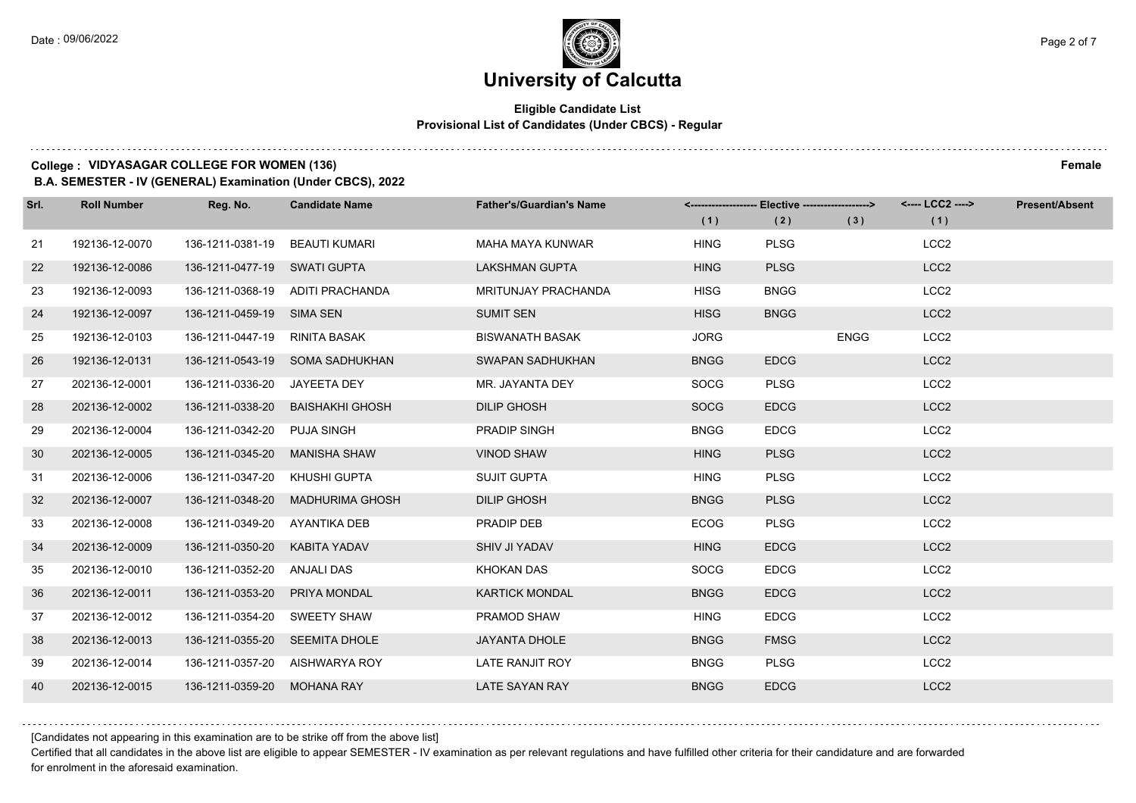### **Eligible Candidate List Provisional List of Candidates (Under CBCS) - Regular**

### **College : VIDYASAGAR COLLEGE FOR WOMEN (136) Female**

**B.A. SEMESTER - IV (GENERAL) Examination (Under CBCS), 2022**

| Srl. | <b>Roll Number</b> | Reg. No.                       | <b>Candidate Name</b>            | <b>Father's/Guardian's Name</b> | (1)         | <------------------- Elective ------------------><br>(2) | (3)         | <---- LCC2 ----><br>(1) | <b>Present/Absent</b> |
|------|--------------------|--------------------------------|----------------------------------|---------------------------------|-------------|----------------------------------------------------------|-------------|-------------------------|-----------------------|
| 21   | 192136-12-0070     | 136-1211-0381-19               | BEAUTI KUMARI                    | <b>MAHA MAYA KUNWAR</b>         | <b>HING</b> | <b>PLSG</b>                                              |             | LCC <sub>2</sub>        |                       |
| 22   | 192136-12-0086     | 136-1211-0477-19 SWATI GUPTA   |                                  | <b>LAKSHMAN GUPTA</b>           | <b>HING</b> | <b>PLSG</b>                                              |             | LCC <sub>2</sub>        |                       |
| 23   | 192136-12-0093     |                                | 136-1211-0368-19 ADITI PRACHANDA | <b>MRITUNJAY PRACHANDA</b>      | <b>HISG</b> | <b>BNGG</b>                                              |             | LCC <sub>2</sub>        |                       |
| 24   | 192136-12-0097     | 136-1211-0459-19 SIMA SEN      |                                  | <b>SUMIT SEN</b>                | <b>HISG</b> | <b>BNGG</b>                                              |             | LCC <sub>2</sub>        |                       |
| 25   | 192136-12-0103     | 136-1211-0447-19               | RINITA BASAK                     | <b>BISWANATH BASAK</b>          | <b>JORG</b> |                                                          | <b>ENGG</b> | LCC <sub>2</sub>        |                       |
| 26   | 192136-12-0131     |                                | 136-1211-0543-19 SOMA SADHUKHAN  | SWAPAN SADHUKHAN                | <b>BNGG</b> | <b>EDCG</b>                                              |             | LCC <sub>2</sub>        |                       |
| 27   | 202136-12-0001     | 136-1211-0336-20 JAYEETA DEY   |                                  | MR. JAYANTA DEY                 | <b>SOCG</b> | <b>PLSG</b>                                              |             | LCC <sub>2</sub>        |                       |
| 28   | 202136-12-0002     | 136-1211-0338-20               | <b>BAISHAKHI GHOSH</b>           | <b>DILIP GHOSH</b>              | <b>SOCG</b> | <b>EDCG</b>                                              |             | LCC <sub>2</sub>        |                       |
| 29   | 202136-12-0004     | 136-1211-0342-20               | PUJA SINGH                       | <b>PRADIP SINGH</b>             | <b>BNGG</b> | <b>EDCG</b>                                              |             | LCC <sub>2</sub>        |                       |
| 30   | 202136-12-0005     | 136-1211-0345-20               | <b>MANISHA SHAW</b>              | <b>VINOD SHAW</b>               | <b>HING</b> | <b>PLSG</b>                                              |             | LCC <sub>2</sub>        |                       |
| 31   | 202136-12-0006     | 136-1211-0347-20               | KHUSHI GUPTA                     | <b>SUJIT GUPTA</b>              | <b>HING</b> | <b>PLSG</b>                                              |             | LCC <sub>2</sub>        |                       |
| 32   | 202136-12-0007     | 136-1211-0348-20               | <b>MADHURIMA GHOSH</b>           | <b>DILIP GHOSH</b>              | <b>BNGG</b> | <b>PLSG</b>                                              |             | LCC <sub>2</sub>        |                       |
| 33   | 202136-12-0008     | 136-1211-0349-20               | AYANTIKA DEB                     | PRADIP DEB                      | <b>ECOG</b> | <b>PLSG</b>                                              |             | LCC <sub>2</sub>        |                       |
| 34   | 202136-12-0009     | 136-1211-0350-20               | KABITA YADAV                     | SHIV JI YADAV                   | <b>HING</b> | <b>EDCG</b>                                              |             | LCC <sub>2</sub>        |                       |
| 35   | 202136-12-0010     | 136-1211-0352-20 ANJALI DAS    |                                  | <b>KHOKAN DAS</b>               | <b>SOCG</b> | <b>EDCG</b>                                              |             | LCC <sub>2</sub>        |                       |
| 36   | 202136-12-0011     | 136-1211-0353-20               | PRIYA MONDAL                     | <b>KARTICK MONDAL</b>           | <b>BNGG</b> | <b>EDCG</b>                                              |             | LCC <sub>2</sub>        |                       |
| 37   | 202136-12-0012     | 136-1211-0354-20               | SWEETY SHAW                      | PRAMOD SHAW                     | <b>HING</b> | <b>EDCG</b>                                              |             | LCC <sub>2</sub>        |                       |
| 38   | 202136-12-0013     | 136-1211-0355-20 SEEMITA DHOLE |                                  | <b>JAYANTA DHOLE</b>            | <b>BNGG</b> | <b>FMSG</b>                                              |             | LCC <sub>2</sub>        |                       |
| 39   | 202136-12-0014     |                                | 136-1211-0357-20 AISHWARYA ROY   | LATE RANJIT ROY                 | <b>BNGG</b> | <b>PLSG</b>                                              |             | LCC <sub>2</sub>        |                       |
| 40   | 202136-12-0015     | 136-1211-0359-20               | <b>MOHANA RAY</b>                | <b>LATE SAYAN RAY</b>           | <b>BNGG</b> | <b>EDCG</b>                                              |             | LCC <sub>2</sub>        |                       |

[Candidates not appearing in this examination are to be strike off from the above list]

Certified that all candidates in the above list are eligible to appear SEMESTER - IV examination as per relevant regulations and have fulfilled other criteria for their candidature and are forwarded for enrolment in the aforesaid examination.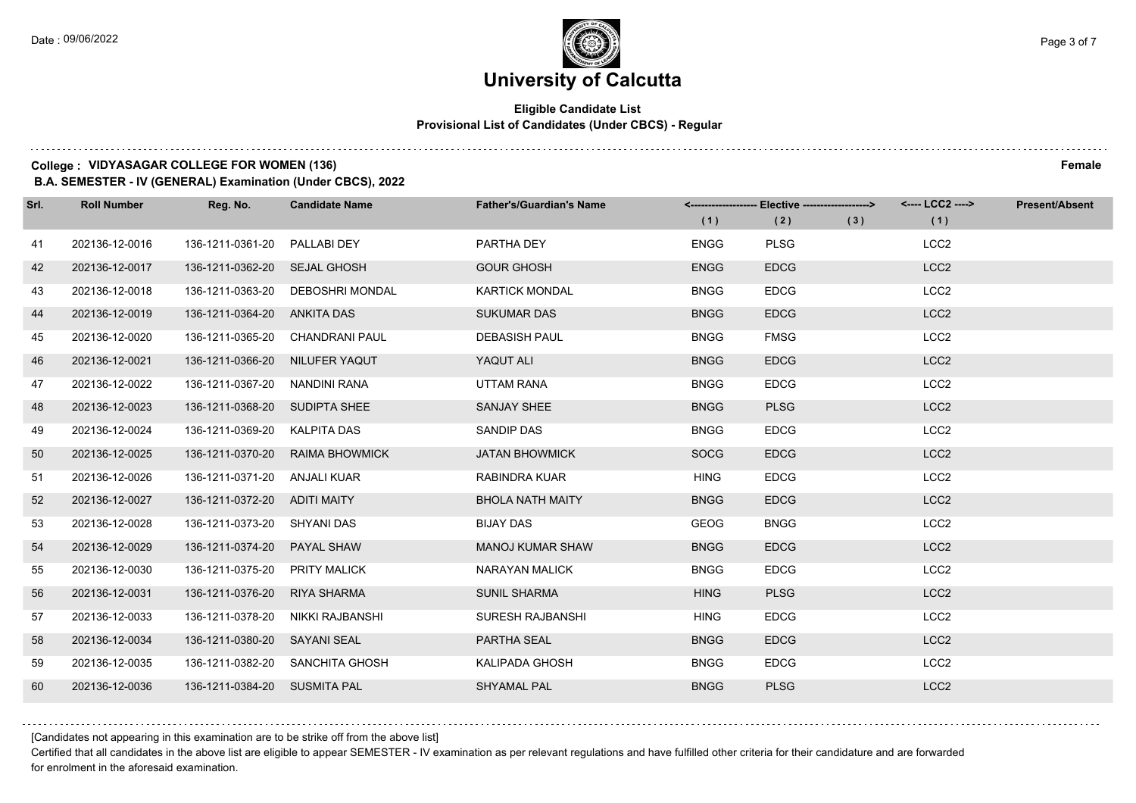### **University of Calcutta**

### **Eligible Candidate List Provisional List of Candidates (Under CBCS) - Regular**

### **College : VIDYASAGAR COLLEGE FOR WOMEN (136) Female**

**B.A. SEMESTER - IV (GENERAL) Examination (Under CBCS), 2022**

| Srl. | <b>Roll Number</b> | Reg. No.                      | <b>Candidate Name</b>           | <b>Father's/Guardian's Name</b> | (1)         | <-------------------- Elective ------------------><br>(2) | (3) | <---- LCC2 ----><br>(1) | <b>Present/Absent</b> |
|------|--------------------|-------------------------------|---------------------------------|---------------------------------|-------------|-----------------------------------------------------------|-----|-------------------------|-----------------------|
| 41   | 202136-12-0016     | 136-1211-0361-20              | PALLABI DEY                     | PARTHA DEY                      | <b>ENGG</b> | <b>PLSG</b>                                               |     | LCC <sub>2</sub>        |                       |
| 42   | 202136-12-0017     | 136-1211-0362-20 SEJAL GHOSH  |                                 | <b>GOUR GHOSH</b>               | <b>ENGG</b> | <b>EDCG</b>                                               |     | LCC <sub>2</sub>        |                       |
| 43   | 202136-12-0018     | 136-1211-0363-20              | <b>DEBOSHRI MONDAL</b>          | <b>KARTICK MONDAL</b>           | <b>BNGG</b> | <b>EDCG</b>                                               |     | LCC <sub>2</sub>        |                       |
| 44   | 202136-12-0019     | 136-1211-0364-20 ANKITA DAS   |                                 | <b>SUKUMAR DAS</b>              | <b>BNGG</b> | <b>EDCG</b>                                               |     | LCC <sub>2</sub>        |                       |
| 45   | 202136-12-0020     | 136-1211-0365-20              | CHANDRANI PAUL                  | <b>DEBASISH PAUL</b>            | <b>BNGG</b> | <b>FMSG</b>                                               |     | LCC <sub>2</sub>        |                       |
| 46   | 202136-12-0021     | 136-1211-0366-20              | NILUFER YAQUT                   | YAQUT ALI                       | <b>BNGG</b> | <b>EDCG</b>                                               |     | LCC <sub>2</sub>        |                       |
| 47   | 202136-12-0022     | 136-1211-0367-20 NANDINI RANA |                                 | UTTAM RANA                      | <b>BNGG</b> | <b>EDCG</b>                                               |     | LCC <sub>2</sub>        |                       |
| 48   | 202136-12-0023     | 136-1211-0368-20 SUDIPTA SHEE |                                 | SANJAY SHEE                     | <b>BNGG</b> | <b>PLSG</b>                                               |     | LCC <sub>2</sub>        |                       |
| 49   | 202136-12-0024     | 136-1211-0369-20              | KALPITA DAS                     | <b>SANDIP DAS</b>               | <b>BNGG</b> | <b>EDCG</b>                                               |     | LCC <sub>2</sub>        |                       |
| 50   | 202136-12-0025     | 136-1211-0370-20              | <b>RAIMA BHOWMICK</b>           | <b>JATAN BHOWMICK</b>           | <b>SOCG</b> | <b>EDCG</b>                                               |     | LCC <sub>2</sub>        |                       |
| 51   | 202136-12-0026     | 136-1211-0371-20 ANJALI KUAR  |                                 | RABINDRA KUAR                   | <b>HING</b> | <b>EDCG</b>                                               |     | LCC <sub>2</sub>        |                       |
| 52   | 202136-12-0027     | 136-1211-0372-20 ADITI MAITY  |                                 | <b>BHOLA NATH MAITY</b>         | <b>BNGG</b> | <b>EDCG</b>                                               |     | LCC <sub>2</sub>        |                       |
| 53   | 202136-12-0028     | 136-1211-0373-20              | <b>SHYANI DAS</b>               | <b>BIJAY DAS</b>                | GEOG        | <b>BNGG</b>                                               |     | LCC <sub>2</sub>        |                       |
| 54   | 202136-12-0029     | 136-1211-0374-20              | <b>PAYAL SHAW</b>               | <b>MANOJ KUMAR SHAW</b>         | <b>BNGG</b> | <b>EDCG</b>                                               |     | LCC <sub>2</sub>        |                       |
| 55   | 202136-12-0030     | 136-1211-0375-20 PRITY MALICK |                                 | NARAYAN MALICK                  | <b>BNGG</b> | <b>EDCG</b>                                               |     | LCC <sub>2</sub>        |                       |
| 56   | 202136-12-0031     | 136-1211-0376-20              | <b>RIYA SHARMA</b>              | <b>SUNIL SHARMA</b>             | <b>HING</b> | <b>PLSG</b>                                               |     | LCC <sub>2</sub>        |                       |
| 57   | 202136-12-0033     | 136-1211-0378-20              | NIKKI RAJBANSHI                 | SURESH RAJBANSHI                | <b>HING</b> | <b>EDCG</b>                                               |     | LCC <sub>2</sub>        |                       |
| 58   | 202136-12-0034     | 136-1211-0380-20 SAYANI SEAL  |                                 | PARTHA SEAL                     | <b>BNGG</b> | <b>EDCG</b>                                               |     | LCC <sub>2</sub>        |                       |
| 59   | 202136-12-0035     |                               | 136-1211-0382-20 SANCHITA GHOSH | KALIPADA GHOSH                  | <b>BNGG</b> | <b>EDCG</b>                                               |     | LCC <sub>2</sub>        |                       |
| 60   | 202136-12-0036     | 136-1211-0384-20 SUSMITA PAL  |                                 | <b>SHYAMAL PAL</b>              | <b>BNGG</b> | <b>PLSG</b>                                               |     | LCC <sub>2</sub>        |                       |

[Candidates not appearing in this examination are to be strike off from the above list]

Certified that all candidates in the above list are eligible to appear SEMESTER - IV examination as per relevant regulations and have fulfilled other criteria for their candidature and are forwarded for enrolment in the aforesaid examination.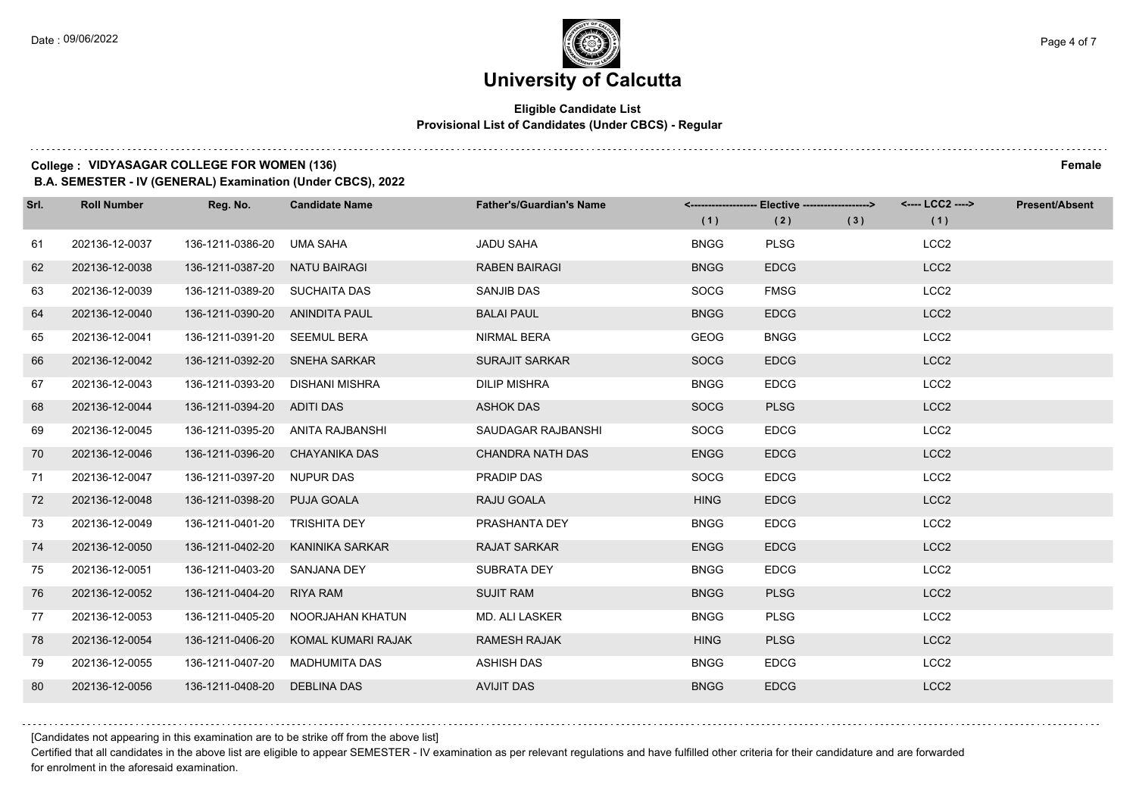### **University of Calcutta**

### **Eligible Candidate List Provisional List of Candidates (Under CBCS) - Regular**

### **College : VIDYASAGAR COLLEGE FOR WOMEN (136) Female**

**B.A. SEMESTER - IV (GENERAL) Examination (Under CBCS), 2022**

| Srl. | <b>Roll Number</b> | Reg. No.                        | <b>Candidate Name</b> | <b>Father's/Guardian's Name</b> |             | <-------------------- Elective ------------------> |     | <---- LCC2 ----> | <b>Present/Absent</b> |
|------|--------------------|---------------------------------|-----------------------|---------------------------------|-------------|----------------------------------------------------|-----|------------------|-----------------------|
|      |                    |                                 |                       |                                 | (1)         | (2)                                                | (3) | (1)              |                       |
| 61   | 202136-12-0037     | 136-1211-0386-20                | UMA SAHA              | <b>JADU SAHA</b>                | <b>BNGG</b> | <b>PLSG</b>                                        |     | LCC <sub>2</sub> |                       |
| 62   | 202136-12-0038     | 136-1211-0387-20                | <b>NATU BAIRAGI</b>   | <b>RABEN BAIRAGI</b>            | <b>BNGG</b> | <b>EDCG</b>                                        |     | LCC <sub>2</sub> |                       |
| 63   | 202136-12-0039     | 136-1211-0389-20 SUCHAITA DAS   |                       | SANJIB DAS                      | <b>SOCG</b> | <b>FMSG</b>                                        |     | LCC <sub>2</sub> |                       |
| 64   | 202136-12-0040     | 136-1211-0390-20 ANINDITA PAUL  |                       | <b>BALAI PAUL</b>               | <b>BNGG</b> | <b>EDCG</b>                                        |     | LCC <sub>2</sub> |                       |
| 65   | 202136-12-0041     | 136-1211-0391-20                | <b>SEEMUL BERA</b>    | NIRMAL BERA                     | <b>GEOG</b> | <b>BNGG</b>                                        |     | LCC <sub>2</sub> |                       |
| 66   | 202136-12-0042     | 136-1211-0392-20 SNEHA SARKAR   |                       | <b>SURAJIT SARKAR</b>           | <b>SOCG</b> | <b>EDCG</b>                                        |     | LCC <sub>2</sub> |                       |
| 67   | 202136-12-0043     | 136-1211-0393-20 DISHANI MISHRA |                       | <b>DILIP MISHRA</b>             | <b>BNGG</b> | <b>EDCG</b>                                        |     | LCC <sub>2</sub> |                       |
| 68   | 202136-12-0044     | 136-1211-0394-20 ADITI DAS      |                       | <b>ASHOK DAS</b>                | <b>SOCG</b> | <b>PLSG</b>                                        |     | LCC <sub>2</sub> |                       |
| 69   | 202136-12-0045     | 136-1211-0395-20                | ANITA RAJBANSHI       | SAUDAGAR RAJBANSHI              | <b>SOCG</b> | <b>EDCG</b>                                        |     | LCC <sub>2</sub> |                       |
| 70   | 202136-12-0046     | 136-1211-0396-20                | <b>CHAYANIKA DAS</b>  | <b>CHANDRA NATH DAS</b>         | <b>ENGG</b> | <b>EDCG</b>                                        |     | LCC <sub>2</sub> |                       |
| 71   | 202136-12-0047     | 136-1211-0397-20 NUPUR DAS      |                       | <b>PRADIP DAS</b>               | <b>SOCG</b> | <b>EDCG</b>                                        |     | LCC <sub>2</sub> |                       |
| 72   | 202136-12-0048     | 136-1211-0398-20                | <b>PUJA GOALA</b>     | RAJU GOALA                      | <b>HING</b> | <b>EDCG</b>                                        |     | LCC <sub>2</sub> |                       |
| 73   | 202136-12-0049     | 136-1211-0401-20                | <b>TRISHITA DEY</b>   | PRASHANTA DEY                   | <b>BNGG</b> | <b>EDCG</b>                                        |     | LCC <sub>2</sub> |                       |
| 74   | 202136-12-0050     | 136-1211-0402-20                | KANINIKA SARKAR       | <b>RAJAT SARKAR</b>             | <b>ENGG</b> | <b>EDCG</b>                                        |     | LCC <sub>2</sub> |                       |
| 75   | 202136-12-0051     | 136-1211-0403-20                | <b>SANJANA DEY</b>    | SUBRATA DEY                     | <b>BNGG</b> | <b>EDCG</b>                                        |     | LCC <sub>2</sub> |                       |
| 76   | 202136-12-0052     | 136-1211-0404-20                | RIYA RAM              | <b>SUJIT RAM</b>                | <b>BNGG</b> | <b>PLSG</b>                                        |     | LCC <sub>2</sub> |                       |
| 77   | 202136-12-0053     | 136-1211-0405-20                | NOORJAHAN KHATUN      | MD. ALI LASKER                  | <b>BNGG</b> | <b>PLSG</b>                                        |     | LCC <sub>2</sub> |                       |
| 78   | 202136-12-0054     | 136-1211-0406-20                | KOMAL KUMARI RAJAK    | <b>RAMESH RAJAK</b>             | <b>HING</b> | <b>PLSG</b>                                        |     | LCC <sub>2</sub> |                       |
| 79   | 202136-12-0055     | 136-1211-0407-20                | MADHUMITA DAS         | <b>ASHISH DAS</b>               | <b>BNGG</b> | <b>EDCG</b>                                        |     | LCC <sub>2</sub> |                       |
| 80   | 202136-12-0056     | 136-1211-0408-20                | DEBLINA DAS           | <b>AVIJIT DAS</b>               | <b>BNGG</b> | <b>EDCG</b>                                        |     | LCC <sub>2</sub> |                       |

[Candidates not appearing in this examination are to be strike off from the above list]

Certified that all candidates in the above list are eligible to appear SEMESTER - IV examination as per relevant regulations and have fulfilled other criteria for their candidature and are forwarded for enrolment in the aforesaid examination.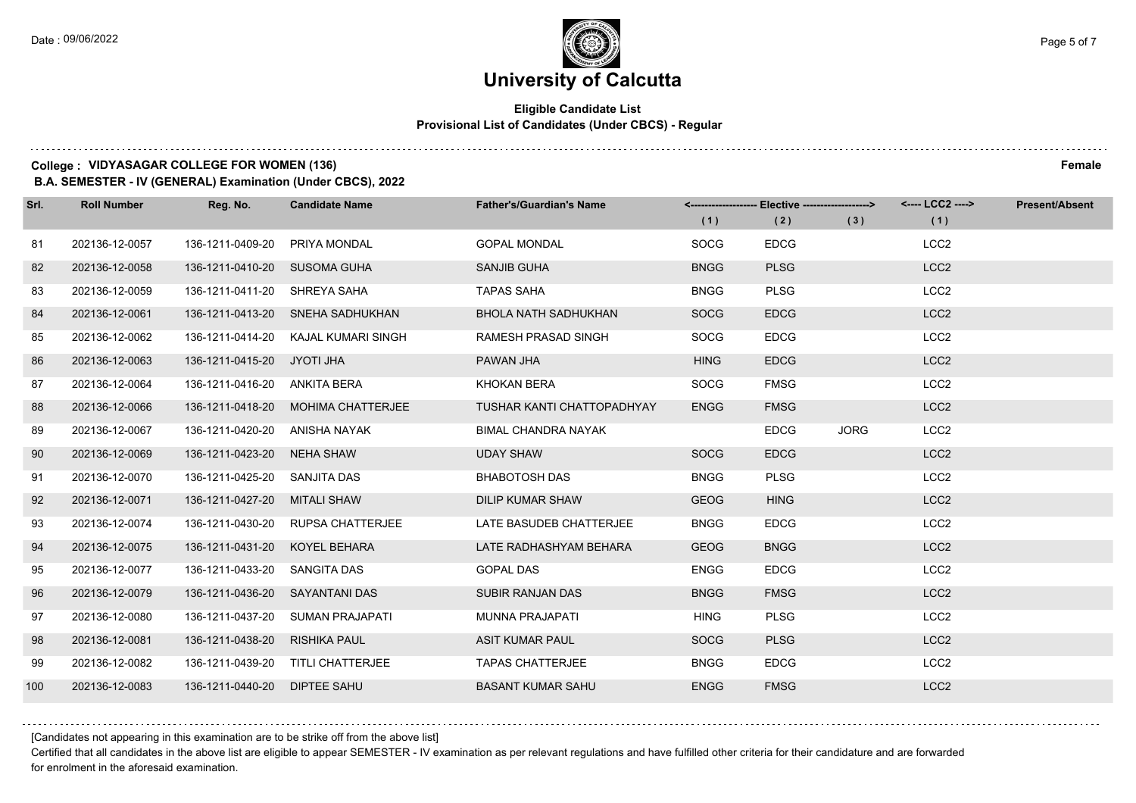### **Eligible Candidate List Provisional List of Candidates (Under CBCS) - Regular**

### **College : VIDYASAGAR COLLEGE FOR WOMEN (136) Female**

**B.A. SEMESTER - IV (GENERAL) Examination (Under CBCS), 2022**

| Srl. | <b>Roll Number</b> | Reg. No.                       | <b>Candidate Name</b>             | <b>Father's/Guardian's Name</b> | (1)         | <------------------- Elective ------------------><br>(2) | (3)         | <---- LCC2 ----><br>(1) | <b>Present/Absent</b> |
|------|--------------------|--------------------------------|-----------------------------------|---------------------------------|-------------|----------------------------------------------------------|-------------|-------------------------|-----------------------|
| 81   | 202136-12-0057     | 136-1211-0409-20               | PRIYA MONDAL                      | <b>GOPAL MONDAL</b>             | <b>SOCG</b> | <b>EDCG</b>                                              |             | LCC <sub>2</sub>        |                       |
| 82   | 202136-12-0058     | 136-1211-0410-20               | SUSOMA GUHA                       | <b>SANJIB GUHA</b>              | <b>BNGG</b> | <b>PLSG</b>                                              |             | LCC <sub>2</sub>        |                       |
| 83   | 202136-12-0059     | 136-1211-0411-20 SHREYA SAHA   |                                   | <b>TAPAS SAHA</b>               | <b>BNGG</b> | <b>PLSG</b>                                              |             | LCC <sub>2</sub>        |                       |
| 84   | 202136-12-0061     |                                | 136-1211-0413-20 SNEHA SADHUKHAN  | <b>BHOLA NATH SADHUKHAN</b>     | <b>SOCG</b> | <b>EDCG</b>                                              |             | LCC <sub>2</sub>        |                       |
| 85   | 202136-12-0062     | 136-1211-0414-20               | KAJAL KUMARI SINGH                | RAMESH PRASAD SINGH             | <b>SOCG</b> | <b>EDCG</b>                                              |             | LCC <sub>2</sub>        |                       |
| 86   | 202136-12-0063     | 136-1211-0415-20               | JYOTI JHA                         | PAWAN JHA                       | <b>HING</b> | <b>EDCG</b>                                              |             | LCC <sub>2</sub>        |                       |
| 87   | 202136-12-0064     | 136-1211-0416-20 ANKITA BERA   |                                   | KHOKAN BERA                     | <b>SOCG</b> | <b>FMSG</b>                                              |             | LCC <sub>2</sub>        |                       |
| 88   | 202136-12-0066     | 136-1211-0418-20               | MOHIMA CHATTERJEE                 | TUSHAR KANTI CHATTOPADHYAY      | <b>ENGG</b> | <b>FMSG</b>                                              |             | LCC <sub>2</sub>        |                       |
| 89   | 202136-12-0067     | 136-1211-0420-20               | ANISHA NAYAK                      | <b>BIMAL CHANDRA NAYAK</b>      |             | <b>EDCG</b>                                              | <b>JORG</b> | LCC <sub>2</sub>        |                       |
| 90   | 202136-12-0069     | 136-1211-0423-20               | <b>NEHA SHAW</b>                  | <b>UDAY SHAW</b>                | <b>SOCG</b> | <b>EDCG</b>                                              |             | LCC <sub>2</sub>        |                       |
| 91   | 202136-12-0070     | 136-1211-0425-20 SANJITA DAS   |                                   | <b>BHABOTOSH DAS</b>            | <b>BNGG</b> | <b>PLSG</b>                                              |             | LCC <sub>2</sub>        |                       |
| 92   | 202136-12-0071     | 136-1211-0427-20               | <b>MITALI SHAW</b>                | <b>DILIP KUMAR SHAW</b>         | <b>GEOG</b> | <b>HING</b>                                              |             | LCC <sub>2</sub>        |                       |
| 93   | 202136-12-0074     | 136-1211-0430-20               | <b>RUPSA CHATTERJEE</b>           | LATE BASUDEB CHATTERJEE         | <b>BNGG</b> | <b>EDCG</b>                                              |             | LCC <sub>2</sub>        |                       |
| 94   | 202136-12-0075     | 136-1211-0431-20               | KOYEL BEHARA                      | LATE RADHASHYAM BEHARA          | <b>GEOG</b> | <b>BNGG</b>                                              |             | LCC <sub>2</sub>        |                       |
| 95   | 202136-12-0077     | 136-1211-0433-20 SANGITA DAS   |                                   | <b>GOPAL DAS</b>                | <b>ENGG</b> | <b>EDCG</b>                                              |             | LCC <sub>2</sub>        |                       |
| 96   | 202136-12-0079     | 136-1211-0436-20 SAYANTANI DAS |                                   | <b>SUBIR RANJAN DAS</b>         | <b>BNGG</b> | <b>FMSG</b>                                              |             | LCC <sub>2</sub>        |                       |
| 97   | 202136-12-0080     | 136-1211-0437-20               | <b>SUMAN PRAJAPATI</b>            | <b>MUNNA PRAJAPATI</b>          | <b>HING</b> | <b>PLSG</b>                                              |             | LCC <sub>2</sub>        |                       |
| 98   | 202136-12-0081     | 136-1211-0438-20               | <b>RISHIKA PAUL</b>               | <b>ASIT KUMAR PAUL</b>          | <b>SOCG</b> | <b>PLSG</b>                                              |             | LCC <sub>2</sub>        |                       |
| 99   | 202136-12-0082     |                                | 136-1211-0439-20 TITLI CHATTERJEE | <b>TAPAS CHATTERJEE</b>         | <b>BNGG</b> | <b>EDCG</b>                                              |             | LCC <sub>2</sub>        |                       |
| 100  | 202136-12-0083     | 136-1211-0440-20               | <b>DIPTEE SAHU</b>                | <b>BASANT KUMAR SAHU</b>        | <b>ENGG</b> | <b>FMSG</b>                                              |             | LCC <sub>2</sub>        |                       |

[Candidates not appearing in this examination are to be strike off from the above list]

Certified that all candidates in the above list are eligible to appear SEMESTER - IV examination as per relevant regulations and have fulfilled other criteria for their candidature and are forwarded for enrolment in the aforesaid examination.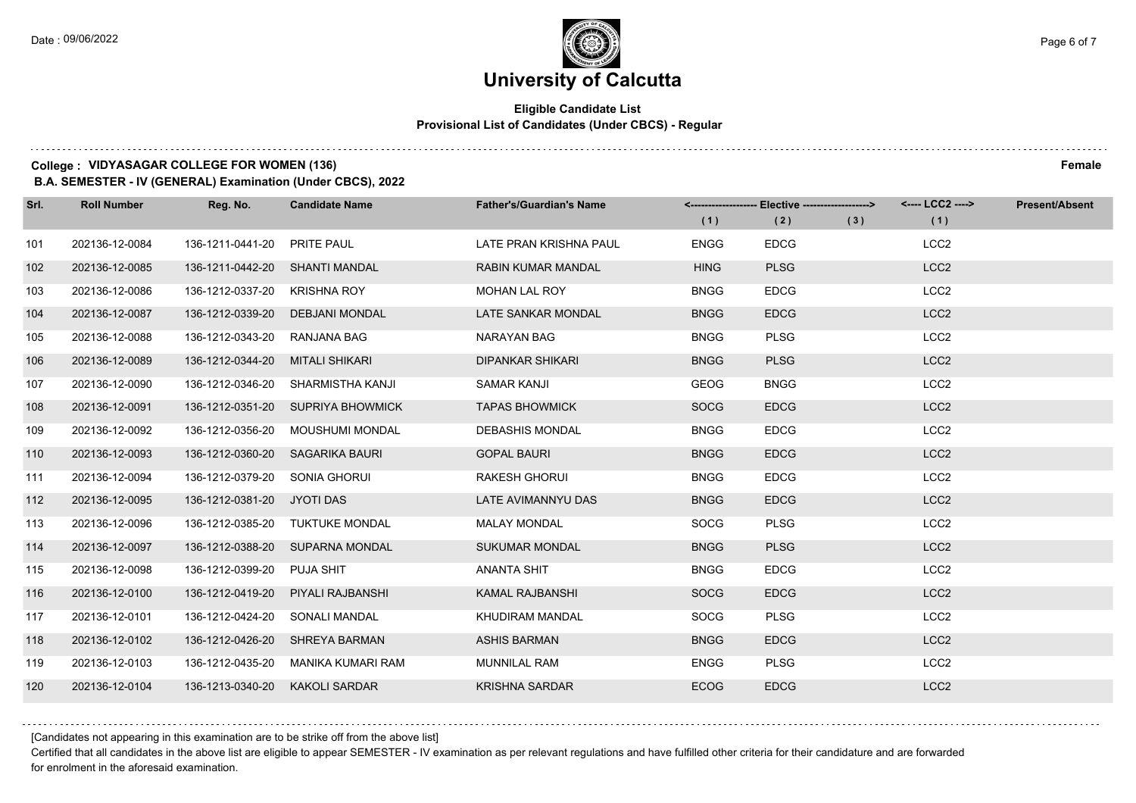### **Eligible Candidate List Provisional List of Candidates (Under CBCS) - Regular**

### **College : VIDYASAGAR COLLEGE FOR WOMEN (136) Female**

**B.A. SEMESTER - IV (GENERAL) Examination (Under CBCS), 2022**

| Srl. | <b>Roll Number</b> | Reg. No.                       | <b>Candidate Name</b>             | <b>Father's/Guardian's Name</b> | (1)         | <-------------------- Elective ------------------><br>(2) | (3) | <---- LCC2 ----><br>(1) | <b>Present/Absent</b> |
|------|--------------------|--------------------------------|-----------------------------------|---------------------------------|-------------|-----------------------------------------------------------|-----|-------------------------|-----------------------|
| 101  | 202136-12-0084     | 136-1211-0441-20               | <b>PRITE PAUL</b>                 | LATE PRAN KRISHNA PAUL          | <b>ENGG</b> | <b>EDCG</b>                                               |     | LCC <sub>2</sub>        |                       |
| 102  | 202136-12-0085     | 136-1211-0442-20 SHANTI MANDAL |                                   | <b>RABIN KUMAR MANDAL</b>       | <b>HING</b> | <b>PLSG</b>                                               |     | LCC <sub>2</sub>        |                       |
| 103  | 202136-12-0086     | 136-1212-0337-20               | KRISHNA ROY                       | <b>MOHAN LAL ROY</b>            | <b>BNGG</b> | <b>EDCG</b>                                               |     | LCC <sub>2</sub>        |                       |
| 104  | 202136-12-0087     |                                | 136-1212-0339-20 DEBJANI MONDAL   | LATE SANKAR MONDAL              | <b>BNGG</b> | <b>EDCG</b>                                               |     | LCC <sub>2</sub>        |                       |
| 105  | 202136-12-0088     | 136-1212-0343-20               | RANJANA BAG                       | NARAYAN BAG                     | <b>BNGG</b> | <b>PLSG</b>                                               |     | LCC <sub>2</sub>        |                       |
| 106  | 202136-12-0089     | 136-1212-0344-20               | MITALI SHIKARI                    | <b>DIPANKAR SHIKARI</b>         | <b>BNGG</b> | <b>PLSG</b>                                               |     | LCC <sub>2</sub>        |                       |
| 107  | 202136-12-0090     |                                | 136-1212-0346-20 SHARMISTHA KANJI | <b>SAMAR KANJI</b>              | <b>GEOG</b> | <b>BNGG</b>                                               |     | LCC <sub>2</sub>        |                       |
| 108  | 202136-12-0091     |                                | 136-1212-0351-20 SUPRIYA BHOWMICK | <b>TAPAS BHOWMICK</b>           | <b>SOCG</b> | <b>EDCG</b>                                               |     | LCC <sub>2</sub>        |                       |
| 109  | 202136-12-0092     | 136-1212-0356-20               | MOUSHUMI MONDAL                   | <b>DEBASHIS MONDAL</b>          | <b>BNGG</b> | <b>EDCG</b>                                               |     | LCC <sub>2</sub>        |                       |
| 110  | 202136-12-0093     | 136-1212-0360-20               | SAGARIKA BAURI                    | <b>GOPAL BAURI</b>              | <b>BNGG</b> | <b>EDCG</b>                                               |     | LCC <sub>2</sub>        |                       |
| 111  | 202136-12-0094     | 136-1212-0379-20 SONIA GHORUI  |                                   | <b>RAKESH GHORUI</b>            | <b>BNGG</b> | <b>EDCG</b>                                               |     | LCC <sub>2</sub>        |                       |
| 112  | 202136-12-0095     | 136-1212-0381-20 JYOTI DAS     |                                   | LATE AVIMANNYU DAS              | <b>BNGG</b> | <b>EDCG</b>                                               |     | LCC <sub>2</sub>        |                       |
| 113  | 202136-12-0096     | 136-1212-0385-20               | <b>TUKTUKE MONDAL</b>             | <b>MALAY MONDAL</b>             | <b>SOCG</b> | <b>PLSG</b>                                               |     | LCC <sub>2</sub>        |                       |
| 114  | 202136-12-0097     |                                | 136-1212-0388-20 SUPARNA MONDAL   | <b>SUKUMAR MONDAL</b>           | <b>BNGG</b> | <b>PLSG</b>                                               |     | LCC <sub>2</sub>        |                       |
| 115  | 202136-12-0098     | 136-1212-0399-20 PUJA SHIT     |                                   | ANANTA SHIT                     | <b>BNGG</b> | <b>EDCG</b>                                               |     | LCC <sub>2</sub>        |                       |
| 116  | 202136-12-0100     | 136-1212-0419-20               | PIYALI RAJBANSHI                  | <b>KAMAL RAJBANSHI</b>          | <b>SOCG</b> | <b>EDCG</b>                                               |     | LCC <sub>2</sub>        |                       |
| 117  | 202136-12-0101     | 136-1212-0424-20               | <b>SONALI MANDAL</b>              | <b>KHUDIRAM MANDAL</b>          | <b>SOCG</b> | <b>PLSG</b>                                               |     | LCC <sub>2</sub>        |                       |
| 118  | 202136-12-0102     | 136-1212-0426-20               | <b>SHREYA BARMAN</b>              | <b>ASHIS BARMAN</b>             | <b>BNGG</b> | <b>EDCG</b>                                               |     | LCC <sub>2</sub>        |                       |
| 119  | 202136-12-0103     | 136-1212-0435-20               | MANIKA KUMARI RAM                 | <b>MUNNILAL RAM</b>             | <b>ENGG</b> | <b>PLSG</b>                                               |     | LCC <sub>2</sub>        |                       |
| 120  | 202136-12-0104     | 136-1213-0340-20               | <b>KAKOLI SARDAR</b>              | <b>KRISHNA SARDAR</b>           | <b>ECOG</b> | <b>EDCG</b>                                               |     | LCC <sub>2</sub>        |                       |

[Candidates not appearing in this examination are to be strike off from the above list]

Certified that all candidates in the above list are eligible to appear SEMESTER - IV examination as per relevant regulations and have fulfilled other criteria for their candidature and are forwarded for enrolment in the aforesaid examination.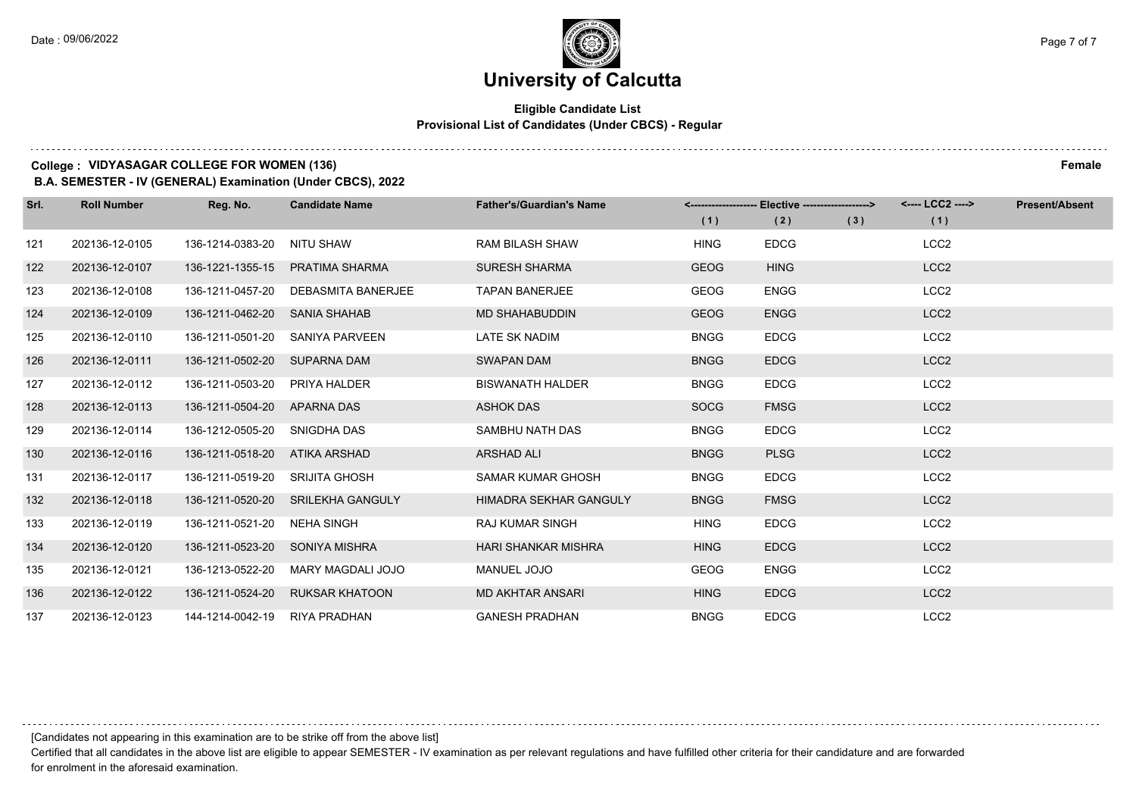### **Eligible Candidate List Provisional List of Candidates (Under CBCS) - Regular**

#### **College : VIDYASAGAR COLLEGE FOR WOMEN (136) Female**

**B.A. SEMESTER - IV (GENERAL) Examination (Under CBCS), 2022**

| Srl. | <b>Roll Number</b> | Reg. No.         | <b>Candidate Name</b>     | <b>Father's/Guardian's Name</b> |             | Elective -------------------> |     | <---- LCC2 ----> | <b>Present/Absent</b> |
|------|--------------------|------------------|---------------------------|---------------------------------|-------------|-------------------------------|-----|------------------|-----------------------|
|      |                    |                  |                           |                                 | (1)         | (2)                           | (3) | (1)              |                       |
| 121  | 202136-12-0105     | 136-1214-0383-20 | NITU SHAW                 | <b>RAM BILASH SHAW</b>          | <b>HING</b> | <b>EDCG</b>                   |     | LCC <sub>2</sub> |                       |
| 122  | 202136-12-0107     | 136-1221-1355-15 | <b>PRATIMA SHARMA</b>     | <b>SURESH SHARMA</b>            | <b>GEOG</b> | <b>HING</b>                   |     | LCC <sub>2</sub> |                       |
| 123  | 202136-12-0108     | 136-1211-0457-20 | <b>DEBASMITA BANERJEE</b> | <b>TAPAN BANERJEE</b>           | <b>GEOG</b> | <b>ENGG</b>                   |     | LCC <sub>2</sub> |                       |
| 124  | 202136-12-0109     | 136-1211-0462-20 | <b>SANIA SHAHAB</b>       | <b>MD SHAHABUDDIN</b>           | <b>GEOG</b> | <b>ENGG</b>                   |     | LCC <sub>2</sub> |                       |
| 125  | 202136-12-0110     | 136-1211-0501-20 | SANIYA PARVEEN            | LATE SK NADIM                   | <b>BNGG</b> | <b>EDCG</b>                   |     | LCC <sub>2</sub> |                       |
| 126  | 202136-12-0111     | 136-1211-0502-20 | <b>SUPARNA DAM</b>        | <b>SWAPAN DAM</b>               | <b>BNGG</b> | <b>EDCG</b>                   |     | LCC <sub>2</sub> |                       |
| 127  | 202136-12-0112     | 136-1211-0503-20 | <b>PRIYA HALDER</b>       | <b>BISWANATH HALDER</b>         | <b>BNGG</b> | <b>EDCG</b>                   |     | LCC <sub>2</sub> |                       |
| 128  | 202136-12-0113     | 136-1211-0504-20 | APARNA DAS                | <b>ASHOK DAS</b>                | <b>SOCG</b> | <b>FMSG</b>                   |     | LCC <sub>2</sub> |                       |
| 129  | 202136-12-0114     | 136-1212-0505-20 | SNIGDHA DAS               | SAMBHU NATH DAS                 | <b>BNGG</b> | <b>EDCG</b>                   |     | LCC <sub>2</sub> |                       |
| 130  | 202136-12-0116     | 136-1211-0518-20 | ATIKA ARSHAD              | <b>ARSHAD ALI</b>               | <b>BNGG</b> | <b>PLSG</b>                   |     | LCC <sub>2</sub> |                       |
| 131  | 202136-12-0117     | 136-1211-0519-20 | SRIJITA GHOSH             | <b>SAMAR KUMAR GHOSH</b>        | <b>BNGG</b> | <b>EDCG</b>                   |     | LCC <sub>2</sub> |                       |
| 132  | 202136-12-0118     | 136-1211-0520-20 | SRILEKHA GANGULY          | HIMADRA SEKHAR GANGULY          | <b>BNGG</b> | <b>FMSG</b>                   |     | LCC <sub>2</sub> |                       |
| 133  | 202136-12-0119     | 136-1211-0521-20 | <b>NEHA SINGH</b>         | <b>RAJ KUMAR SINGH</b>          | <b>HING</b> | <b>EDCG</b>                   |     | LCC <sub>2</sub> |                       |
| 134  | 202136-12-0120     | 136-1211-0523-20 | <b>SONIYA MISHRA</b>      | <b>HARI SHANKAR MISHRA</b>      | <b>HING</b> | <b>EDCG</b>                   |     | LCC <sub>2</sub> |                       |
| 135  | 202136-12-0121     | 136-1213-0522-20 | MARY MAGDALI JOJO         | <b>MANUEL JOJO</b>              | <b>GEOG</b> | <b>ENGG</b>                   |     | LCC <sub>2</sub> |                       |
| 136  | 202136-12-0122     | 136-1211-0524-20 | <b>RUKSAR KHATOON</b>     | <b>MD AKHTAR ANSARI</b>         | <b>HING</b> | <b>EDCG</b>                   |     | LCC <sub>2</sub> |                       |
| 137  | 202136-12-0123     | 144-1214-0042-19 | <b>RIYA PRADHAN</b>       | <b>GANESH PRADHAN</b>           | <b>BNGG</b> | <b>EDCG</b>                   |     | LCC <sub>2</sub> |                       |

[Candidates not appearing in this examination are to be strike off from the above list]

Certified that all candidates in the above list are eligible to appear SEMESTER - IV examination as per relevant regulations and have fulfilled other criteria for their candidature and are forwarded for enrolment in the aforesaid examination.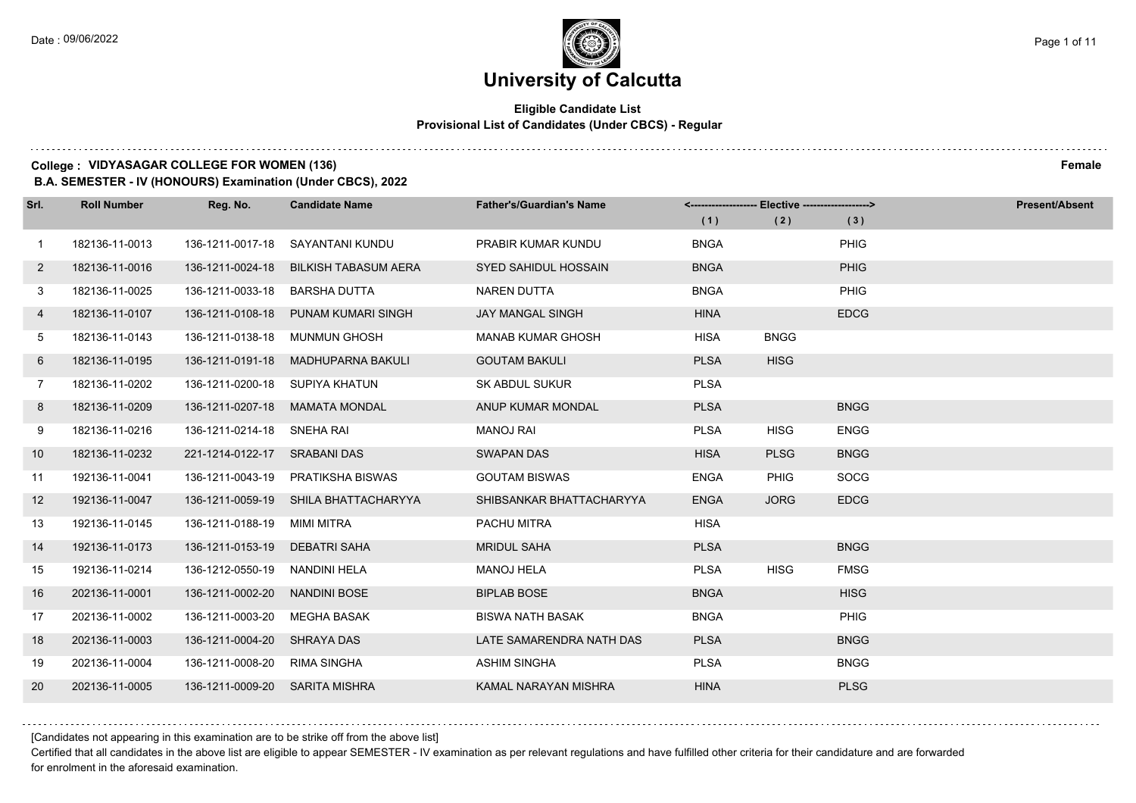### **Eligible Candidate List Provisional List of Candidates (Under CBCS) - Regular**

#### **College : VIDYASAGAR COLLEGE FOR WOMEN (136) Female**

**B.A. SEMESTER - IV (HONOURS) Examination (Under CBCS), 2022**

| Srl.         | <b>Roll Number</b> | Reg. No.                       | <b>Candidate Name</b> | <b>Father's/Guardian's Name</b> | <------------------- Elective ------------------> |             |             | <b>Present/Absent</b> |
|--------------|--------------------|--------------------------------|-----------------------|---------------------------------|---------------------------------------------------|-------------|-------------|-----------------------|
|              |                    |                                |                       |                                 | (1)                                               | (2)         | (3)         |                       |
| 1            | 182136-11-0013     | 136-1211-0017-18               | SAYANTANI KUNDU       | PRABIR KUMAR KUNDU              | <b>BNGA</b>                                       |             | PHIG        |                       |
| $\mathbf{2}$ | 182136-11-0016     | 136-1211-0024-18               | BILKISH TABASUM AERA  | <b>SYED SAHIDUL HOSSAIN</b>     | <b>BNGA</b>                                       |             | PHIG        |                       |
| 3            | 182136-11-0025     | 136-1211-0033-18               | BARSHA DUTTA          | <b>NAREN DUTTA</b>              | <b>BNGA</b>                                       |             | <b>PHIG</b> |                       |
| 4            | 182136-11-0107     | 136-1211-0108-18               | PUNAM KUMARI SINGH    | <b>JAY MANGAL SINGH</b>         | <b>HINA</b>                                       |             | <b>EDCG</b> |                       |
| 5            | 182136-11-0143     | 136-1211-0138-18               | <b>MUNMUN GHOSH</b>   | <b>MANAB KUMAR GHOSH</b>        | <b>HISA</b>                                       | <b>BNGG</b> |             |                       |
| 6            | 182136-11-0195     | 136-1211-0191-18               | MADHUPARNA BAKULI     | <b>GOUTAM BAKULI</b>            | <b>PLSA</b>                                       | <b>HISG</b> |             |                       |
| 7            | 182136-11-0202     | 136-1211-0200-18 SUPIYA KHATUN |                       | <b>SK ABDUL SUKUR</b>           | <b>PLSA</b>                                       |             |             |                       |
| 8            | 182136-11-0209     | 136-1211-0207-18               | MAMATA MONDAL         | ANUP KUMAR MONDAL               | <b>PLSA</b>                                       |             | <b>BNGG</b> |                       |
| 9            | 182136-11-0216     | 136-1211-0214-18               | SNEHA RAI             | <b>MANOJ RAI</b>                | <b>PLSA</b>                                       | <b>HISG</b> | <b>ENGG</b> |                       |
| 10           | 182136-11-0232     | 221-1214-0122-17 SRABANI DAS   |                       | <b>SWAPAN DAS</b>               | <b>HISA</b>                                       | <b>PLSG</b> | <b>BNGG</b> |                       |
| 11           | 192136-11-0041     | 136-1211-0043-19               | PRATIKSHA BISWAS      | <b>GOUTAM BISWAS</b>            | <b>ENGA</b>                                       | <b>PHIG</b> | <b>SOCG</b> |                       |
| 12           | 192136-11-0047     | 136-1211-0059-19               | SHILA BHATTACHARYYA   | SHIBSANKAR BHATTACHARYYA        | <b>ENGA</b>                                       | <b>JORG</b> | <b>EDCG</b> |                       |
| 13           | 192136-11-0145     | 136-1211-0188-19               | MIMI MITRA            | PACHU MITRA                     | HISA                                              |             |             |                       |
| 14           | 192136-11-0173     | 136-1211-0153-19               | <b>DEBATRI SAHA</b>   | <b>MRIDUL SAHA</b>              | <b>PLSA</b>                                       |             | <b>BNGG</b> |                       |
| 15           | 192136-11-0214     | 136-1212-0550-19               | NANDINI HELA          | <b>MANOJ HELA</b>               | <b>PLSA</b>                                       | <b>HISG</b> | <b>FMSG</b> |                       |
| 16           | 202136-11-0001     | 136-1211-0002-20               | <b>NANDINI BOSE</b>   | <b>BIPLAB BOSE</b>              | <b>BNGA</b>                                       |             | <b>HISG</b> |                       |
| 17           | 202136-11-0002     | 136-1211-0003-20               | MEGHA BASAK           | <b>BISWA NATH BASAK</b>         | <b>BNGA</b>                                       |             | <b>PHIG</b> |                       |
| 18           | 202136-11-0003     | 136-1211-0004-20               | <b>SHRAYA DAS</b>     | LATE SAMARENDRA NATH DAS        | <b>PLSA</b>                                       |             | <b>BNGG</b> |                       |
| 19           | 202136-11-0004     | 136-1211-0008-20               | RIMA SINGHA           | <b>ASHIM SINGHA</b>             | <b>PLSA</b>                                       |             | <b>BNGG</b> |                       |
| 20           | 202136-11-0005     | 136-1211-0009-20               | <b>SARITA MISHRA</b>  | KAMAL NARAYAN MISHRA            | <b>HINA</b>                                       |             | <b>PLSG</b> |                       |

[Candidates not appearing in this examination are to be strike off from the above list]

Certified that all candidates in the above list are eligible to appear SEMESTER - IV examination as per relevant regulations and have fulfilled other criteria for their candidature and are forwarded for enrolment in the aforesaid examination.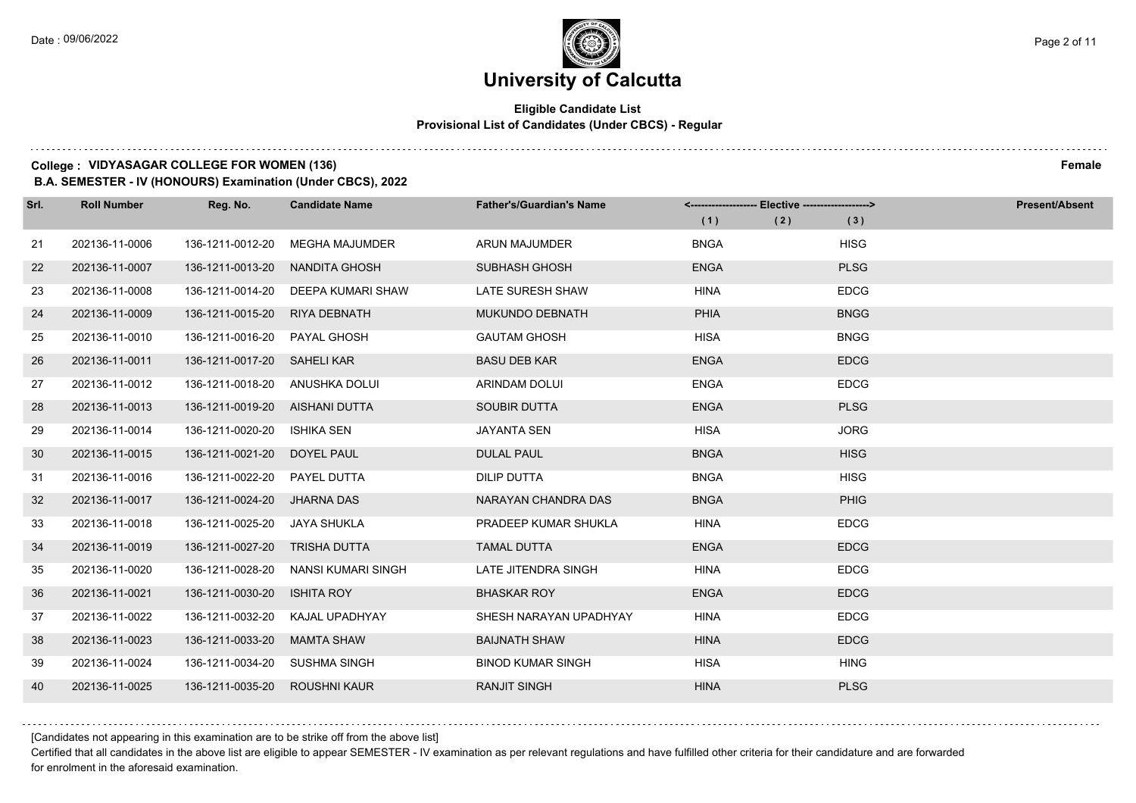### **University of Calcutta**

### **Eligible Candidate List Provisional List of Candidates (Under CBCS) - Regular**

#### **College : VIDYASAGAR COLLEGE FOR WOMEN (136) Female**

**B.A. SEMESTER - IV (HONOURS) Examination (Under CBCS), 2022**

| Srl. | <b>Roll Number</b> | Reg. No.                       | <b>Candidate Name</b> | <b>Father's/Guardian's Name</b> |             | <-------------------- Elective -------------------> |             | <b>Present/Absent</b> |
|------|--------------------|--------------------------------|-----------------------|---------------------------------|-------------|-----------------------------------------------------|-------------|-----------------------|
|      |                    |                                |                       |                                 | (1)         | (2)                                                 | (3)         |                       |
| 21   | 202136-11-0006     | 136-1211-0012-20               | <b>MEGHA MAJUMDER</b> | <b>ARUN MAJUMDER</b>            | <b>BNGA</b> |                                                     | <b>HISG</b> |                       |
| 22   | 202136-11-0007     | 136-1211-0013-20               | NANDITA GHOSH         | <b>SUBHASH GHOSH</b>            | <b>ENGA</b> |                                                     | <b>PLSG</b> |                       |
| 23   | 202136-11-0008     | 136-1211-0014-20               | DEEPA KUMARI SHAW     | LATE SURESH SHAW                | <b>HINA</b> |                                                     | <b>EDCG</b> |                       |
| 24   | 202136-11-0009     | 136-1211-0015-20               | RIYA DEBNATH          | MUKUNDO DEBNATH                 | <b>PHIA</b> |                                                     | <b>BNGG</b> |                       |
| 25   | 202136-11-0010     | 136-1211-0016-20               | PAYAL GHOSH           | <b>GAUTAM GHOSH</b>             | <b>HISA</b> |                                                     | <b>BNGG</b> |                       |
| 26   | 202136-11-0011     | 136-1211-0017-20 SAHELI KAR    |                       | <b>BASU DEB KAR</b>             | <b>ENGA</b> |                                                     | <b>EDCG</b> |                       |
| 27   | 202136-11-0012     | 136-1211-0018-20 ANUSHKA DOLUI |                       | ARINDAM DOLUI                   | <b>ENGA</b> |                                                     | <b>EDCG</b> |                       |
| 28   | 202136-11-0013     | 136-1211-0019-20 AISHANI DUTTA |                       | <b>SOUBIR DUTTA</b>             | <b>ENGA</b> |                                                     | <b>PLSG</b> |                       |
| 29   | 202136-11-0014     | 136-1211-0020-20               | <b>ISHIKA SEN</b>     | <b>JAYANTA SEN</b>              | HISA        |                                                     | <b>JORG</b> |                       |
| 30   | 202136-11-0015     | 136-1211-0021-20               | DOYEL PAUL            | <b>DULAL PAUL</b>               | <b>BNGA</b> |                                                     | <b>HISG</b> |                       |
| 31   | 202136-11-0016     | 136-1211-0022-20               | PAYEL DUTTA           | DILIP DUTTA                     | <b>BNGA</b> |                                                     | <b>HISG</b> |                       |
| 32   | 202136-11-0017     | 136-1211-0024-20               | <b>JHARNA DAS</b>     | NARAYAN CHANDRA DAS             | <b>BNGA</b> |                                                     | PHIG        |                       |
| 33   | 202136-11-0018     | 136-1211-0025-20               | <b>JAYA SHUKLA</b>    | PRADEEP KUMAR SHUKLA            | <b>HINA</b> |                                                     | <b>EDCG</b> |                       |
| 34   | 202136-11-0019     | 136-1211-0027-20               | TRISHA DUTTA          | <b>TAMAL DUTTA</b>              | <b>ENGA</b> |                                                     | <b>EDCG</b> |                       |
| 35   | 202136-11-0020     | 136-1211-0028-20               | NANSI KUMARI SINGH    | LATE JITENDRA SINGH             | <b>HINA</b> |                                                     | <b>EDCG</b> |                       |
| 36   | 202136-11-0021     | 136-1211-0030-20               | <b>ISHITA ROY</b>     | <b>BHASKAR ROY</b>              | <b>ENGA</b> |                                                     | <b>EDCG</b> |                       |
| 37   | 202136-11-0022     | 136-1211-0032-20               | KAJAL UPADHYAY        | SHESH NARAYAN UPADHYAY          | <b>HINA</b> |                                                     | <b>EDCG</b> |                       |
| 38   | 202136-11-0023     | 136-1211-0033-20               | <b>MAMTA SHAW</b>     | <b>BAIJNATH SHAW</b>            | <b>HINA</b> |                                                     | <b>EDCG</b> |                       |
| 39   | 202136-11-0024     | 136-1211-0034-20 SUSHMA SINGH  |                       | <b>BINOD KUMAR SINGH</b>        | <b>HISA</b> |                                                     | <b>HING</b> |                       |
| 40   | 202136-11-0025     | 136-1211-0035-20               | <b>ROUSHNI KAUR</b>   | <b>RANJIT SINGH</b>             | <b>HINA</b> |                                                     | <b>PLSG</b> |                       |

[Candidates not appearing in this examination are to be strike off from the above list]

Certified that all candidates in the above list are eligible to appear SEMESTER - IV examination as per relevant regulations and have fulfilled other criteria for their candidature and are forwarded for enrolment in the aforesaid examination.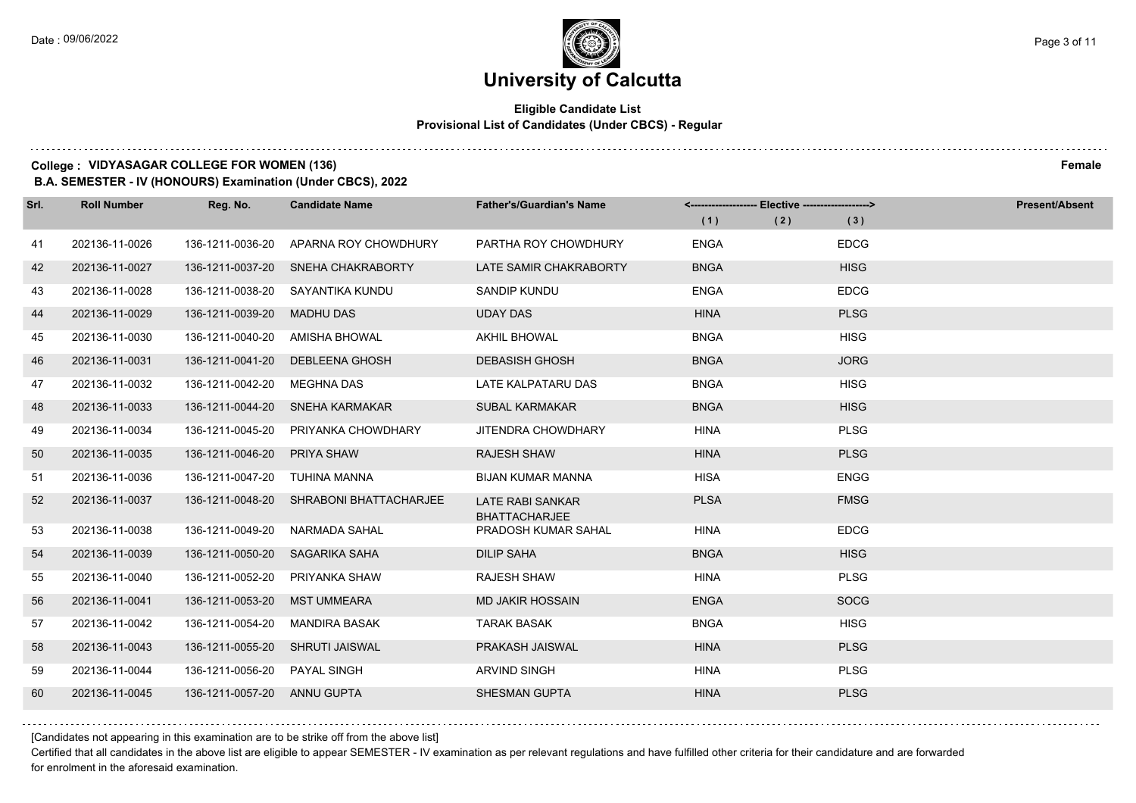a a a a

### **University of Calcutta**

### **Eligible Candidate List Provisional List of Candidates (Under CBCS) - Regular**

#### **College : VIDYASAGAR COLLEGE FOR WOMEN (136) Female**

**B.A. SEMESTER - IV (HONOURS) Examination (Under CBCS), 2022**

| Srl. | <b>Roll Number</b> | Reg. No.                    | <b>Candidate Name</b>  | <b>Father's/Guardian's Name</b>                 | <------------------- Elective ------------------> |             | <b>Present/Absent</b> |
|------|--------------------|-----------------------------|------------------------|-------------------------------------------------|---------------------------------------------------|-------------|-----------------------|
|      |                    |                             |                        |                                                 | (1)                                               | (2)<br>(3)  |                       |
| 41   | 202136-11-0026     | 136-1211-0036-20            | APARNA ROY CHOWDHURY   | PARTHA ROY CHOWDHURY                            | <b>ENGA</b>                                       | <b>EDCG</b> |                       |
| 42   | 202136-11-0027     | 136-1211-0037-20            | SNEHA CHAKRABORTY      | LATE SAMIR CHAKRABORTY                          | <b>BNGA</b>                                       | <b>HISG</b> |                       |
| 43   | 202136-11-0028     | 136-1211-0038-20            | SAYANTIKA KUNDU        | SANDIP KUNDU                                    | <b>ENGA</b>                                       | <b>EDCG</b> |                       |
| 44   | 202136-11-0029     | 136-1211-0039-20            | <b>MADHU DAS</b>       | <b>UDAY DAS</b>                                 | <b>HINA</b>                                       | <b>PLSG</b> |                       |
| 45   | 202136-11-0030     | 136-1211-0040-20            | <b>AMISHA BHOWAL</b>   | <b>AKHIL BHOWAL</b>                             | <b>BNGA</b>                                       | <b>HISG</b> |                       |
| 46   | 202136-11-0031     | 136-1211-0041-20            | DEBLEENA GHOSH         | <b>DEBASISH GHOSH</b>                           | <b>BNGA</b>                                       | <b>JORG</b> |                       |
| 47   | 202136-11-0032     | 136-1211-0042-20            | MEGHNA DAS             | LATE KALPATARU DAS                              | <b>BNGA</b>                                       | <b>HISG</b> |                       |
| 48   | 202136-11-0033     | 136-1211-0044-20            | SNEHA KARMAKAR         | <b>SUBAL KARMAKAR</b>                           | <b>BNGA</b>                                       | <b>HISG</b> |                       |
| 49   | 202136-11-0034     | 136-1211-0045-20            | PRIYANKA CHOWDHARY     | <b>JITENDRA CHOWDHARY</b>                       | <b>HINA</b>                                       | <b>PLSG</b> |                       |
| 50   | 202136-11-0035     | 136-1211-0046-20            | PRIYA SHAW             | <b>RAJESH SHAW</b>                              | <b>HINA</b>                                       | <b>PLSG</b> |                       |
| 51   | 202136-11-0036     | 136-1211-0047-20            | TUHINA MANNA           | <b>BIJAN KUMAR MANNA</b>                        | <b>HISA</b>                                       | <b>ENGG</b> |                       |
| 52   | 202136-11-0037     | 136-1211-0048-20            | SHRABONI BHATTACHARJEE | <b>LATE RABI SANKAR</b><br><b>BHATTACHARJEE</b> | <b>PLSA</b>                                       | <b>FMSG</b> |                       |
| 53   | 202136-11-0038     | 136-1211-0049-20            | NARMADA SAHAL          | PRADOSH KUMAR SAHAL                             | <b>HINA</b>                                       | <b>EDCG</b> |                       |
| 54   | 202136-11-0039     | 136-1211-0050-20            | SAGARIKA SAHA          | <b>DILIP SAHA</b>                               | <b>BNGA</b>                                       | <b>HISG</b> |                       |
| 55   | 202136-11-0040     | 136-1211-0052-20            | PRIYANKA SHAW          | <b>RAJESH SHAW</b>                              | <b>HINA</b>                                       | <b>PLSG</b> |                       |
| 56   | 202136-11-0041     | 136-1211-0053-20            | MST UMMEARA            | <b>MD JAKIR HOSSAIN</b>                         | <b>ENGA</b>                                       | <b>SOCG</b> |                       |
| 57   | 202136-11-0042     | 136-1211-0054-20            | <b>MANDIRA BASAK</b>   | <b>TARAK BASAK</b>                              | <b>BNGA</b>                                       | <b>HISG</b> |                       |
| 58   | 202136-11-0043     | 136-1211-0055-20            | SHRUTI JAISWAL         | PRAKASH JAISWAL                                 | <b>HINA</b>                                       | <b>PLSG</b> |                       |
| 59   | 202136-11-0044     | 136-1211-0056-20            | <b>PAYAL SINGH</b>     | <b>ARVIND SINGH</b>                             | <b>HINA</b>                                       | <b>PLSG</b> |                       |
| 60   | 202136-11-0045     | 136-1211-0057-20 ANNU GUPTA |                        | <b>SHESMAN GUPTA</b>                            | <b>HINA</b>                                       | <b>PLSG</b> |                       |

[Candidates not appearing in this examination are to be strike off from the above list]

Certified that all candidates in the above list are eligible to appear SEMESTER - IV examination as per relevant regulations and have fulfilled other criteria for their candidature and are forwarded for enrolment in the aforesaid examination.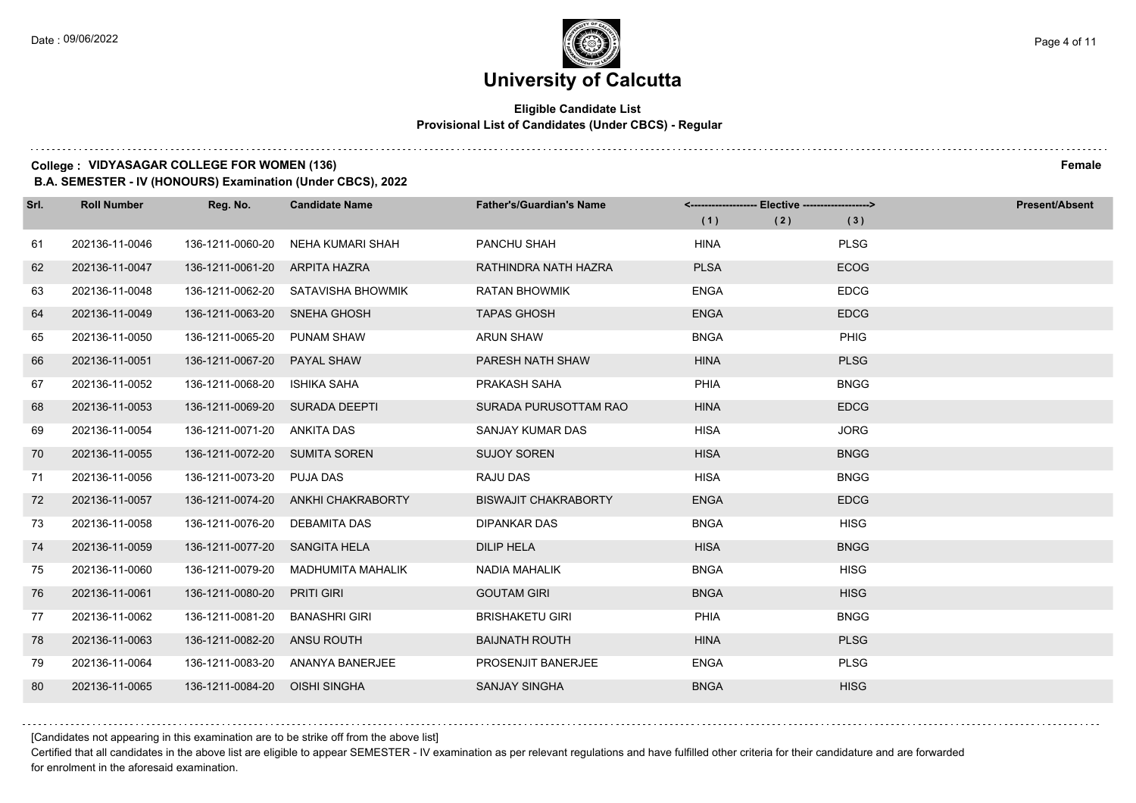### **University of Calcutta**

### **Eligible Candidate List Provisional List of Candidates (Under CBCS) - Regular**

### **College : VIDYASAGAR COLLEGE FOR WOMEN (136) Female**

**B.A. SEMESTER - IV (HONOURS) Examination (Under CBCS), 2022**

| Srl. | <b>Roll Number</b> | Reg. No.                       | <b>Candidate Name</b>              | <b>Father's/Guardian's Name</b> | <------------------- Elective ------------------> |     | <b>Present/Absent</b> |
|------|--------------------|--------------------------------|------------------------------------|---------------------------------|---------------------------------------------------|-----|-----------------------|
|      |                    |                                |                                    |                                 | (1)                                               | (2) | (3)                   |
| 61   | 202136-11-0046     | 136-1211-0060-20               | NEHA KUMARI SHAH                   | PANCHU SHAH                     | <b>HINA</b>                                       |     | <b>PLSG</b>           |
| 62   | 202136-11-0047     | 136-1211-0061-20 ARPITA HAZRA  |                                    | RATHINDRA NATH HAZRA            | <b>PLSA</b>                                       |     | <b>ECOG</b>           |
| 63   | 202136-11-0048     |                                | 136-1211-0062-20 SATAVISHA BHOWMIK | <b>RATAN BHOWMIK</b>            | <b>ENGA</b>                                       |     | <b>EDCG</b>           |
| 64   | 202136-11-0049     | 136-1211-0063-20 SNEHA GHOSH   |                                    | <b>TAPAS GHOSH</b>              | <b>ENGA</b>                                       |     | <b>EDCG</b>           |
| 65   | 202136-11-0050     | 136-1211-0065-20               | <b>PUNAM SHAW</b>                  | <b>ARUN SHAW</b>                | <b>BNGA</b>                                       |     | <b>PHIG</b>           |
| 66   | 202136-11-0051     | 136-1211-0067-20               | PAYAL SHAW                         | PARESH NATH SHAW                | <b>HINA</b>                                       |     | <b>PLSG</b>           |
| 67   | 202136-11-0052     | 136-1211-0068-20               | ISHIKA SAHA                        | PRAKASH SAHA                    | PHIA                                              |     | <b>BNGG</b>           |
| 68   | 202136-11-0053     | 136-1211-0069-20 SURADA DEEPTI |                                    | SURADA PURUSOTTAM RAO           | <b>HINA</b>                                       |     | <b>EDCG</b>           |
| 69   | 202136-11-0054     | 136-1211-0071-20               | ANKITA DAS                         | SANJAY KUMAR DAS                | <b>HISA</b>                                       |     | <b>JORG</b>           |
| 70   | 202136-11-0055     | 136-1211-0072-20 SUMITA SOREN  |                                    | <b>SUJOY SOREN</b>              | <b>HISA</b>                                       |     | <b>BNGG</b>           |
| 71   | 202136-11-0056     | 136-1211-0073-20               | PUJA DAS                           | RAJU DAS                        | <b>HISA</b>                                       |     | <b>BNGG</b>           |
| 72   | 202136-11-0057     |                                | 136-1211-0074-20 ANKHI CHAKRABORTY | <b>BISWAJIT CHAKRABORTY</b>     | <b>ENGA</b>                                       |     | <b>EDCG</b>           |
| 73   | 202136-11-0058     | 136-1211-0076-20               | DEBAMITA DAS                       | <b>DIPANKAR DAS</b>             | <b>BNGA</b>                                       |     | <b>HISG</b>           |
| 74   | 202136-11-0059     | 136-1211-0077-20               | <b>SANGITA HELA</b>                | <b>DILIP HELA</b>               | <b>HISA</b>                                       |     | <b>BNGG</b>           |
| 75   | 202136-11-0060     | 136-1211-0079-20               | MADHUMITA MAHALIK                  | <b>NADIA MAHALIK</b>            | <b>BNGA</b>                                       |     | <b>HISG</b>           |
| 76   | 202136-11-0061     | 136-1211-0080-20               | <b>PRITI GIRI</b>                  | <b>GOUTAM GIRI</b>              | <b>BNGA</b>                                       |     | <b>HISG</b>           |
| 77   | 202136-11-0062     | 136-1211-0081-20               | <b>BANASHRI GIRI</b>               | <b>BRISHAKETU GIRI</b>          | PHIA                                              |     | <b>BNGG</b>           |
| 78   | 202136-11-0063     | 136-1211-0082-20 ANSU ROUTH    |                                    | <b>BAIJNATH ROUTH</b>           | <b>HINA</b>                                       |     | <b>PLSG</b>           |
| 79   | 202136-11-0064     |                                | 136-1211-0083-20 ANANYA BANERJEE   | PROSENJIT BANERJEE              | <b>ENGA</b>                                       |     | <b>PLSG</b>           |
| 80   | 202136-11-0065     | 136-1211-0084-20               | OISHI SINGHA                       | <b>SANJAY SINGHA</b>            | <b>BNGA</b>                                       |     | <b>HISG</b>           |

[Candidates not appearing in this examination are to be strike off from the above list]

Certified that all candidates in the above list are eligible to appear SEMESTER - IV examination as per relevant regulations and have fulfilled other criteria for their candidature and are forwarded for enrolment in the aforesaid examination.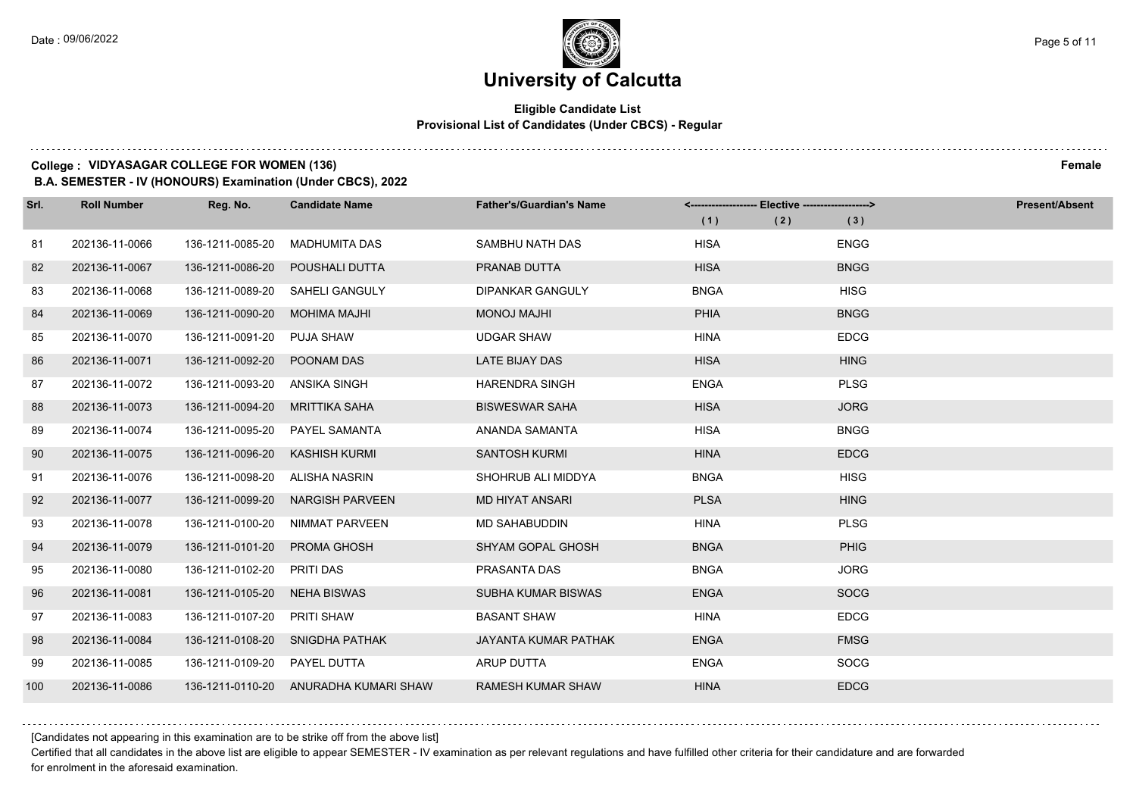### **Eligible Candidate List Provisional List of Candidates (Under CBCS) - Regular**

### **College : VIDYASAGAR COLLEGE FOR WOMEN (136) Female**

**B.A. SEMESTER - IV (HONOURS) Examination (Under CBCS), 2022**

| Srl. | <b>Roll Number</b> | Reg. No.         | <b>Candidate Name</b>                 | <b>Father's/Guardian's Name</b> | <------------------- Elective ------------------> |     |             | <b>Present/Absent</b> |
|------|--------------------|------------------|---------------------------------------|---------------------------------|---------------------------------------------------|-----|-------------|-----------------------|
|      |                    |                  |                                       |                                 | (1)                                               | (2) | (3)         |                       |
| 81   | 202136-11-0066     | 136-1211-0085-20 | <b>MADHUMITA DAS</b>                  | SAMBHU NATH DAS                 | <b>HISA</b>                                       |     | <b>ENGG</b> |                       |
| 82   | 202136-11-0067     | 136-1211-0086-20 | POUSHALI DUTTA                        | PRANAB DUTTA                    | <b>HISA</b>                                       |     | <b>BNGG</b> |                       |
| 83   | 202136-11-0068     | 136-1211-0089-20 | <b>SAHELI GANGULY</b>                 | <b>DIPANKAR GANGULY</b>         | <b>BNGA</b>                                       |     | <b>HISG</b> |                       |
| 84   | 202136-11-0069     | 136-1211-0090-20 | MOHIMA MAJHI                          | <b>IHLAN LONOM</b>              | <b>PHIA</b>                                       |     | <b>BNGG</b> |                       |
| 85   | 202136-11-0070     | 136-1211-0091-20 | PUJA SHAW                             | <b>UDGAR SHAW</b>               | <b>HINA</b>                                       |     | <b>EDCG</b> |                       |
| 86   | 202136-11-0071     | 136-1211-0092-20 | POONAM DAS                            | LATE BIJAY DAS                  | <b>HISA</b>                                       |     | <b>HING</b> |                       |
| 87   | 202136-11-0072     | 136-1211-0093-20 | ANSIKA SINGH                          | <b>HARENDRA SINGH</b>           | <b>ENGA</b>                                       |     | <b>PLSG</b> |                       |
| 88   | 202136-11-0073     | 136-1211-0094-20 | MRITTIKA SAHA                         | <b>BISWESWAR SAHA</b>           | <b>HISA</b>                                       |     | <b>JORG</b> |                       |
| 89   | 202136-11-0074     | 136-1211-0095-20 | <b>PAYEL SAMANTA</b>                  | ANANDA SAMANTA                  | <b>HISA</b>                                       |     | <b>BNGG</b> |                       |
| 90   | 202136-11-0075     | 136-1211-0096-20 | <b>KASHISH KURMI</b>                  | <b>SANTOSH KURMI</b>            | <b>HINA</b>                                       |     | <b>EDCG</b> |                       |
| 91   | 202136-11-0076     | 136-1211-0098-20 | ALISHA NASRIN                         | SHOHRUB ALI MIDDYA              | <b>BNGA</b>                                       |     | <b>HISG</b> |                       |
| 92   | 202136-11-0077     | 136-1211-0099-20 | NARGISH PARVEEN                       | <b>MD HIYAT ANSARI</b>          | <b>PLSA</b>                                       |     | <b>HING</b> |                       |
| 93   | 202136-11-0078     | 136-1211-0100-20 | NIMMAT PARVEEN                        | <b>MD SAHABUDDIN</b>            | <b>HINA</b>                                       |     | <b>PLSG</b> |                       |
| 94   | 202136-11-0079     | 136-1211-0101-20 | <b>PROMA GHOSH</b>                    | <b>SHYAM GOPAL GHOSH</b>        | <b>BNGA</b>                                       |     | PHIG        |                       |
| 95   | 202136-11-0080     | 136-1211-0102-20 | PRITI DAS                             | PRASANTA DAS                    | <b>BNGA</b>                                       |     | <b>JORG</b> |                       |
| 96   | 202136-11-0081     | 136-1211-0105-20 | <b>NEHA BISWAS</b>                    | SUBHA KUMAR BISWAS              | <b>ENGA</b>                                       |     | <b>SOCG</b> |                       |
| 97   | 202136-11-0083     | 136-1211-0107-20 | <b>PRITI SHAW</b>                     | <b>BASANT SHAW</b>              | <b>HINA</b>                                       |     | <b>EDCG</b> |                       |
| 98   | 202136-11-0084     | 136-1211-0108-20 | SNIGDHA PATHAK                        | JAYANTA KUMAR PATHAK            | <b>ENGA</b>                                       |     | <b>FMSG</b> |                       |
| 99   | 202136-11-0085     | 136-1211-0109-20 | PAYEL DUTTA                           | ARUP DUTTA                      | <b>ENGA</b>                                       |     | <b>SOCG</b> |                       |
| 100  | 202136-11-0086     |                  | 136-1211-0110-20 ANURADHA KUMARI SHAW | <b>RAMESH KUMAR SHAW</b>        | <b>HINA</b>                                       |     | <b>EDCG</b> |                       |

[Candidates not appearing in this examination are to be strike off from the above list]

Certified that all candidates in the above list are eligible to appear SEMESTER - IV examination as per relevant regulations and have fulfilled other criteria for their candidature and are forwarded for enrolment in the aforesaid examination.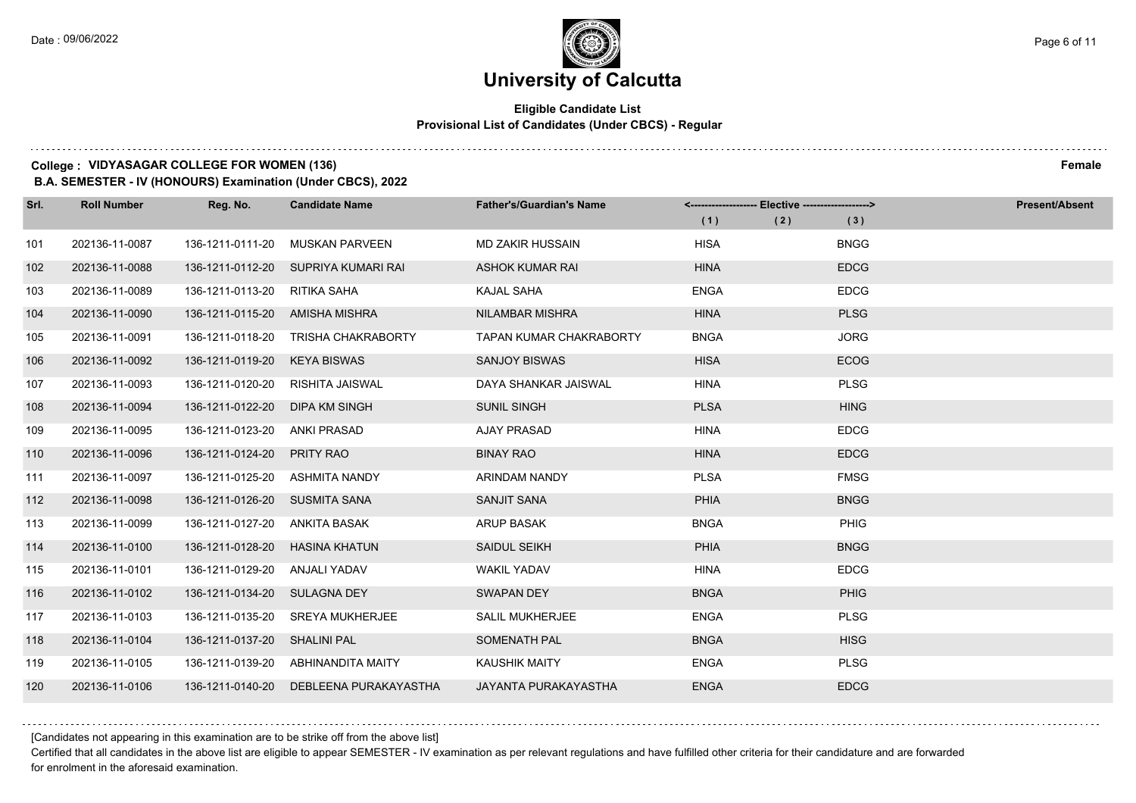### **Eligible Candidate List Provisional List of Candidates (Under CBCS) - Regular**

#### **College : VIDYASAGAR COLLEGE FOR WOMEN (136) Female**

**B.A. SEMESTER - IV (HONOURS) Examination (Under CBCS), 2022**

| Srl. | <b>Roll Number</b> | Reg. No.                       | <b>Candidate Name</b>               | <b>Father's/Guardian's Name</b> |             | <------------------- Elective ------------------> | <b>Present/Absent</b> |
|------|--------------------|--------------------------------|-------------------------------------|---------------------------------|-------------|---------------------------------------------------|-----------------------|
|      |                    |                                |                                     |                                 | (1)         | (2)                                               | (3)                   |
| 101  | 202136-11-0087     | 136-1211-0111-20               | <b>MUSKAN PARVEEN</b>               | <b>MD ZAKIR HUSSAIN</b>         | <b>HISA</b> |                                                   | <b>BNGG</b>           |
| 102  | 202136-11-0088     |                                | 136-1211-0112-20 SUPRIYA KUMARI RAI | <b>ASHOK KUMAR RAI</b>          | <b>HINA</b> |                                                   | <b>EDCG</b>           |
| 103  | 202136-11-0089     | 136-1211-0113-20               | RITIKA SAHA                         | <b>KAJAL SAHA</b>               | <b>ENGA</b> |                                                   | <b>EDCG</b>           |
| 104  | 202136-11-0090     | 136-1211-0115-20 AMISHA MISHRA |                                     | <b>NILAMBAR MISHRA</b>          | <b>HINA</b> |                                                   | <b>PLSG</b>           |
| 105  | 202136-11-0091     | 136-1211-0118-20               | <b>TRISHA CHAKRABORTY</b>           | TAPAN KUMAR CHAKRABORTY         | <b>BNGA</b> |                                                   | <b>JORG</b>           |
| 106  | 202136-11-0092     | 136-1211-0119-20               | KEYA BISWAS                         | <b>SANJOY BISWAS</b>            | <b>HISA</b> |                                                   | <b>ECOG</b>           |
| 107  | 202136-11-0093     | 136-1211-0120-20               | RISHITA JAISWAL                     | DAYA SHANKAR JAISWAL            | <b>HINA</b> |                                                   | <b>PLSG</b>           |
| 108  | 202136-11-0094     | 136-1211-0122-20               | DIPA KM SINGH                       | <b>SUNIL SINGH</b>              | <b>PLSA</b> |                                                   | <b>HING</b>           |
| 109  | 202136-11-0095     | 136-1211-0123-20               | ANKI PRASAD                         | <b>AJAY PRASAD</b>              | <b>HINA</b> |                                                   | <b>EDCG</b>           |
| 110  | 202136-11-0096     | 136-1211-0124-20 PRITY RAO     |                                     | <b>BINAY RAO</b>                | <b>HINA</b> |                                                   | <b>EDCG</b>           |
| 111  | 202136-11-0097     | 136-1211-0125-20 ASHMITA NANDY |                                     | ARINDAM NANDY                   | <b>PLSA</b> |                                                   | <b>FMSG</b>           |
| 112  | 202136-11-0098     | 136-1211-0126-20 SUSMITA SANA  |                                     | <b>SANJIT SANA</b>              | PHIA        |                                                   | <b>BNGG</b>           |
| 113  | 202136-11-0099     | 136-1211-0127-20               | ANKITA BASAK                        | ARUP BASAK                      | <b>BNGA</b> |                                                   | PHIG                  |
| 114  | 202136-11-0100     | 136-1211-0128-20               | HASINA KHATUN                       | <b>SAIDUL SEIKH</b>             | <b>PHIA</b> |                                                   | <b>BNGG</b>           |
| 115  | 202136-11-0101     | 136-1211-0129-20 ANJALI YADAV  |                                     | <b>WAKIL YADAV</b>              | <b>HINA</b> |                                                   | <b>EDCG</b>           |
| 116  | 202136-11-0102     | 136-1211-0134-20 SULAGNA DEY   |                                     | <b>SWAPAN DEY</b>               | <b>BNGA</b> |                                                   | <b>PHIG</b>           |
| 117  | 202136-11-0103     | 136-1211-0135-20               | <b>SREYA MUKHERJEE</b>              | <b>SALIL MUKHERJEE</b>          | <b>ENGA</b> |                                                   | PLSG                  |
| 118  | 202136-11-0104     | 136-1211-0137-20               | SHALINI PAL                         | SOMENATH PAL                    | <b>BNGA</b> |                                                   | <b>HISG</b>           |
| 119  | 202136-11-0105     |                                | 136-1211-0139-20 ABHINANDITA MAITY  | <b>KAUSHIK MAITY</b>            | <b>ENGA</b> |                                                   | <b>PLSG</b>           |
| 120  | 202136-11-0106     | 136-1211-0140-20               | DEBLEENA PURAKAYASTHA               | JAYANTA PURAKAYASTHA            | <b>ENGA</b> |                                                   | <b>EDCG</b>           |

[Candidates not appearing in this examination are to be strike off from the above list]

Certified that all candidates in the above list are eligible to appear SEMESTER - IV examination as per relevant regulations and have fulfilled other criteria for their candidature and are forwarded for enrolment in the aforesaid examination.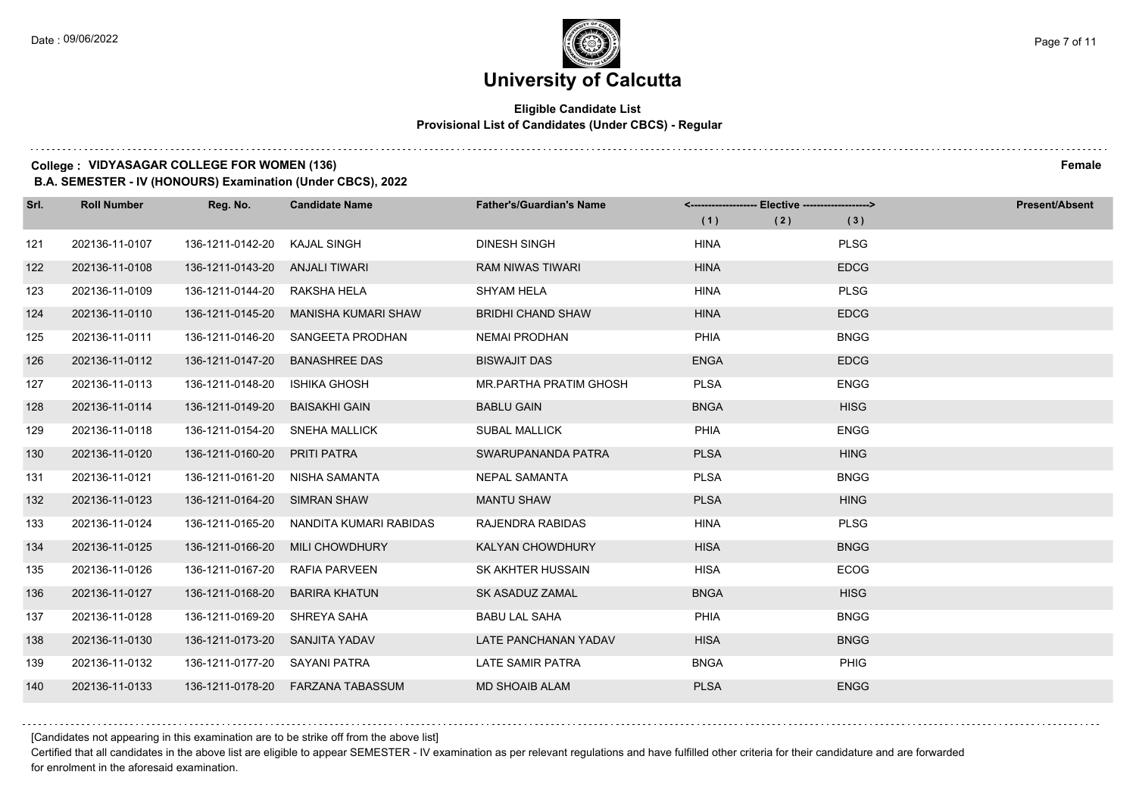### **Eligible Candidate List Provisional List of Candidates (Under CBCS) - Regular**

#### **College : VIDYASAGAR COLLEGE FOR WOMEN (136) Female**

**B.A. SEMESTER - IV (HONOURS) Examination (Under CBCS), 2022**

| Srl. | <b>Roll Number</b> | Reg. No.                       | <b>Candidate Name</b>                | <b>Father's/Guardian's Name</b> | <------------------- Elective ------------------> |     |             | <b>Present/Absent</b> |
|------|--------------------|--------------------------------|--------------------------------------|---------------------------------|---------------------------------------------------|-----|-------------|-----------------------|
|      |                    |                                |                                      |                                 | (1)                                               | (2) | (3)         |                       |
| 121  | 202136-11-0107     | 136-1211-0142-20               | <b>KAJAL SINGH</b>                   | <b>DINESH SINGH</b>             | <b>HINA</b>                                       |     | <b>PLSG</b> |                       |
| 122  | 202136-11-0108     | 136-1211-0143-20 ANJALI TIWARI |                                      | <b>RAM NIWAS TIWARI</b>         | <b>HINA</b>                                       |     | <b>EDCG</b> |                       |
| 123  | 202136-11-0109     | 136-1211-0144-20               | RAKSHA HELA                          | <b>SHYAM HELA</b>               | <b>HINA</b>                                       |     | <b>PLSG</b> |                       |
| 124  | 202136-11-0110     | 136-1211-0145-20               | MANISHA KUMARI SHAW                  | <b>BRIDHI CHAND SHAW</b>        | <b>HINA</b>                                       |     | <b>EDCG</b> |                       |
| 125  | 202136-11-0111     | 136-1211-0146-20               | SANGEETA PRODHAN                     | <b>NEMAI PRODHAN</b>            | PHIA                                              |     | <b>BNGG</b> |                       |
| 126  | 202136-11-0112     | 136-1211-0147-20               | <b>BANASHREE DAS</b>                 | <b>BISWAJIT DAS</b>             | <b>ENGA</b>                                       |     | <b>EDCG</b> |                       |
| 127  | 202136-11-0113     | 136-1211-0148-20               | <b>ISHIKA GHOSH</b>                  | MR.PARTHA PRATIM GHOSH          | <b>PLSA</b>                                       |     | <b>ENGG</b> |                       |
| 128  | 202136-11-0114     | 136-1211-0149-20               | <b>BAISAKHI GAIN</b>                 | <b>BABLU GAIN</b>               | <b>BNGA</b>                                       |     | <b>HISG</b> |                       |
| 129  | 202136-11-0118     | 136-1211-0154-20               | <b>SNEHA MALLICK</b>                 | <b>SUBAL MALLICK</b>            | PHIA                                              |     | <b>ENGG</b> |                       |
| 130  | 202136-11-0120     | 136-1211-0160-20               | <b>PRITI PATRA</b>                   | SWARUPANANDA PATRA              | <b>PLSA</b>                                       |     | <b>HING</b> |                       |
| 131  | 202136-11-0121     | 136-1211-0161-20               | NISHA SAMANTA                        | NEPAL SAMANTA                   | <b>PLSA</b>                                       |     | <b>BNGG</b> |                       |
| 132  | 202136-11-0123     | 136-1211-0164-20 SIMRAN SHAW   |                                      | <b>MANTU SHAW</b>               | <b>PLSA</b>                                       |     | <b>HING</b> |                       |
| 133  | 202136-11-0124     | 136-1211-0165-20               | NANDITA KUMARI RABIDAS               | RAJENDRA RABIDAS                | <b>HINA</b>                                       |     | <b>PLSG</b> |                       |
| 134  | 202136-11-0125     | 136-1211-0166-20               | <b>MILI CHOWDHURY</b>                | <b>KALYAN CHOWDHURY</b>         | <b>HISA</b>                                       |     | <b>BNGG</b> |                       |
| 135  | 202136-11-0126     | 136-1211-0167-20               | <b>RAFIA PARVEEN</b>                 | SK AKHTER HUSSAIN               | <b>HISA</b>                                       |     | <b>ECOG</b> |                       |
| 136  | 202136-11-0127     | 136-1211-0168-20               | BARIRA KHATUN                        | SK ASADUZ ZAMAL                 | <b>BNGA</b>                                       |     | <b>HISG</b> |                       |
| 137  | 202136-11-0128     | 136-1211-0169-20               | SHREYA SAHA                          | <b>BABU LAL SAHA</b>            | PHIA                                              |     | <b>BNGG</b> |                       |
| 138  | 202136-11-0130     | 136-1211-0173-20               | SANJITA YADAV                        | LATE PANCHANAN YADAV            | <b>HISA</b>                                       |     | <b>BNGG</b> |                       |
| 139  | 202136-11-0132     | 136-1211-0177-20 SAYANI PATRA  |                                      | LATE SAMIR PATRA                | <b>BNGA</b>                                       |     | PHIG        |                       |
| 140  | 202136-11-0133     |                                | 136-1211-0178-20    FARZANA TABASSUM | <b>MD SHOAIB ALAM</b>           | <b>PLSA</b>                                       |     | <b>ENGG</b> |                       |

[Candidates not appearing in this examination are to be strike off from the above list]

Certified that all candidates in the above list are eligible to appear SEMESTER - IV examination as per relevant regulations and have fulfilled other criteria for their candidature and are forwarded for enrolment in the aforesaid examination.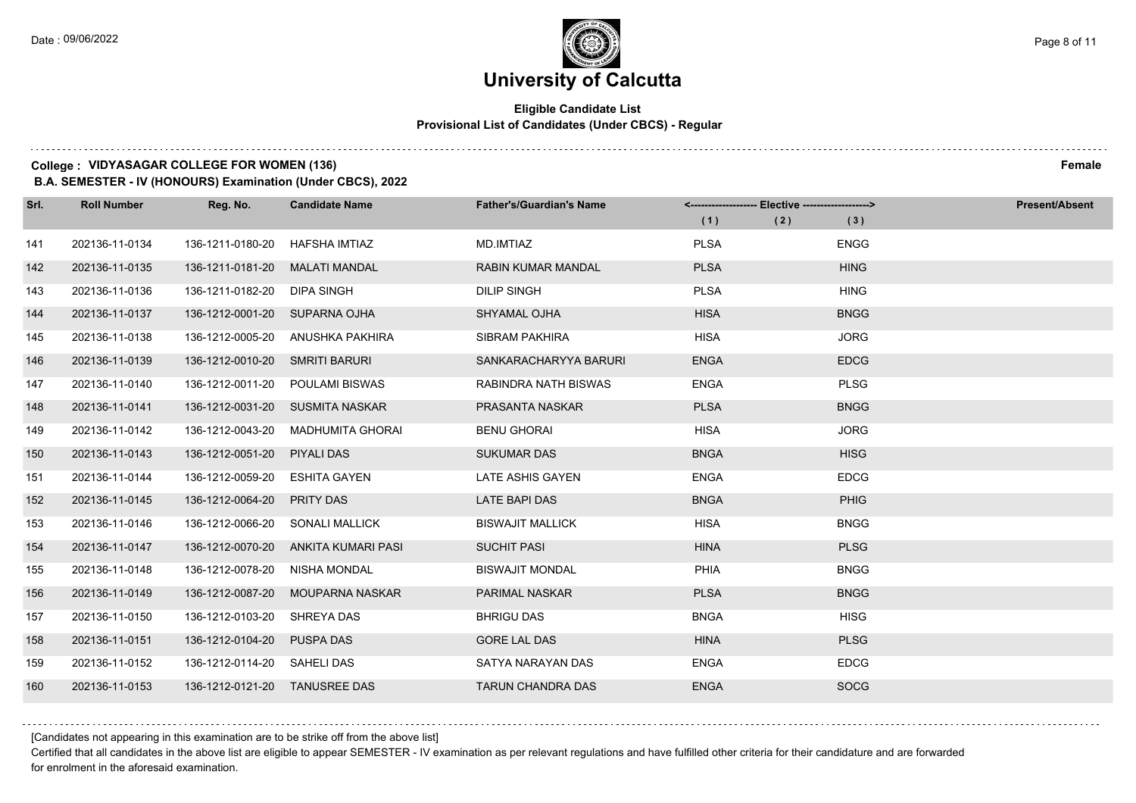### **Eligible Candidate List Provisional List of Candidates (Under CBCS) - Regular**

#### **College : VIDYASAGAR COLLEGE FOR WOMEN (136) Female**

**B.A. SEMESTER - IV (HONOURS) Examination (Under CBCS), 2022**

| Srl. | <b>Roll Number</b> | Reg. No.                       | <b>Candidate Name</b>           | <b>Father's/Guardian's Name</b> | <------------------- Elective ------------------> |     |             | <b>Present/Absent</b> |
|------|--------------------|--------------------------------|---------------------------------|---------------------------------|---------------------------------------------------|-----|-------------|-----------------------|
|      |                    |                                |                                 |                                 | (1)                                               | (2) | (3)         |                       |
| 141  | 202136-11-0134     | 136-1211-0180-20               | HAFSHA IMTIAZ                   | MD.IMTIAZ                       | <b>PLSA</b>                                       |     | <b>ENGG</b> |                       |
| 142  | 202136-11-0135     | 136-1211-0181-20 MALATI MANDAL |                                 | <b>RABIN KUMAR MANDAL</b>       | <b>PLSA</b>                                       |     | <b>HING</b> |                       |
| 143  | 202136-11-0136     | 136-1211-0182-20 DIPA SINGH    |                                 | <b>DILIP SINGH</b>              | <b>PLSA</b>                                       |     | <b>HING</b> |                       |
| 144  | 202136-11-0137     | 136-1212-0001-20 SUPARNA OJHA  |                                 | <b>SHYAMAL OJHA</b>             | <b>HISA</b>                                       |     | <b>BNGG</b> |                       |
| 145  | 202136-11-0138     | 136-1212-0005-20               | ANUSHKA PAKHIRA                 | SIBRAM PAKHIRA                  | <b>HISA</b>                                       |     | <b>JORG</b> |                       |
| 146  | 202136-11-0139     | 136-1212-0010-20 SMRITI BARURI |                                 | SANKARACHARYYA BARURI           | <b>ENGA</b>                                       |     | <b>EDCG</b> |                       |
| 147  | 202136-11-0140     |                                | 136-1212-0011-20 POULAMI BISWAS | <b>RABINDRA NATH BISWAS</b>     | <b>ENGA</b>                                       |     | <b>PLSG</b> |                       |
| 148  | 202136-11-0141     |                                | 136-1212-0031-20 SUSMITA NASKAR | PRASANTA NASKAR                 | <b>PLSA</b>                                       |     | <b>BNGG</b> |                       |
| 149  | 202136-11-0142     | 136-1212-0043-20               | MADHUMITA GHORAI                | <b>BENU GHORAI</b>              | <b>HISA</b>                                       |     | <b>JORG</b> |                       |
| 150  | 202136-11-0143     | 136-1212-0051-20 PIYALI DAS    |                                 | <b>SUKUMAR DAS</b>              | <b>BNGA</b>                                       |     | <b>HISG</b> |                       |
| 151  | 202136-11-0144     | 136-1212-0059-20               | ESHITA GAYEN                    | LATE ASHIS GAYEN                | <b>ENGA</b>                                       |     | <b>EDCG</b> |                       |
| 152  | 202136-11-0145     | 136-1212-0064-20               | <b>PRITY DAS</b>                | <b>LATE BAPI DAS</b>            | <b>BNGA</b>                                       |     | PHIG        |                       |
| 153  | 202136-11-0146     | 136-1212-0066-20               | <b>SONALI MALLICK</b>           | <b>BISWAJIT MALLICK</b>         | <b>HISA</b>                                       |     | <b>BNGG</b> |                       |
| 154  | 202136-11-0147     | 136-1212-0070-20               | ANKITA KUMARI PASI              | <b>SUCHIT PASI</b>              | <b>HINA</b>                                       |     | <b>PLSG</b> |                       |
| 155  | 202136-11-0148     | 136-1212-0078-20               | NISHA MONDAL                    | <b>BISWAJIT MONDAL</b>          | PHIA                                              |     | <b>BNGG</b> |                       |
| 156  | 202136-11-0149     | 136-1212-0087-20               | MOUPARNA NASKAR                 | <b>PARIMAL NASKAR</b>           | <b>PLSA</b>                                       |     | <b>BNGG</b> |                       |
| 157  | 202136-11-0150     | 136-1212-0103-20               | SHREYA DAS                      | <b>BHRIGU DAS</b>               | <b>BNGA</b>                                       |     | <b>HISG</b> |                       |
| 158  | 202136-11-0151     | 136-1212-0104-20               | <b>PUSPA DAS</b>                | <b>GORE LAL DAS</b>             | <b>HINA</b>                                       |     | <b>PLSG</b> |                       |
| 159  | 202136-11-0152     | 136-1212-0114-20 SAHELI DAS    |                                 | SATYA NARAYAN DAS               | <b>ENGA</b>                                       |     | <b>EDCG</b> |                       |
| 160  | 202136-11-0153     | 136-1212-0121-20 TANUSREE DAS  |                                 | <b>TARUN CHANDRA DAS</b>        | <b>ENGA</b>                                       |     | <b>SOCG</b> |                       |

[Candidates not appearing in this examination are to be strike off from the above list]

Certified that all candidates in the above list are eligible to appear SEMESTER - IV examination as per relevant regulations and have fulfilled other criteria for their candidature and are forwarded for enrolment in the aforesaid examination.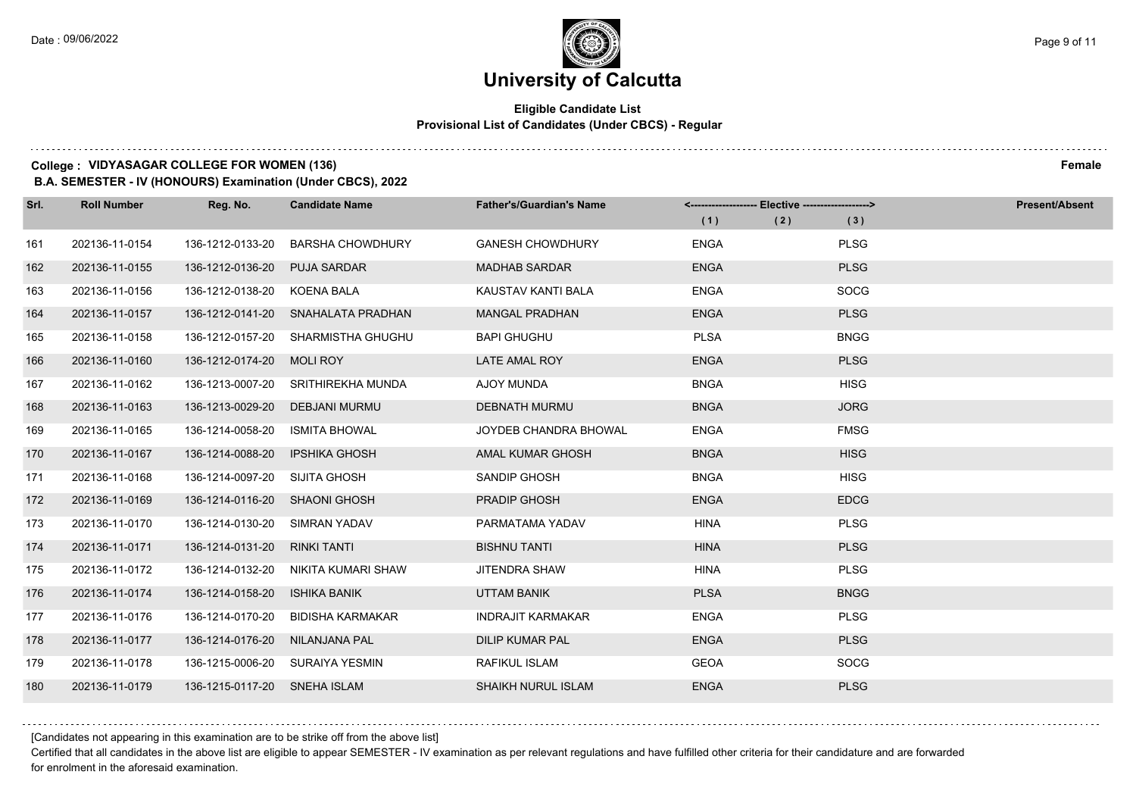### **Eligible Candidate List Provisional List of Candidates (Under CBCS) - Regular**

### **College : VIDYASAGAR COLLEGE FOR WOMEN (136) Female**

**B.A. SEMESTER - IV (HONOURS) Examination (Under CBCS), 2022**

| Srl. | <b>Roll Number</b> | Reg. No.                     | <b>Candidate Name</b>              | <b>Father's/Guardian's Name</b> | <------------------- Elective -------------------> |     |             | <b>Present/Absent</b> |
|------|--------------------|------------------------------|------------------------------------|---------------------------------|----------------------------------------------------|-----|-------------|-----------------------|
|      |                    |                              |                                    |                                 | (1)                                                | (2) | (3)         |                       |
| 161  | 202136-11-0154     | 136-1212-0133-20             | <b>BARSHA CHOWDHURY</b>            | <b>GANESH CHOWDHURY</b>         | <b>ENGA</b>                                        |     | <b>PLSG</b> |                       |
| 162  | 202136-11-0155     | 136-1212-0136-20             | <b>PUJA SARDAR</b>                 | <b>MADHAB SARDAR</b>            | <b>ENGA</b>                                        |     | <b>PLSG</b> |                       |
| 163  | 202136-11-0156     | 136-1212-0138-20             | KOENA BALA                         | KAUSTAV KANTI BALA              | <b>ENGA</b>                                        |     | <b>SOCG</b> |                       |
| 164  | 202136-11-0157     |                              | 136-1212-0141-20 SNAHALATA PRADHAN | <b>MANGAL PRADHAN</b>           | <b>ENGA</b>                                        |     | <b>PLSG</b> |                       |
| 165  | 202136-11-0158     | 136-1212-0157-20             | SHARMISTHA GHUGHU                  | <b>BAPI GHUGHU</b>              | <b>PLSA</b>                                        |     | <b>BNGG</b> |                       |
| 166  | 202136-11-0160     | 136-1212-0174-20 MOLI ROY    |                                    | LATE AMAL ROY                   | <b>ENGA</b>                                        |     | <b>PLSG</b> |                       |
| 167  | 202136-11-0162     |                              | 136-1213-0007-20 SRITHIREKHA MUNDA | AJOY MUNDA                      | <b>BNGA</b>                                        |     | <b>HISG</b> |                       |
| 168  | 202136-11-0163     | 136-1213-0029-20             | DEBJANI MURMU                      | <b>DEBNATH MURMU</b>            | <b>BNGA</b>                                        |     | <b>JORG</b> |                       |
| 169  | 202136-11-0165     | 136-1214-0058-20             | <b>ISMITA BHOWAL</b>               | JOYDEB CHANDRA BHOWAL           | <b>ENGA</b>                                        |     | <b>FMSG</b> |                       |
| 170  | 202136-11-0167     | 136-1214-0088-20             | <b>IPSHIKA GHOSH</b>               | AMAL KUMAR GHOSH                | <b>BNGA</b>                                        |     | <b>HISG</b> |                       |
| 171  | 202136-11-0168     | 136-1214-0097-20             | SIJITA GHOSH                       | SANDIP GHOSH                    | <b>BNGA</b>                                        |     | <b>HISG</b> |                       |
| 172  | 202136-11-0169     | 136-1214-0116-20             | <b>SHAONI GHOSH</b>                | <b>PRADIP GHOSH</b>             | <b>ENGA</b>                                        |     | <b>EDCG</b> |                       |
| 173  | 202136-11-0170     | 136-1214-0130-20             | <b>SIMRAN YADAV</b>                | PARMATAMA YADAV                 | <b>HINA</b>                                        |     | <b>PLSG</b> |                       |
| 174  | 202136-11-0171     | 136-1214-0131-20             | <b>RINKI TANTI</b>                 | <b>BISHNU TANTI</b>             | <b>HINA</b>                                        |     | <b>PLSG</b> |                       |
| 175  | 202136-11-0172     | 136-1214-0132-20             | NIKITA KUMARI SHAW                 | <b>JITENDRA SHAW</b>            | <b>HINA</b>                                        |     | <b>PLSG</b> |                       |
| 176  | 202136-11-0174     | 136-1214-0158-20             | <b>ISHIKA BANIK</b>                | UTTAM BANIK                     | <b>PLSA</b>                                        |     | <b>BNGG</b> |                       |
| 177  | 202136-11-0176     | 136-1214-0170-20             | BIDISHA KARMAKAR                   | <b>INDRAJIT KARMAKAR</b>        | <b>ENGA</b>                                        |     | <b>PLSG</b> |                       |
| 178  | 202136-11-0177     | 136-1214-0176-20             | NILANJANA PAL                      | <b>DILIP KUMAR PAL</b>          | <b>ENGA</b>                                        |     | <b>PLSG</b> |                       |
| 179  | 202136-11-0178     |                              | 136-1215-0006-20 SURAIYA YESMIN    | RAFIKUL ISLAM                   | <b>GEOA</b>                                        |     | <b>SOCG</b> |                       |
| 180  | 202136-11-0179     | 136-1215-0117-20 SNEHA ISLAM |                                    | <b>SHAIKH NURUL ISLAM</b>       | <b>ENGA</b>                                        |     | <b>PLSG</b> |                       |

[Candidates not appearing in this examination are to be strike off from the above list]

Certified that all candidates in the above list are eligible to appear SEMESTER - IV examination as per relevant regulations and have fulfilled other criteria for their candidature and are forwarded for enrolment in the aforesaid examination.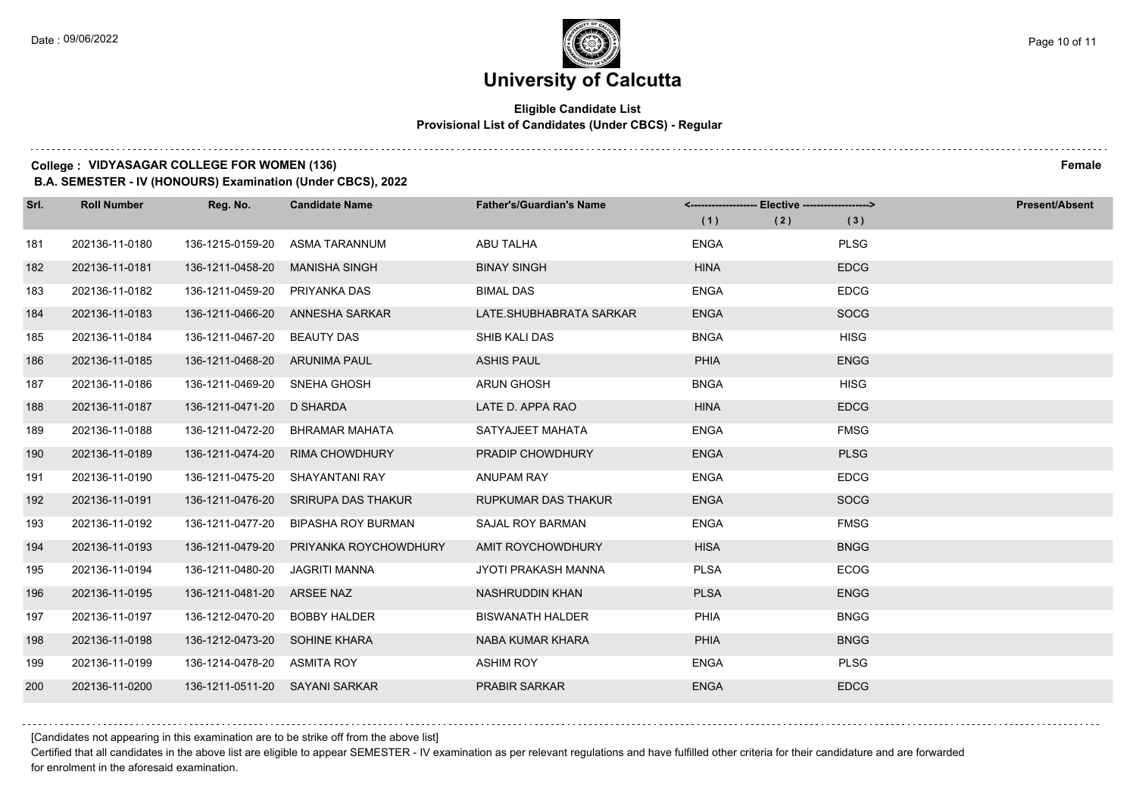### **University of Calcutta**

### **Eligible Candidate List Provisional List of Candidates (Under CBCS) - Regular**

### **College : VIDYASAGAR COLLEGE FOR WOMEN (136) Female**

**B.A. SEMESTER - IV (HONOURS) Examination (Under CBCS), 2022**

| Srl. | <b>Roll Number</b> | Reg. No.                       | <b>Candidate Name</b>     | <b>Father's/Guardian's Name</b> | <------------------- Elective ------------------> |     | <b>Present/Absent</b> |
|------|--------------------|--------------------------------|---------------------------|---------------------------------|---------------------------------------------------|-----|-----------------------|
|      |                    |                                |                           |                                 | (1)                                               | (2) | (3)                   |
| 181  | 202136-11-0180     | 136-1215-0159-20               | ASMA TARANNUM             | <b>ABU TALHA</b>                | <b>ENGA</b>                                       |     | <b>PLSG</b>           |
| 182  | 202136-11-0181     | 136-1211-0458-20               | <b>MANISHA SINGH</b>      | <b>BINAY SINGH</b>              | <b>HINA</b>                                       |     | <b>EDCG</b>           |
| 183  | 202136-11-0182     | 136-1211-0459-20 PRIYANKA DAS  |                           | <b>BIMAL DAS</b>                | <b>ENGA</b>                                       |     | <b>EDCG</b>           |
| 184  | 202136-11-0183     | 136-1211-0466-20               | ANNESHA SARKAR            | LATE.SHUBHABRATA SARKAR         | <b>ENGA</b>                                       |     | <b>SOCG</b>           |
| 185  | 202136-11-0184     | 136-1211-0467-20               | <b>BEAUTY DAS</b>         | SHIB KALI DAS                   | <b>BNGA</b>                                       |     | <b>HISG</b>           |
| 186  | 202136-11-0185     | 136-1211-0468-20 ARUNIMA PAUL  |                           | <b>ASHIS PAUL</b>               | <b>PHIA</b>                                       |     | <b>ENGG</b>           |
| 187  | 202136-11-0186     | 136-1211-0469-20               | SNEHA GHOSH               | <b>ARUN GHOSH</b>               | <b>BNGA</b>                                       |     | <b>HISG</b>           |
| 188  | 202136-11-0187     | 136-1211-0471-20 D SHARDA      |                           | LATE D. APPA RAO                | <b>HINA</b>                                       |     | <b>EDCG</b>           |
| 189  | 202136-11-0188     | 136-1211-0472-20               | <b>BHRAMAR MAHATA</b>     | SATYAJEET MAHATA                | <b>ENGA</b>                                       |     | <b>FMSG</b>           |
| 190  | 202136-11-0189     | 136-1211-0474-20               | <b>RIMA CHOWDHURY</b>     | PRADIP CHOWDHURY                | <b>ENGA</b>                                       |     | <b>PLSG</b>           |
| 191  | 202136-11-0190     | 136-1211-0475-20               | SHAYANTANI RAY            | ANUPAM RAY                      | <b>ENGA</b>                                       |     | <b>EDCG</b>           |
| 192  | 202136-11-0191     | 136-1211-0476-20               | SRIRUPA DAS THAKUR        | RUPKUMAR DAS THAKUR             | <b>ENGA</b>                                       |     | <b>SOCG</b>           |
| 193  | 202136-11-0192     | 136-1211-0477-20               | <b>BIPASHA ROY BURMAN</b> | <b>SAJAL ROY BARMAN</b>         | <b>ENGA</b>                                       |     | <b>FMSG</b>           |
| 194  | 202136-11-0193     | 136-1211-0479-20               | PRIYANKA ROYCHOWDHURY     | AMIT ROYCHOWDHURY               | <b>HISA</b>                                       |     | <b>BNGG</b>           |
| 195  | 202136-11-0194     | 136-1211-0480-20               | <b>JAGRITI MANNA</b>      | JYOTI PRAKASH MANNA             | <b>PLSA</b>                                       |     | <b>ECOG</b>           |
| 196  | 202136-11-0195     | 136-1211-0481-20               | ARSEE NAZ                 | NASHRUDDIN KHAN                 | <b>PLSA</b>                                       |     | <b>ENGG</b>           |
| 197  | 202136-11-0197     | 136-1212-0470-20               | <b>BOBBY HALDER</b>       | <b>BISWANATH HALDER</b>         | PHIA                                              |     | <b>BNGG</b>           |
| 198  | 202136-11-0198     | 136-1212-0473-20 SOHINE KHARA  |                           | NABA KUMAR KHARA                | PHIA                                              |     | <b>BNGG</b>           |
| 199  | 202136-11-0199     | 136-1214-0478-20 ASMITA ROY    |                           | <b>ASHIM ROY</b>                | <b>ENGA</b>                                       |     | <b>PLSG</b>           |
| 200  | 202136-11-0200     | 136-1211-0511-20 SAYANI SARKAR |                           | <b>PRABIR SARKAR</b>            | <b>ENGA</b>                                       |     | <b>EDCG</b>           |

[Candidates not appearing in this examination are to be strike off from the above list]

Certified that all candidates in the above list are eligible to appear SEMESTER - IV examination as per relevant regulations and have fulfilled other criteria for their candidature and are forwarded for enrolment in the aforesaid examination.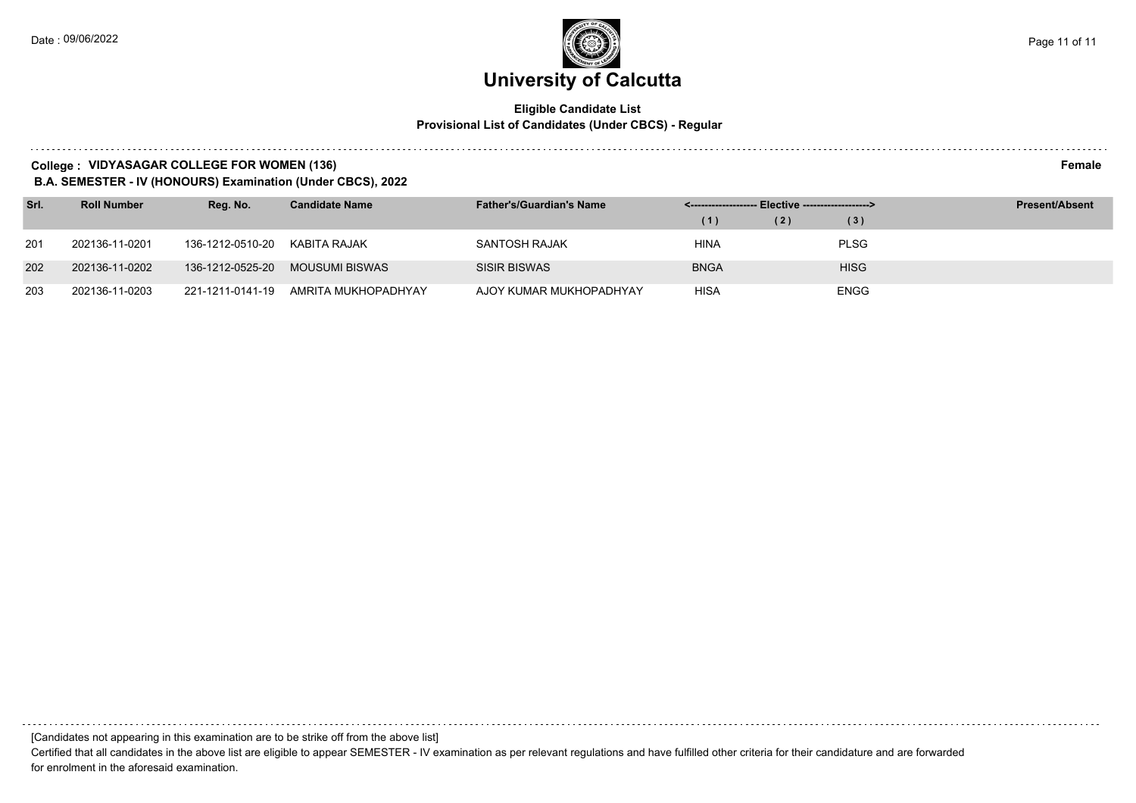### **Eligible Candidate List Provisional List of Candidates (Under CBCS) - Regular**

#### **College : VIDYASAGAR COLLEGE FOR WOMEN (136) Female**

**B.A. SEMESTER - IV (HONOURS) Examination (Under CBCS), 2022**

| Srl. | <b>Roll Number</b> | Reg. No.         | <b>Candidate Name</b> | <b>Father's/Guardian's Name</b> | <-------------------- Elective -------------------> |     |             | <b>Present/Absent</b> |
|------|--------------------|------------------|-----------------------|---------------------------------|-----------------------------------------------------|-----|-------------|-----------------------|
|      |                    |                  |                       |                                 | (1)                                                 | (2) | (3)         |                       |
| 201  | 202136-11-0201     | 136-1212-0510-20 | KABITA RAJAK          | SANTOSH RAJAK                   | HINA                                                |     | <b>PLSG</b> |                       |
| 202  | 202136-11-0202     | 136-1212-0525-20 | MOUSUMI BISWAS        | <b>SISIR BISWAS</b>             | <b>BNGA</b>                                         |     | <b>HISG</b> |                       |
| 203  | 202136-11-0203     | 221-1211-0141-19 | AMRITA MUKHOPADHYAY   | AJOY KUMAR MUKHOPADHYAY         | <b>HISA</b>                                         |     | <b>ENGG</b> |                       |

Certified that all candidates in the above list are eligible to appear SEMESTER - IV examination as per relevant regulations and have fulfilled other criteria for their candidature and are forwarded for enrolment in the aforesaid examination.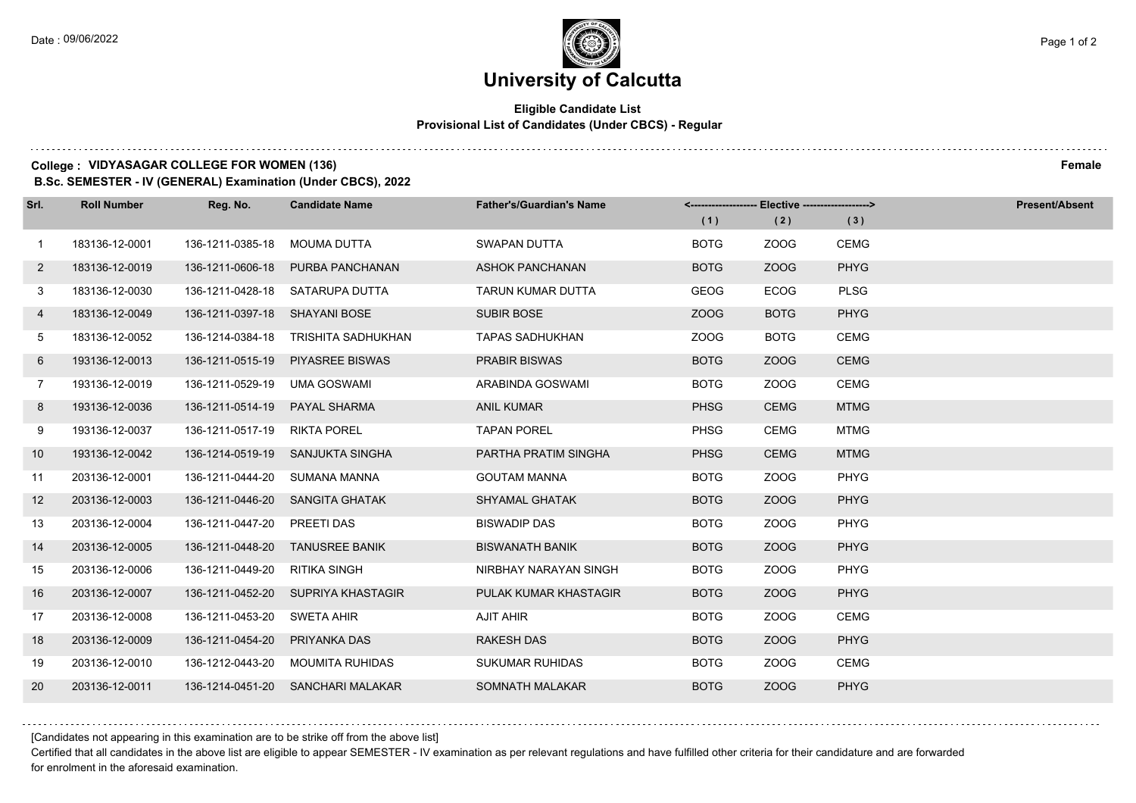### **University of Calcutta**

### **Eligible Candidate List Provisional List of Candidates (Under CBCS) - Regular**

#### **College : VIDYASAGAR COLLEGE FOR WOMEN (136) Female**

**B.Sc. SEMESTER - IV (GENERAL) Examination (Under CBCS), 2022**

| Srl.           | <b>Roll Number</b> | Reg. No.                      | <b>Candidate Name</b>             | <b>Father's/Guardian's Name</b> |             | <------------------- Elective ------------------> |             | <b>Present/Absent</b> |
|----------------|--------------------|-------------------------------|-----------------------------------|---------------------------------|-------------|---------------------------------------------------|-------------|-----------------------|
|                |                    |                               |                                   |                                 | (1)         | (2)                                               | (3)         |                       |
| $\overline{1}$ | 183136-12-0001     | 136-1211-0385-18              | MOUMA DUTTA                       | <b>SWAPAN DUTTA</b>             | <b>BOTG</b> | ZOOG                                              | <b>CEMG</b> |                       |
| $\mathbf{2}$   | 183136-12-0019     | 136-1211-0606-18              | PURBA PANCHANAN                   | <b>ASHOK PANCHANAN</b>          | <b>BOTG</b> | ZOOG                                              | <b>PHYG</b> |                       |
| 3              | 183136-12-0030     |                               | 136-1211-0428-18 SATARUPA DUTTA   | TARUN KUMAR DUTTA               | <b>GEOG</b> | ECOG                                              | <b>PLSG</b> |                       |
| 4              | 183136-12-0049     | 136-1211-0397-18 SHAYANI BOSE |                                   | <b>SUBIR BOSE</b>               | <b>ZOOG</b> | <b>BOTG</b>                                       | <b>PHYG</b> |                       |
| 5              | 183136-12-0052     | 136-1214-0384-18              | TRISHITA SADHUKHAN                | <b>TAPAS SADHUKHAN</b>          | ZOOG        | <b>BOTG</b>                                       | <b>CEMG</b> |                       |
| 6              | 193136-12-0013     | 136-1211-0515-19              | <b>PIYASREE BISWAS</b>            | <b>PRABIR BISWAS</b>            | <b>BOTG</b> | ZOOG                                              | <b>CEMG</b> |                       |
| $\overline{7}$ | 193136-12-0019     | 136-1211-0529-19 UMA GOSWAMI  |                                   | ARABINDA GOSWAMI                | <b>BOTG</b> | ZOOG                                              | <b>CEMG</b> |                       |
| 8              | 193136-12-0036     | 136-1211-0514-19              | <b>PAYAL SHARMA</b>               | <b>ANIL KUMAR</b>               | <b>PHSG</b> | <b>CEMG</b>                                       | <b>MTMG</b> |                       |
| 9              | 193136-12-0037     | 136-1211-0517-19              | <b>RIKTA POREL</b>                | <b>TAPAN POREL</b>              | <b>PHSG</b> | <b>CEMG</b>                                       | <b>MTMG</b> |                       |
| 10             | 193136-12-0042     | 136-1214-0519-19              | SANJUKTA SINGHA                   | PARTHA PRATIM SINGHA            | <b>PHSG</b> | <b>CEMG</b>                                       | <b>MTMG</b> |                       |
| 11             | 203136-12-0001     | 136-1211-0444-20 SUMANA MANNA |                                   | <b>GOUTAM MANNA</b>             | <b>BOTG</b> | ZOOG                                              | PHYG        |                       |
| 12             | 203136-12-0003     |                               | 136-1211-0446-20 SANGITA GHATAK   | <b>SHYAMAL GHATAK</b>           | <b>BOTG</b> | ZOOG                                              | <b>PHYG</b> |                       |
| 13             | 203136-12-0004     | 136-1211-0447-20              | PREETI DAS                        | <b>BISWADIP DAS</b>             | <b>BOTG</b> | ZOOG                                              | <b>PHYG</b> |                       |
| 14             | 203136-12-0005     | 136-1211-0448-20              | <b>TANUSREE BANIK</b>             | <b>BISWANATH BANIK</b>          | <b>BOTG</b> | ZOOG                                              | <b>PHYG</b> |                       |
| 15             | 203136-12-0006     | 136-1211-0449-20              | RITIKA SINGH                      | NIRBHAY NARAYAN SINGH           | <b>BOTG</b> | ZOOG                                              | <b>PHYG</b> |                       |
| 16             | 203136-12-0007     | 136-1211-0452-20              | SUPRIYA KHASTAGIR                 | PULAK KUMAR KHASTAGIR           | <b>BOTG</b> | ZOOG                                              | <b>PHYG</b> |                       |
| 17             | 203136-12-0008     | 136-1211-0453-20              | <b>SWETA AHIR</b>                 | <b>AJIT AHIR</b>                | <b>BOTG</b> | ZOOG                                              | <b>CEMG</b> |                       |
| 18             | 203136-12-0009     | 136-1211-0454-20              | PRIYANKA DAS                      | <b>RAKESH DAS</b>               | <b>BOTG</b> | ZOOG                                              | <b>PHYG</b> |                       |
| 19             | 203136-12-0010     | 136-1212-0443-20              | MOUMITA RUHIDAS                   | <b>SUKUMAR RUHIDAS</b>          | <b>BOTG</b> | ZOOG                                              | <b>CEMG</b> |                       |
| 20             | 203136-12-0011     |                               | 136-1214-0451-20 SANCHARI MALAKAR | <b>SOMNATH MALAKAR</b>          | <b>BOTG</b> | ZOOG                                              | <b>PHYG</b> |                       |

[Candidates not appearing in this examination are to be strike off from the above list]

Certified that all candidates in the above list are eligible to appear SEMESTER - IV examination as per relevant regulations and have fulfilled other criteria for their candidature and are forwarded for enrolment in the aforesaid examination.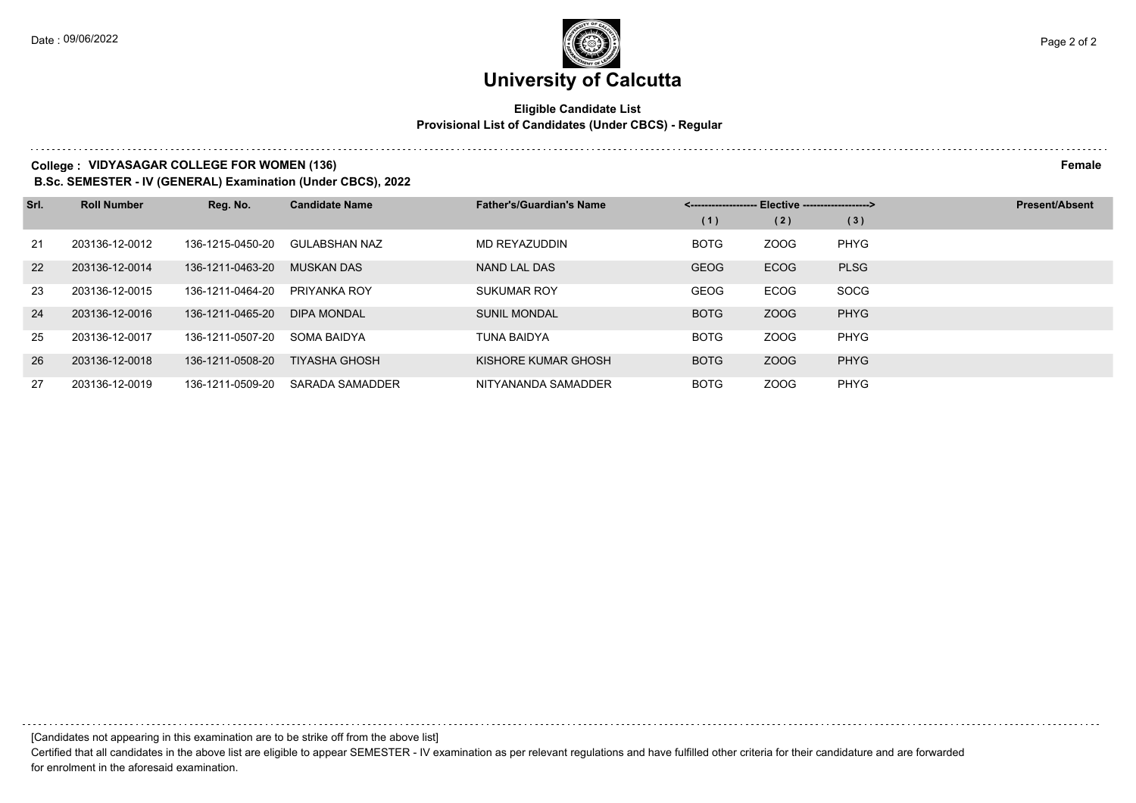### **Eligible Candidate List Provisional List of Candidates (Under CBCS) - Regular**

#### **College : VIDYASAGAR COLLEGE FOR WOMEN (136) Female**

**B.Sc. SEMESTER - IV (GENERAL) Examination (Under CBCS), 2022**

| Srl. | <b>Roll Number</b> | Reg. No.         | <b>Candidate Name</b> | <b>Father's/Guardian's Name</b> | Elective --------------------> |             |             | <b>Present/Absent</b> |
|------|--------------------|------------------|-----------------------|---------------------------------|--------------------------------|-------------|-------------|-----------------------|
|      |                    |                  |                       |                                 | (1)                            | (2)         | (3)         |                       |
| 21   | 203136-12-0012     | 136-1215-0450-20 | GULABSHAN NAZ         | MD REYAZUDDIN                   | <b>BOTG</b>                    | ZOOG        | <b>PHYG</b> |                       |
| 22   | 203136-12-0014     | 136-1211-0463-20 | <b>MUSKAN DAS</b>     | NAND LAL DAS                    | <b>GEOG</b>                    | <b>ECOG</b> | <b>PLSG</b> |                       |
| 23   | 203136-12-0015     | 136-1211-0464-20 | PRIYANKA ROY          | <b>SUKUMAR ROY</b>              | <b>GEOG</b>                    | ECOG        | <b>SOCG</b> |                       |
| 24   | 203136-12-0016     | 136-1211-0465-20 | <b>DIPA MONDAL</b>    | <b>SUNIL MONDAL</b>             | <b>BOTG</b>                    | ZOOG        | <b>PHYG</b> |                       |
| 25   | 203136-12-0017     | 136-1211-0507-20 | SOMA BAIDYA           | TUNA BAIDYA                     | <b>BOTG</b>                    | ZOOG        | <b>PHYG</b> |                       |
| 26   | 203136-12-0018     | 136-1211-0508-20 | <b>TIYASHA GHOSH</b>  | KISHORE KUMAR GHOSH             | <b>BOTG</b>                    | ZOOG        | <b>PHYG</b> |                       |
| 27   | 203136-12-0019     | 136-1211-0509-20 | SARADA SAMADDER       | NITYANANDA SAMADDER             | <b>BOTG</b>                    | ZOOG        | <b>PHYG</b> |                       |

[Candidates not appearing in this examination are to be strike off from the above list]

Certified that all candidates in the above list are eligible to appear SEMESTER - IV examination as per relevant regulations and have fulfilled other criteria for their candidature and are forwarded for enrolment in the aforesaid examination.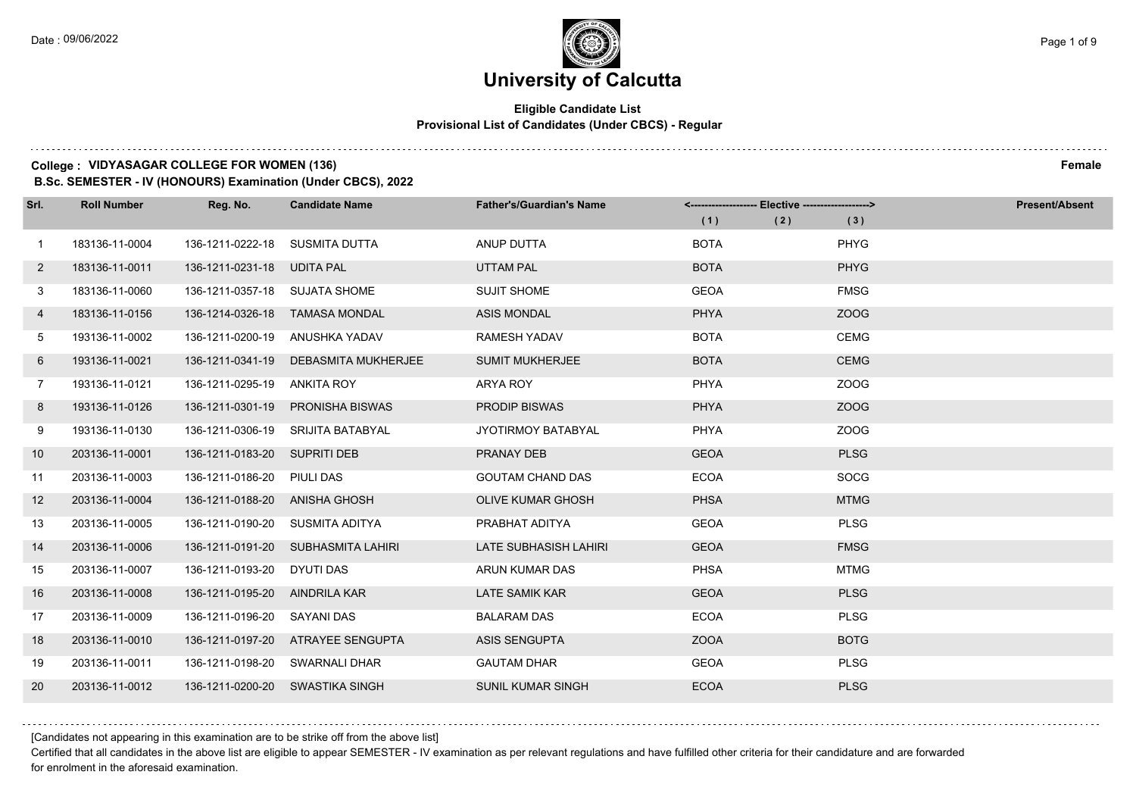### **University of Calcutta**

### **Eligible Candidate List Provisional List of Candidates (Under CBCS) - Regular**

#### **College : VIDYASAGAR COLLEGE FOR WOMEN (136) Female**

**B.Sc. SEMESTER - IV (HONOURS) Examination (Under CBCS), 2022**

| Srl.           | <b>Roll Number</b> | Reg. No.                      | <b>Candidate Name</b>          | <b>Father's/Guardian's Name</b> | <------------------- Elective ------------------> |             | <b>Present/Absent</b> |
|----------------|--------------------|-------------------------------|--------------------------------|---------------------------------|---------------------------------------------------|-------------|-----------------------|
|                |                    |                               |                                |                                 | (1)<br>(2)                                        | (3)         |                       |
| $\overline{1}$ | 183136-11-0004     | 136-1211-0222-18              | SUSMITA DUTTA                  | <b>ANUP DUTTA</b>               | <b>BOTA</b>                                       | PHYG        |                       |
| $\overline{2}$ | 183136-11-0011     | 136-1211-0231-18              | <b>UDITA PAL</b>               | <b>UTTAM PAL</b>                | <b>BOTA</b>                                       | <b>PHYG</b> |                       |
| 3              | 183136-11-0060     | 136-1211-0357-18 SUJATA SHOME |                                | <b>SUJIT SHOME</b>              | <b>GEOA</b>                                       | <b>FMSG</b> |                       |
| 4              | 183136-11-0156     |                               | 136-1214-0326-18 TAMASA MONDAL | <b>ASIS MONDAL</b>              | PHYA                                              | ZOOG        |                       |
| 5              | 193136-11-0002     | 136-1211-0200-19              | ANUSHKA YADAV                  | <b>RAMESH YADAV</b>             | <b>BOTA</b>                                       | <b>CEMG</b> |                       |
| 6              | 193136-11-0021     | 136-1211-0341-19              | DEBASMITA MUKHERJEE            | <b>SUMIT MUKHERJEE</b>          | <b>BOTA</b>                                       | <b>CEMG</b> |                       |
| $7^{\circ}$    | 193136-11-0121     | 136-1211-0295-19 ANKITA ROY   |                                | ARYA ROY                        | <b>PHYA</b>                                       | ZOOG        |                       |
| 8              | 193136-11-0126     | 136-1211-0301-19              | <b>PRONISHA BISWAS</b>         | <b>PRODIP BISWAS</b>            | <b>PHYA</b>                                       | ZOOG        |                       |
| 9              | 193136-11-0130     | 136-1211-0306-19              | SRIJITA BATABYAL               | JYOTIRMOY BATABYAL              | <b>PHYA</b>                                       | ZOOG        |                       |
| 10             | 203136-11-0001     | 136-1211-0183-20 SUPRITI DEB  |                                | PRANAY DEB                      | <b>GEOA</b>                                       | <b>PLSG</b> |                       |
| 11             | 203136-11-0003     | 136-1211-0186-20              | PIULI DAS                      | <b>GOUTAM CHAND DAS</b>         | <b>ECOA</b>                                       | <b>SOCG</b> |                       |
| 12             | 203136-11-0004     | 136-1211-0188-20              | ANISHA GHOSH                   | <b>OLIVE KUMAR GHOSH</b>        | <b>PHSA</b>                                       | <b>MTMG</b> |                       |
| 13             | 203136-11-0005     | 136-1211-0190-20              | SUSMITA ADITYA                 | PRABHAT ADITYA                  | <b>GEOA</b>                                       | <b>PLSG</b> |                       |
| 14             | 203136-11-0006     | 136-1211-0191-20              | SUBHASMITA LAHIRI              | LATE SUBHASISH LAHIRI           | <b>GEOA</b>                                       | <b>FMSG</b> |                       |
| 15             | 203136-11-0007     | 136-1211-0193-20              | DYUTI DAS                      | ARUN KUMAR DAS                  | <b>PHSA</b>                                       | <b>MTMG</b> |                       |
| 16             | 203136-11-0008     | 136-1211-0195-20              | AINDRILA KAR                   | <b>LATE SAMIK KAR</b>           | <b>GEOA</b>                                       | <b>PLSG</b> |                       |
| 17             | 203136-11-0009     | 136-1211-0196-20              | SAYANI DAS                     | <b>BALARAM DAS</b>              | <b>ECOA</b>                                       | <b>PLSG</b> |                       |
| 18             | 203136-11-0010     | 136-1211-0197-20              | ATRAYEE SENGUPTA               | <b>ASIS SENGUPTA</b>            | <b>ZOOA</b>                                       | <b>BOTG</b> |                       |
| 19             | 203136-11-0011     | 136-1211-0198-20              | SWARNALI DHAR                  | <b>GAUTAM DHAR</b>              | <b>GEOA</b>                                       | <b>PLSG</b> |                       |
| 20             | 203136-11-0012     | 136-1211-0200-20              | SWASTIKA SINGH                 | <b>SUNIL KUMAR SINGH</b>        | <b>ECOA</b>                                       | <b>PLSG</b> |                       |

[Candidates not appearing in this examination are to be strike off from the above list]

Certified that all candidates in the above list are eligible to appear SEMESTER - IV examination as per relevant regulations and have fulfilled other criteria for their candidature and are forwarded for enrolment in the aforesaid examination.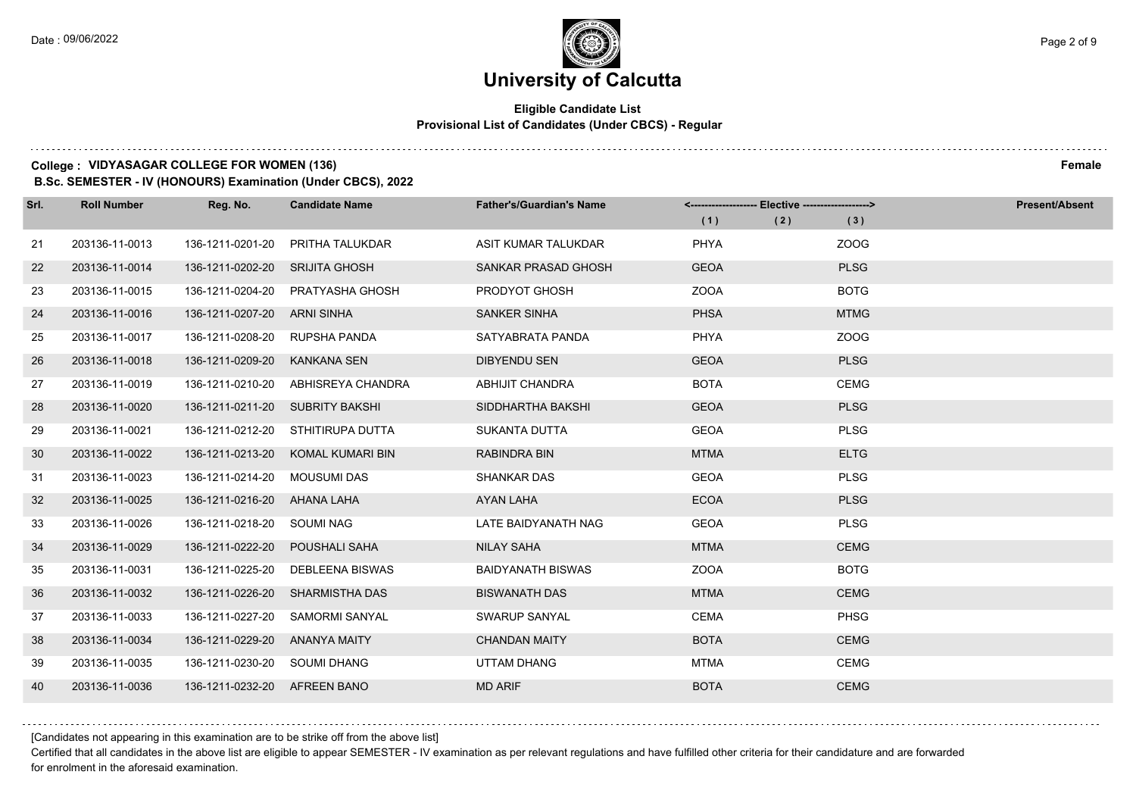### **Eligible Candidate List Provisional List of Candidates (Under CBCS) - Regular**

### **College : VIDYASAGAR COLLEGE FOR WOMEN (136) Female**

**B.Sc. SEMESTER - IV (HONOURS) Examination (Under CBCS), 2022**

| Srl. | <b>Roll Number</b> | Reg. No.                     | <b>Candidate Name</b>              | <b>Father's/Guardian's Name</b> |             | <------------------- Elective ------------------> |             | <b>Present/Absent</b> |
|------|--------------------|------------------------------|------------------------------------|---------------------------------|-------------|---------------------------------------------------|-------------|-----------------------|
|      |                    |                              |                                    |                                 | (1)         | (2)                                               | (3)         |                       |
| 21   | 203136-11-0013     | 136-1211-0201-20             | PRITHA TALUKDAR                    | ASIT KUMAR TALUKDAR             | <b>PHYA</b> |                                                   | ZOOG        |                       |
| 22   | 203136-11-0014     | 136-1211-0202-20             | <b>SRIJITA GHOSH</b>               | <b>SANKAR PRASAD GHOSH</b>      | <b>GEOA</b> |                                                   | <b>PLSG</b> |                       |
| 23   | 203136-11-0015     | 136-1211-0204-20             | PRATYASHA GHOSH                    | PRODYOT GHOSH                   | <b>ZOOA</b> |                                                   | <b>BOTG</b> |                       |
| 24   | 203136-11-0016     | 136-1211-0207-20             | ARNI SINHA                         | <b>SANKER SINHA</b>             | <b>PHSA</b> |                                                   | <b>MTMG</b> |                       |
| 25   | 203136-11-0017     | 136-1211-0208-20             | RUPSHA PANDA                       | SATYABRATA PANDA                | <b>PHYA</b> |                                                   | ZOOG        |                       |
| 26   | 203136-11-0018     | 136-1211-0209-20             | <b>KANKANA SEN</b>                 | <b>DIBYENDU SEN</b>             | <b>GEOA</b> |                                                   | <b>PLSG</b> |                       |
| 27   | 203136-11-0019     |                              | 136-1211-0210-20 ABHISREYA CHANDRA | ABHIJIT CHANDRA                 | <b>BOTA</b> |                                                   | <b>CEMG</b> |                       |
| 28   | 203136-11-0020     |                              | 136-1211-0211-20 SUBRITY BAKSHI    | SIDDHARTHA BAKSHI               | <b>GEOA</b> |                                                   | <b>PLSG</b> |                       |
| 29   | 203136-11-0021     | 136-1211-0212-20             | STHITIRUPA DUTTA                   | <b>SUKANTA DUTTA</b>            | <b>GEOA</b> |                                                   | <b>PLSG</b> |                       |
| 30   | 203136-11-0022     | 136-1211-0213-20             | KOMAL KUMARI BIN                   | <b>RABINDRA BIN</b>             | <b>MTMA</b> |                                                   | <b>ELTG</b> |                       |
| 31   | 203136-11-0023     | 136-1211-0214-20             | MOUSUMI DAS                        | <b>SHANKAR DAS</b>              | <b>GEOA</b> |                                                   | <b>PLSG</b> |                       |
| 32   | 203136-11-0025     | 136-1211-0216-20 AHANA LAHA  |                                    | AYAN LAHA                       | <b>ECOA</b> |                                                   | <b>PLSG</b> |                       |
| 33   | 203136-11-0026     | 136-1211-0218-20             | SOUMI NAG                          | LATE BAIDYANATH NAG             | <b>GEOA</b> |                                                   | <b>PLSG</b> |                       |
| 34   | 203136-11-0029     | 136-1211-0222-20             | <b>POUSHALI SAHA</b>               | <b>NILAY SAHA</b>               | <b>MTMA</b> |                                                   | <b>CEMG</b> |                       |
| 35   | 203136-11-0031     | 136-1211-0225-20             | DEBLEENA BISWAS                    | <b>BAIDYANATH BISWAS</b>        | <b>ZOOA</b> |                                                   | <b>BOTG</b> |                       |
| 36   | 203136-11-0032     | 136-1211-0226-20             | SHARMISTHA DAS                     | <b>BISWANATH DAS</b>            | <b>MTMA</b> |                                                   | <b>CEMG</b> |                       |
| 37   | 203136-11-0033     | 136-1211-0227-20             | <b>SAMORMI SANYAL</b>              | SWARUP SANYAL                   | <b>CEMA</b> |                                                   | <b>PHSG</b> |                       |
| 38   | 203136-11-0034     | 136-1211-0229-20             | ANANYA MAITY                       | <b>CHANDAN MAITY</b>            | <b>BOTA</b> |                                                   | <b>CEMG</b> |                       |
| 39   | 203136-11-0035     | 136-1211-0230-20 SOUMI DHANG |                                    | UTTAM DHANG                     | <b>MTMA</b> |                                                   | <b>CEMG</b> |                       |
| 40   | 203136-11-0036     | 136-1211-0232-20 AFREEN BANO |                                    | <b>MD ARIF</b>                  | <b>BOTA</b> |                                                   | <b>CEMG</b> |                       |

[Candidates not appearing in this examination are to be strike off from the above list]

Certified that all candidates in the above list are eligible to appear SEMESTER - IV examination as per relevant regulations and have fulfilled other criteria for their candidature and are forwarded for enrolment in the aforesaid examination.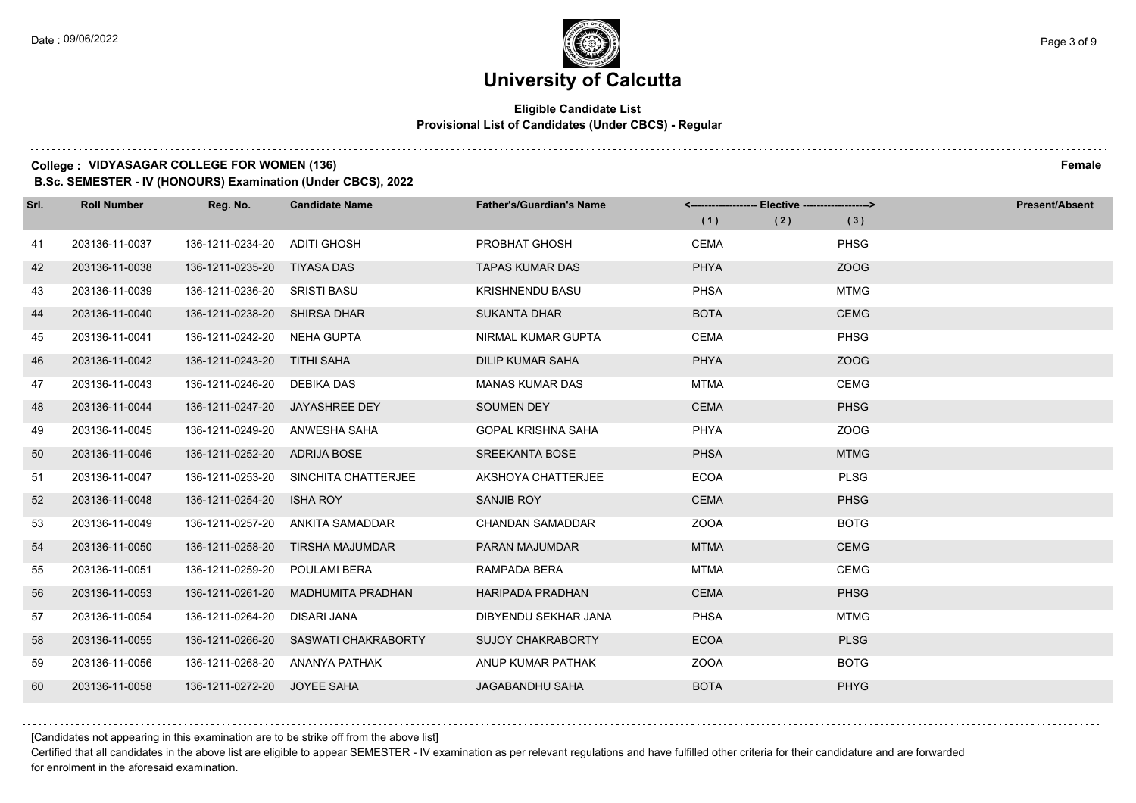### **Eligible Candidate List Provisional List of Candidates (Under CBCS) - Regular**

#### **College : VIDYASAGAR COLLEGE FOR WOMEN (136) Female**

**B.Sc. SEMESTER - IV (HONOURS) Examination (Under CBCS), 2022**

| Srl. | <b>Roll Number</b> | Reg. No.                     | <b>Candidate Name</b>  | <b>Father's/Guardian's Name</b> |             | <------------------- Elective ------------------> |             | <b>Present/Absent</b> |
|------|--------------------|------------------------------|------------------------|---------------------------------|-------------|---------------------------------------------------|-------------|-----------------------|
|      |                    |                              |                        |                                 | (1)         | (2)                                               | (3)         |                       |
| 41   | 203136-11-0037     | 136-1211-0234-20             | <b>ADITI GHOSH</b>     | <b>PROBHAT GHOSH</b>            | <b>CEMA</b> |                                                   | <b>PHSG</b> |                       |
| 42   | 203136-11-0038     | 136-1211-0235-20             | TIYASA DAS             | <b>TAPAS KUMAR DAS</b>          | <b>PHYA</b> |                                                   | ZOOG        |                       |
| 43   | 203136-11-0039     | 136-1211-0236-20 SRISTI BASU |                        | <b>KRISHNENDU BASU</b>          | <b>PHSA</b> |                                                   | <b>MTMG</b> |                       |
| 44   | 203136-11-0040     | 136-1211-0238-20             | <b>SHIRSA DHAR</b>     | <b>SUKANTA DHAR</b>             | <b>BOTA</b> |                                                   | <b>CEMG</b> |                       |
| 45   | 203136-11-0041     | 136-1211-0242-20             | NEHA GUPTA             | NIRMAL KUMAR GUPTA              | <b>CEMA</b> |                                                   | <b>PHSG</b> |                       |
| 46   | 203136-11-0042     | 136-1211-0243-20 TITHI SAHA  |                        | <b>DILIP KUMAR SAHA</b>         | <b>PHYA</b> |                                                   | ZOOG        |                       |
| 47   | 203136-11-0043     | 136-1211-0246-20 DEBIKA DAS  |                        | <b>MANAS KUMAR DAS</b>          | <b>MTMA</b> |                                                   | <b>CEMG</b> |                       |
| 48   | 203136-11-0044     | 136-1211-0247-20             | <b>JAYASHREE DEY</b>   | <b>SOUMEN DEY</b>               | <b>CEMA</b> |                                                   | <b>PHSG</b> |                       |
| 49   | 203136-11-0045     | 136-1211-0249-20             | ANWESHA SAHA           | <b>GOPAL KRISHNA SAHA</b>       | <b>PHYA</b> |                                                   | ZOOG        |                       |
| 50   | 203136-11-0046     | 136-1211-0252-20             | ADRIJA BOSE            | <b>SREEKANTA BOSE</b>           | <b>PHSA</b> |                                                   | <b>MTMG</b> |                       |
| 51   | 203136-11-0047     | 136-1211-0253-20             | SINCHITA CHATTERJEE    | AKSHOYA CHATTERJEE              | <b>ECOA</b> |                                                   | <b>PLSG</b> |                       |
| 52   | 203136-11-0048     | 136-1211-0254-20             | <b>ISHA ROY</b>        | SANJIB ROY                      | <b>CEMA</b> |                                                   | <b>PHSG</b> |                       |
| 53   | 203136-11-0049     | 136-1211-0257-20             | ANKITA SAMADDAR        | <b>CHANDAN SAMADDAR</b>         | <b>ZOOA</b> |                                                   | <b>BOTG</b> |                       |
| 54   | 203136-11-0050     | 136-1211-0258-20             | <b>TIRSHA MAJUMDAR</b> | <b>PARAN MAJUMDAR</b>           | <b>MTMA</b> |                                                   | <b>CEMG</b> |                       |
| 55   | 203136-11-0051     | 136-1211-0259-20             | POULAMI BERA           | RAMPADA BERA                    | <b>MTMA</b> |                                                   | <b>CEMG</b> |                       |
| 56   | 203136-11-0053     | 136-1211-0261-20             | MADHUMITA PRADHAN      | <b>HARIPADA PRADHAN</b>         | <b>CEMA</b> |                                                   | <b>PHSG</b> |                       |
| 57   | 203136-11-0054     | 136-1211-0264-20             | <b>DISARI JANA</b>     | DIBYENDU SEKHAR JANA            | <b>PHSA</b> |                                                   | <b>MTMG</b> |                       |
| 58   | 203136-11-0055     | 136-1211-0266-20             | SASWATI CHAKRABORTY    | <b>SUJOY CHAKRABORTY</b>        | <b>ECOA</b> |                                                   | <b>PLSG</b> |                       |
| 59   | 203136-11-0056     | 136-1211-0268-20             | ANANYA PATHAK          | ANUP KUMAR PATHAK               | <b>ZOOA</b> |                                                   | <b>BOTG</b> |                       |
| 60   | 203136-11-0058     | 136-1211-0272-20             | JOYEE SAHA             | JAGABANDHU SAHA                 | <b>BOTA</b> |                                                   | <b>PHYG</b> |                       |

[Candidates not appearing in this examination are to be strike off from the above list]

Certified that all candidates in the above list are eligible to appear SEMESTER - IV examination as per relevant regulations and have fulfilled other criteria for their candidature and are forwarded for enrolment in the aforesaid examination.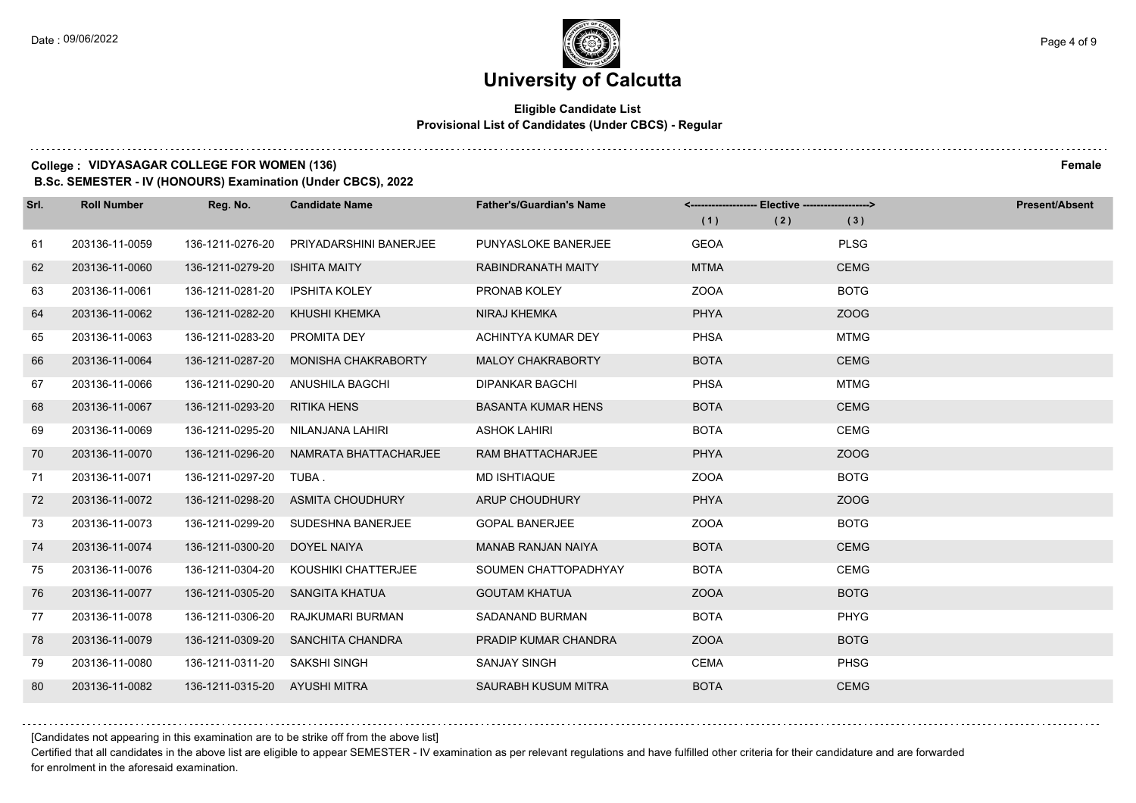### **Eligible Candidate List Provisional List of Candidates (Under CBCS) - Regular**

#### **College : VIDYASAGAR COLLEGE FOR WOMEN (136) Female**

**B.Sc. SEMESTER - IV (HONOURS) Examination (Under CBCS), 2022**

| Srl. | <b>Roll Number</b> | Reg. No.                      | <b>Candidate Name</b>      | <b>Father's/Guardian's Name</b> |             | <------------------- Elective ------------------> |             | <b>Present/Absent</b> |
|------|--------------------|-------------------------------|----------------------------|---------------------------------|-------------|---------------------------------------------------|-------------|-----------------------|
|      |                    |                               |                            |                                 | (1)         | (2)                                               | (3)         |                       |
| 61   | 203136-11-0059     | 136-1211-0276-20              | PRIYADARSHINI BANERJEE     | PUNYASLOKE BANERJEE             | <b>GEOA</b> |                                                   | <b>PLSG</b> |                       |
| 62   | 203136-11-0060     | 136-1211-0279-20              | <b>ISHITA MAITY</b>        | RABINDRANATH MAITY              | <b>MTMA</b> |                                                   | <b>CEMG</b> |                       |
| 63   | 203136-11-0061     | 136-1211-0281-20              | <b>IPSHITA KOLEY</b>       | PRONAB KOLEY                    | <b>ZOOA</b> |                                                   | <b>BOTG</b> |                       |
| 64   | 203136-11-0062     | 136-1211-0282-20              | KHUSHI KHEMKA              | NIRAJ KHEMKA                    | <b>PHYA</b> |                                                   | ZOOG        |                       |
| 65   | 203136-11-0063     | 136-1211-0283-20              | <b>PROMITA DEY</b>         | ACHINTYA KUMAR DEY              | <b>PHSA</b> |                                                   | <b>MTMG</b> |                       |
| 66   | 203136-11-0064     | 136-1211-0287-20              | <b>MONISHA CHAKRABORTY</b> | <b>MALOY CHAKRABORTY</b>        | <b>BOTA</b> |                                                   | <b>CEMG</b> |                       |
| 67   | 203136-11-0066     | 136-1211-0290-20              | ANUSHILA BAGCHI            | <b>DIPANKAR BAGCHI</b>          | <b>PHSA</b> |                                                   | <b>MTMG</b> |                       |
| 68   | 203136-11-0067     | 136-1211-0293-20              | <b>RITIKA HENS</b>         | <b>BASANTA KUMAR HENS</b>       | <b>BOTA</b> |                                                   | <b>CEMG</b> |                       |
| 69   | 203136-11-0069     | 136-1211-0295-20              | NILANJANA LAHIRI           | <b>ASHOK LAHIRI</b>             | <b>BOTA</b> |                                                   | <b>CEMG</b> |                       |
| 70   | 203136-11-0070     | 136-1211-0296-20              | NAMRATA BHATTACHARJEE      | <b>RAM BHATTACHARJEE</b>        | <b>PHYA</b> |                                                   | ZOOG        |                       |
| 71   | 203136-11-0071     | 136-1211-0297-20              | TUBA .                     | <b>MD ISHTIAQUE</b>             | <b>ZOOA</b> |                                                   | <b>BOTG</b> |                       |
| 72   | 203136-11-0072     | 136-1211-0298-20              | ASMITA CHOUDHURY           | ARUP CHOUDHURY                  | <b>PHYA</b> |                                                   | ZOOG        |                       |
| 73   | 203136-11-0073     | 136-1211-0299-20              | SUDESHNA BANERJEE          | <b>GOPAL BANERJEE</b>           | <b>ZOOA</b> |                                                   | <b>BOTG</b> |                       |
| 74   | 203136-11-0074     | 136-1211-0300-20              | DOYEL NAIYA                | <b>MANAB RANJAN NAIYA</b>       | <b>BOTA</b> |                                                   | <b>CEMG</b> |                       |
| 75   | 203136-11-0076     | 136-1211-0304-20              | KOUSHIKI CHATTERJEE        | SOUMEN CHATTOPADHYAY            | <b>BOTA</b> |                                                   | <b>CEMG</b> |                       |
| 76   | 203136-11-0077     | 136-1211-0305-20              | SANGITA KHATUA             | <b>GOUTAM KHATUA</b>            | <b>ZOOA</b> |                                                   | <b>BOTG</b> |                       |
| 77   | 203136-11-0078     | 136-1211-0306-20              | RAJKUMARI BURMAN           | SADANAND BURMAN                 | <b>BOTA</b> |                                                   | <b>PHYG</b> |                       |
| 78   | 203136-11-0079     | 136-1211-0309-20              | SANCHITA CHANDRA           | PRADIP KUMAR CHANDRA            | <b>ZOOA</b> |                                                   | <b>BOTG</b> |                       |
| 79   | 203136-11-0080     | 136-1211-0311-20              | SAKSHI SINGH               | <b>SANJAY SINGH</b>             | <b>CEMA</b> |                                                   | <b>PHSG</b> |                       |
| 80   | 203136-11-0082     | 136-1211-0315-20 AYUSHI MITRA |                            | SAURABH KUSUM MITRA             | <b>BOTA</b> |                                                   | <b>CEMG</b> |                       |

[Candidates not appearing in this examination are to be strike off from the above list]

Certified that all candidates in the above list are eligible to appear SEMESTER - IV examination as per relevant regulations and have fulfilled other criteria for their candidature and are forwarded for enrolment in the aforesaid examination.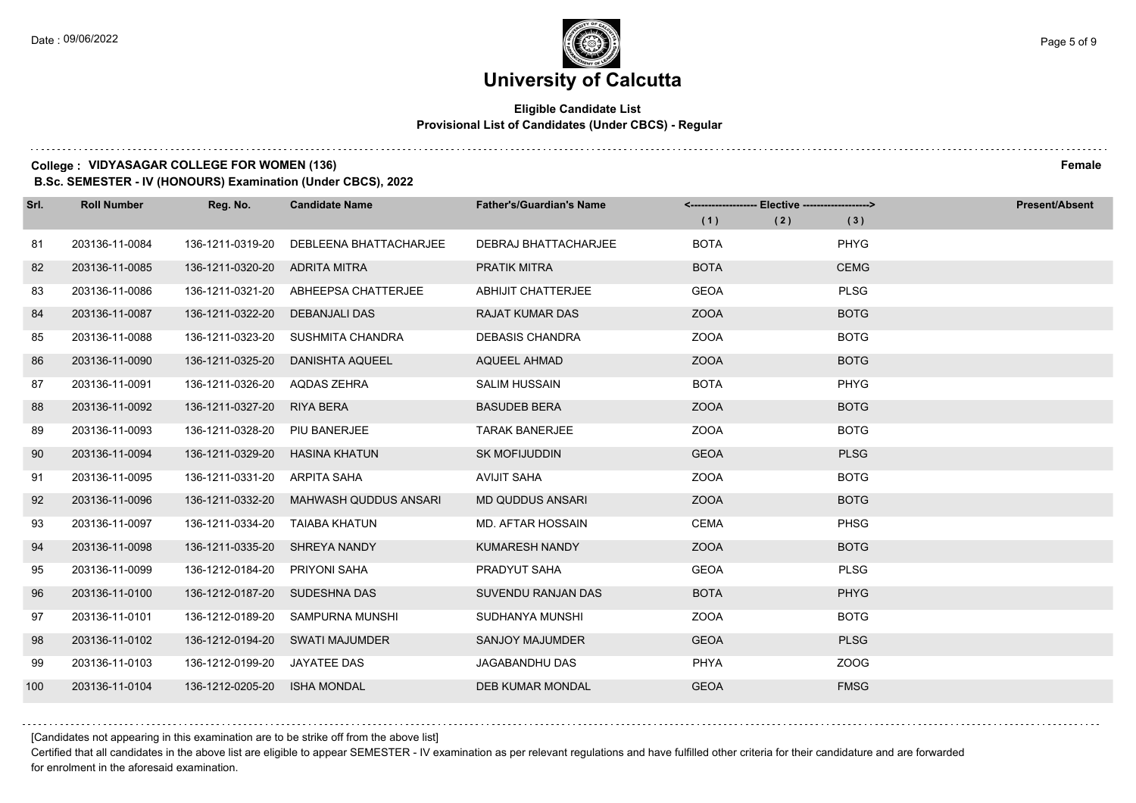### **Eligible Candidate List Provisional List of Candidates (Under CBCS) - Regular**

#### **College : VIDYASAGAR COLLEGE FOR WOMEN (136) Female**

**B.Sc. SEMESTER - IV (HONOURS) Examination (Under CBCS), 2022**

| Srl. | <b>Roll Number</b> | Reg. No.         | <b>Candidate Name</b>        | <b>Father's/Guardian's Name</b> |             | <------------------- Elective ------------------> |             | <b>Present/Absent</b> |
|------|--------------------|------------------|------------------------------|---------------------------------|-------------|---------------------------------------------------|-------------|-----------------------|
|      |                    |                  |                              |                                 | (1)         | (2)                                               | (3)         |                       |
| 81   | 203136-11-0084     | 136-1211-0319-20 | DEBLEENA BHATTACHARJEE       | <b>DEBRAJ BHATTACHARJEE</b>     | <b>BOTA</b> |                                                   | PHYG        |                       |
| 82   | 203136-11-0085     | 136-1211-0320-20 | ADRITA MITRA                 | <b>PRATIK MITRA</b>             | <b>BOTA</b> |                                                   | <b>CEMG</b> |                       |
| 83   | 203136-11-0086     | 136-1211-0321-20 | ABHEEPSA CHATTERJEE          | <b>ABHIJIT CHATTERJEE</b>       | <b>GEOA</b> |                                                   | <b>PLSG</b> |                       |
| 84   | 203136-11-0087     | 136-1211-0322-20 | DEBANJALI DAS                | <b>RAJAT KUMAR DAS</b>          | <b>ZOOA</b> |                                                   | <b>BOTG</b> |                       |
| 85   | 203136-11-0088     | 136-1211-0323-20 | SUSHMITA CHANDRA             | <b>DEBASIS CHANDRA</b>          | <b>ZOOA</b> |                                                   | <b>BOTG</b> |                       |
| 86   | 203136-11-0090     | 136-1211-0325-20 | <b>DANISHTA AQUEEL</b>       | <b>AQUEEL AHMAD</b>             | ZOOA        |                                                   | <b>BOTG</b> |                       |
| 87   | 203136-11-0091     | 136-1211-0326-20 | AQDAS ZEHRA                  | <b>SALIM HUSSAIN</b>            | <b>BOTA</b> |                                                   | PHYG        |                       |
| 88   | 203136-11-0092     | 136-1211-0327-20 | <b>RIYA BERA</b>             | <b>BASUDEB BERA</b>             | <b>ZOOA</b> |                                                   | <b>BOTG</b> |                       |
| 89   | 203136-11-0093     | 136-1211-0328-20 | PIU BANERJEE                 | <b>TARAK BANERJEE</b>           | <b>ZOOA</b> |                                                   | <b>BOTG</b> |                       |
| 90   | 203136-11-0094     | 136-1211-0329-20 | <b>HASINA KHATUN</b>         | <b>SK MOFIJUDDIN</b>            | <b>GEOA</b> |                                                   | <b>PLSG</b> |                       |
| 91   | 203136-11-0095     | 136-1211-0331-20 | ARPITA SAHA                  | <b>AVIJIT SAHA</b>              | <b>ZOOA</b> |                                                   | <b>BOTG</b> |                       |
| 92   | 203136-11-0096     | 136-1211-0332-20 | <b>MAHWASH QUDDUS ANSARI</b> | <b>MD QUDDUS ANSARI</b>         | <b>ZOOA</b> |                                                   | <b>BOTG</b> |                       |
| 93   | 203136-11-0097     | 136-1211-0334-20 | TAIABA KHATUN                | <b>MD. AFTAR HOSSAIN</b>        | <b>CEMA</b> |                                                   | <b>PHSG</b> |                       |
| 94   | 203136-11-0098     | 136-1211-0335-20 | SHREYA NANDY                 | KUMARESH NANDY                  | <b>ZOOA</b> |                                                   | <b>BOTG</b> |                       |
| 95   | 203136-11-0099     | 136-1212-0184-20 | <b>PRIYONI SAHA</b>          | PRADYUT SAHA                    | <b>GEOA</b> |                                                   | <b>PLSG</b> |                       |
| 96   | 203136-11-0100     | 136-1212-0187-20 | SUDESHNA DAS                 | SUVENDU RANJAN DAS              | <b>BOTA</b> |                                                   | <b>PHYG</b> |                       |
| 97   | 203136-11-0101     | 136-1212-0189-20 | SAMPURNA MUNSHI              | SUDHANYA MUNSHI                 | <b>ZOOA</b> |                                                   | <b>BOTG</b> |                       |
| 98   | 203136-11-0102     | 136-1212-0194-20 | SWATI MAJUMDER               | <b>SANJOY MAJUMDER</b>          | <b>GEOA</b> |                                                   | <b>PLSG</b> |                       |
| 99   | 203136-11-0103     | 136-1212-0199-20 | <b>JAYATEE DAS</b>           | <b>JAGABANDHU DAS</b>           | <b>PHYA</b> |                                                   | ZOOG        |                       |
| 100  | 203136-11-0104     | 136-1212-0205-20 | <b>ISHA MONDAL</b>           | <b>DEB KUMAR MONDAL</b>         | <b>GEOA</b> |                                                   | <b>FMSG</b> |                       |

[Candidates not appearing in this examination are to be strike off from the above list]

Certified that all candidates in the above list are eligible to appear SEMESTER - IV examination as per relevant regulations and have fulfilled other criteria for their candidature and are forwarded for enrolment in the aforesaid examination.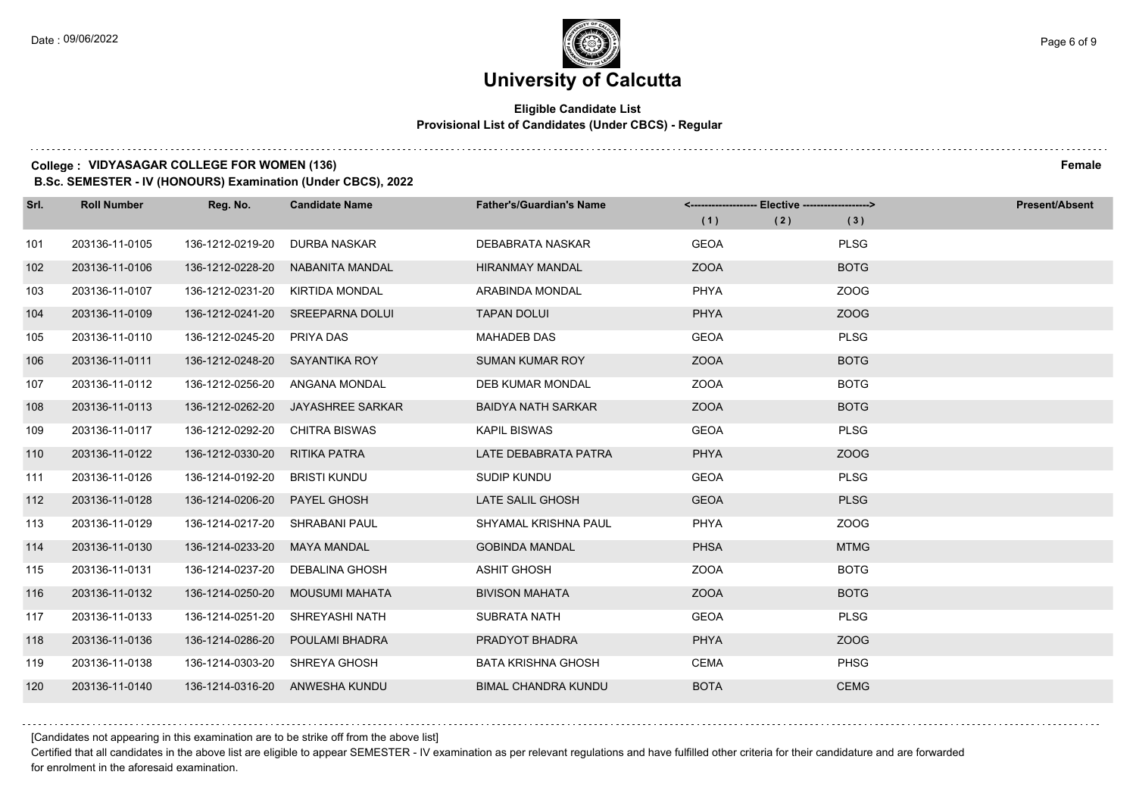### **Eligible Candidate List Provisional List of Candidates (Under CBCS) - Regular**

#### **College : VIDYASAGAR COLLEGE FOR WOMEN (136) Female**

**B.Sc. SEMESTER - IV (HONOURS) Examination (Under CBCS), 2022**

| Srl. | <b>Roll Number</b> | Reg. No.         | <b>Candidate Name</b>            | <b>Father's/Guardian's Name</b> | <-------------------- Elective -------------------> |     |             | <b>Present/Absent</b> |
|------|--------------------|------------------|----------------------------------|---------------------------------|-----------------------------------------------------|-----|-------------|-----------------------|
|      |                    |                  |                                  |                                 | (1)                                                 | (2) | (3)         |                       |
| 101  | 203136-11-0105     | 136-1212-0219-20 | <b>DURBA NASKAR</b>              | DEBABRATA NASKAR                | <b>GEOA</b>                                         |     | <b>PLSG</b> |                       |
| 102  | 203136-11-0106     | 136-1212-0228-20 | NABANITA MANDAL                  | <b>HIRANMAY MANDAL</b>          | <b>ZOOA</b>                                         |     | <b>BOTG</b> |                       |
| 103  | 203136-11-0107     | 136-1212-0231-20 | KIRTIDA MONDAL                   | ARABINDA MONDAL                 | <b>PHYA</b>                                         |     | ZOOG        |                       |
| 104  | 203136-11-0109     |                  | 136-1212-0241-20 SREEPARNA DOLUI | <b>TAPAN DOLUI</b>              | <b>PHYA</b>                                         |     | ZOOG        |                       |
| 105  | 203136-11-0110     | 136-1212-0245-20 | PRIYA DAS                        | <b>MAHADEB DAS</b>              | <b>GEOA</b>                                         |     | <b>PLSG</b> |                       |
| 106  | 203136-11-0111     | 136-1212-0248-20 | SAYANTIKA ROY                    | <b>SUMAN KUMAR ROY</b>          | <b>ZOOA</b>                                         |     | <b>BOTG</b> |                       |
| 107  | 203136-11-0112     | 136-1212-0256-20 | ANGANA MONDAL                    | <b>DEB KUMAR MONDAL</b>         | <b>ZOOA</b>                                         |     | <b>BOTG</b> |                       |
| 108  | 203136-11-0113     | 136-1212-0262-20 | JAYASHREE SARKAR                 | <b>BAIDYA NATH SARKAR</b>       | <b>ZOOA</b>                                         |     | <b>BOTG</b> |                       |
| 109  | 203136-11-0117     | 136-1212-0292-20 | <b>CHITRA BISWAS</b>             | <b>KAPIL BISWAS</b>             | <b>GEOA</b>                                         |     | <b>PLSG</b> |                       |
| 110  | 203136-11-0122     | 136-1212-0330-20 | RITIKA PATRA                     | LATE DEBABRATA PATRA            | <b>PHYA</b>                                         |     | ZOOG        |                       |
| 111  | 203136-11-0126     | 136-1214-0192-20 | BRISTI KUNDU                     | SUDIP KUNDU                     | <b>GEOA</b>                                         |     | <b>PLSG</b> |                       |
| 112  | 203136-11-0128     | 136-1214-0206-20 | <b>PAYEL GHOSH</b>               | LATE SALIL GHOSH                | <b>GEOA</b>                                         |     | <b>PLSG</b> |                       |
| 113  | 203136-11-0129     | 136-1214-0217-20 | SHRABANI PAUL                    | SHYAMAL KRISHNA PAUL            | <b>PHYA</b>                                         |     | ZOOG        |                       |
| 114  | 203136-11-0130     | 136-1214-0233-20 | <b>MAYA MANDAL</b>               | <b>GOBINDA MANDAL</b>           | <b>PHSA</b>                                         |     | <b>MTMG</b> |                       |
| 115  | 203136-11-0131     | 136-1214-0237-20 | DEBALINA GHOSH                   | <b>ASHIT GHOSH</b>              | <b>ZOOA</b>                                         |     | <b>BOTG</b> |                       |
| 116  | 203136-11-0132     | 136-1214-0250-20 | MOUSUMI MAHATA                   | <b>BIVISON MAHATA</b>           | <b>ZOOA</b>                                         |     | <b>BOTG</b> |                       |
| 117  | 203136-11-0133     | 136-1214-0251-20 | SHREYASHI NATH                   | <b>SUBRATA NATH</b>             | <b>GEOA</b>                                         |     | <b>PLSG</b> |                       |
| 118  | 203136-11-0136     | 136-1214-0286-20 | POULAMI BHADRA                   | PRADYOT BHADRA                  | <b>PHYA</b>                                         |     | ZOOG        |                       |
| 119  | 203136-11-0138     | 136-1214-0303-20 | SHREYA GHOSH                     | <b>BATA KRISHNA GHOSH</b>       | <b>CEMA</b>                                         |     | <b>PHSG</b> |                       |
| 120  | 203136-11-0140     |                  | 136-1214-0316-20 ANWESHA KUNDU   | <b>BIMAL CHANDRA KUNDU</b>      | <b>BOTA</b>                                         |     | <b>CEMG</b> |                       |

[Candidates not appearing in this examination are to be strike off from the above list]

Certified that all candidates in the above list are eligible to appear SEMESTER - IV examination as per relevant regulations and have fulfilled other criteria for their candidature and are forwarded for enrolment in the aforesaid examination.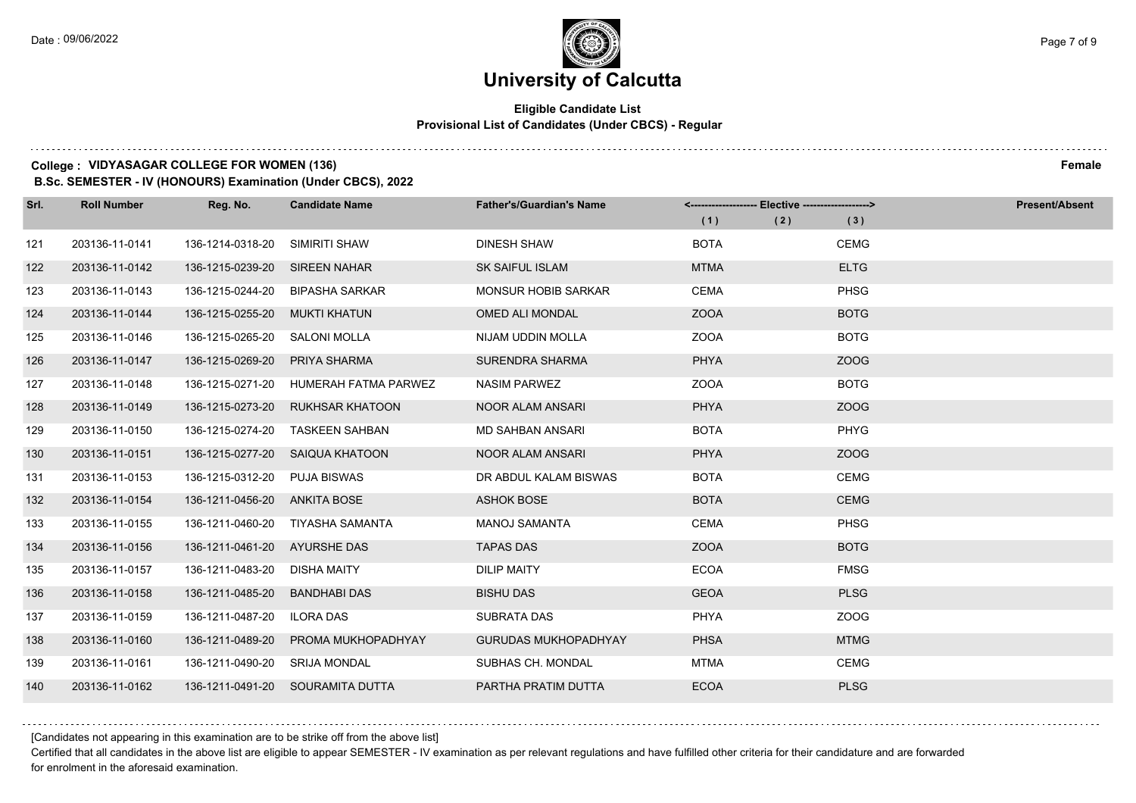### **Eligible Candidate List Provisional List of Candidates (Under CBCS) - Regular**

#### **College : VIDYASAGAR COLLEGE FOR WOMEN (136) Female**

**B.Sc. SEMESTER - IV (HONOURS) Examination (Under CBCS), 2022**

| Srl. | <b>Roll Number</b> | Reg. No.                      | <b>Candidate Name</b>                 | <b>Father's/Guardian's Name</b> |             | <------------------- Elective ------------------> |             | <b>Present/Absent</b> |
|------|--------------------|-------------------------------|---------------------------------------|---------------------------------|-------------|---------------------------------------------------|-------------|-----------------------|
|      |                    |                               |                                       |                                 | (1)         | (2)                                               | (3)         |                       |
| 121  | 203136-11-0141     | 136-1214-0318-20              | SIMIRITI SHAW                         | <b>DINESH SHAW</b>              | <b>BOTA</b> |                                                   | <b>CEMG</b> |                       |
| 122  | 203136-11-0142     | 136-1215-0239-20 SIREEN NAHAR |                                       | <b>SK SAIFUL ISLAM</b>          | <b>MTMA</b> |                                                   | <b>ELTG</b> |                       |
| 123  | 203136-11-0143     |                               | 136-1215-0244-20 BIPASHA SARKAR       | <b>MONSUR HOBIB SARKAR</b>      | <b>CEMA</b> |                                                   | <b>PHSG</b> |                       |
| 124  | 203136-11-0144     | 136-1215-0255-20              | MUKTI KHATUN                          | OMED ALI MONDAL                 | <b>ZOOA</b> |                                                   | <b>BOTG</b> |                       |
| 125  | 203136-11-0146     | 136-1215-0265-20              | SALONI MOLLA                          | NIJAM UDDIN MOLLA               | <b>ZOOA</b> |                                                   | <b>BOTG</b> |                       |
| 126  | 203136-11-0147     | 136-1215-0269-20              | PRIYA SHARMA                          | <b>SURENDRA SHARMA</b>          | <b>PHYA</b> |                                                   | ZOOG        |                       |
| 127  | 203136-11-0148     |                               | 136-1215-0271-20 HUMERAH FATMA PARWEZ | <b>NASIM PARWEZ</b>             | <b>ZOOA</b> |                                                   | <b>BOTG</b> |                       |
| 128  | 203136-11-0149     | 136-1215-0273-20              | RUKHSAR KHATOON                       | <b>NOOR ALAM ANSARI</b>         | <b>PHYA</b> |                                                   | ZOOG        |                       |
| 129  | 203136-11-0150     | 136-1215-0274-20              | <b>TASKEEN SAHBAN</b>                 | <b>MD SAHBAN ANSARI</b>         | <b>BOTA</b> |                                                   | <b>PHYG</b> |                       |
| 130  | 203136-11-0151     |                               | 136-1215-0277-20 SAIQUA KHATOON       | <b>NOOR ALAM ANSARI</b>         | <b>PHYA</b> |                                                   | ZOOG        |                       |
| 131  | 203136-11-0153     | 136-1215-0312-20 PUJA BISWAS  |                                       | DR ABDUL KALAM BISWAS           | <b>BOTA</b> |                                                   | <b>CEMG</b> |                       |
| 132  | 203136-11-0154     | 136-1211-0456-20 ANKITA BOSE  |                                       | <b>ASHOK BOSE</b>               | <b>BOTA</b> |                                                   | <b>CEMG</b> |                       |
| 133  | 203136-11-0155     | 136-1211-0460-20              | TIYASHA SAMANTA                       | <b>MANOJ SAMANTA</b>            | <b>CEMA</b> |                                                   | <b>PHSG</b> |                       |
| 134  | 203136-11-0156     | 136-1211-0461-20 AYURSHE DAS  |                                       | <b>TAPAS DAS</b>                | <b>ZOOA</b> |                                                   | <b>BOTG</b> |                       |
| 135  | 203136-11-0157     | 136-1211-0483-20              | DISHA MAITY                           | <b>DILIP MAITY</b>              | <b>ECOA</b> |                                                   | <b>FMSG</b> |                       |
| 136  | 203136-11-0158     | 136-1211-0485-20              | <b>BANDHABI DAS</b>                   | <b>BISHU DAS</b>                | <b>GEOA</b> |                                                   | <b>PLSG</b> |                       |
| 137  | 203136-11-0159     | 136-1211-0487-20              | <b>ILORA DAS</b>                      | SUBRATA DAS                     | <b>PHYA</b> |                                                   | ZOOG        |                       |
| 138  | 203136-11-0160     | 136-1211-0489-20              | PROMA MUKHOPADHYAY                    | <b>GURUDAS MUKHOPADHYAY</b>     | <b>PHSA</b> |                                                   | <b>MTMG</b> |                       |
| 139  | 203136-11-0161     | 136-1211-0490-20              | SRIJA MONDAL                          | SUBHAS CH. MONDAL               | <b>MTMA</b> |                                                   | <b>CEMG</b> |                       |
| 140  | 203136-11-0162     |                               | 136-1211-0491-20 SOURAMITA DUTTA      | PARTHA PRATIM DUTTA             | <b>ECOA</b> |                                                   | <b>PLSG</b> |                       |

[Candidates not appearing in this examination are to be strike off from the above list]

Certified that all candidates in the above list are eligible to appear SEMESTER - IV examination as per relevant regulations and have fulfilled other criteria for their candidature and are forwarded for enrolment in the aforesaid examination.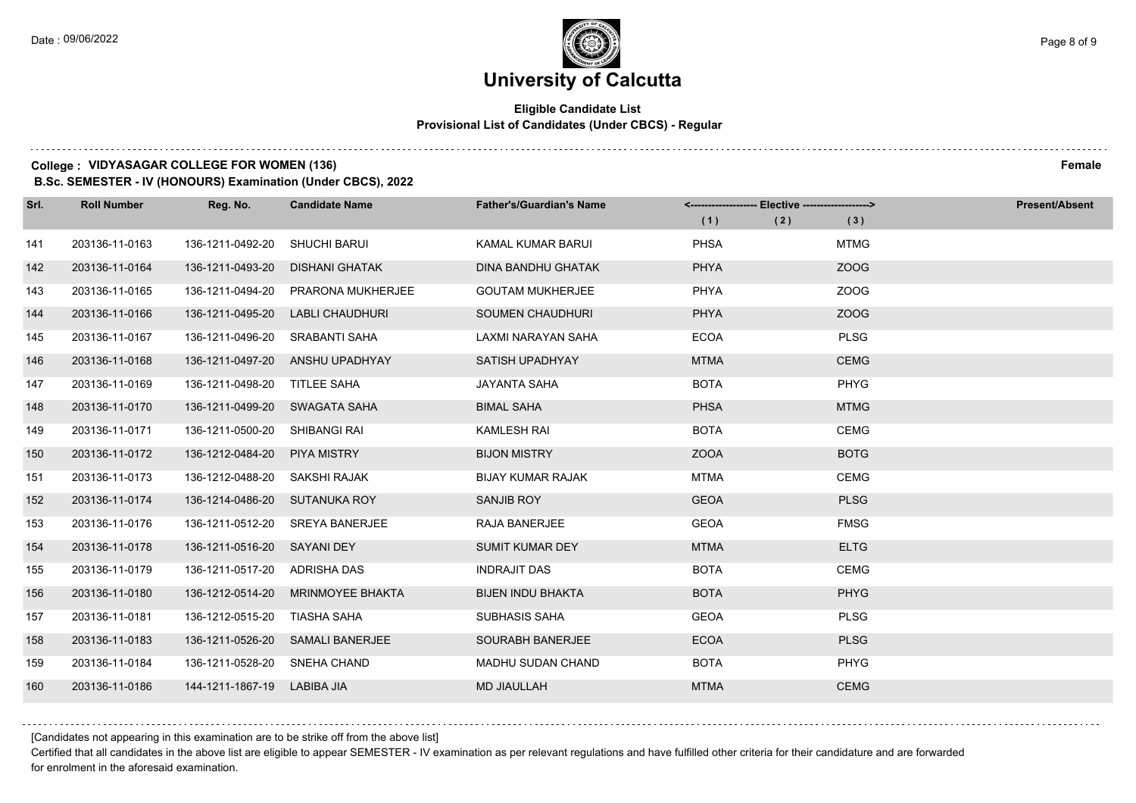### **Eligible Candidate List Provisional List of Candidates (Under CBCS) - Regular**

#### **College : VIDYASAGAR COLLEGE FOR WOMEN (136) Female**

**B.Sc. SEMESTER - IV (HONOURS) Examination (Under CBCS), 2022**

| Srl. | <b>Roll Number</b> | Reg. No.                      | <b>Candidate Name</b>    | <b>Father's/Guardian's Name</b> | <-------------------- Elective -------------------> |             | <b>Present/Absent</b> |
|------|--------------------|-------------------------------|--------------------------|---------------------------------|-----------------------------------------------------|-------------|-----------------------|
|      |                    |                               |                          |                                 | (1)<br>(2)                                          | (3)         |                       |
| 141  | 203136-11-0163     | 136-1211-0492-20              | <b>SHUCHI BARUI</b>      | KAMAL KUMAR BARUI               | <b>PHSA</b>                                         | <b>MTMG</b> |                       |
| 142  | 203136-11-0164     | 136-1211-0493-20              | <b>DISHANI GHATAK</b>    | <b>DINA BANDHU GHATAK</b>       | PHYA                                                | ZOOG        |                       |
| 143  | 203136-11-0165     | 136-1211-0494-20              | <b>PRARONA MUKHERJEE</b> | <b>GOUTAM MUKHERJEE</b>         | <b>PHYA</b>                                         | ZOOG        |                       |
| 144  | 203136-11-0166     | 136-1211-0495-20              | LABLI CHAUDHURI          | SOUMEN CHAUDHURI                | <b>PHYA</b>                                         | ZOOG        |                       |
| 145  | 203136-11-0167     | 136-1211-0496-20              | <b>SRABANTI SAHA</b>     | LAXMI NARAYAN SAHA              | <b>ECOA</b>                                         | <b>PLSG</b> |                       |
| 146  | 203136-11-0168     | 136-1211-0497-20              | ANSHU UPADHYAY           | <b>SATISH UPADHYAY</b>          | <b>MTMA</b>                                         | <b>CEMG</b> |                       |
| 147  | 203136-11-0169     | 136-1211-0498-20              | TITLEE SAHA              | <b>JAYANTA SAHA</b>             | <b>BOTA</b>                                         | <b>PHYG</b> |                       |
| 148  | 203136-11-0170     | 136-1211-0499-20 SWAGATA SAHA |                          | <b>BIMAL SAHA</b>               | <b>PHSA</b>                                         | <b>MTMG</b> |                       |
| 149  | 203136-11-0171     | 136-1211-0500-20              | SHIBANGI RAI             | <b>KAMLESH RAI</b>              | <b>BOTA</b>                                         | <b>CEMG</b> |                       |
| 150  | 203136-11-0172     | 136-1212-0484-20              | <b>PIYA MISTRY</b>       | <b>BIJON MISTRY</b>             | <b>ZOOA</b>                                         | <b>BOTG</b> |                       |
| 151  | 203136-11-0173     | 136-1212-0488-20 SAKSHI RAJAK |                          | <b>BIJAY KUMAR RAJAK</b>        | <b>MTMA</b>                                         | <b>CEMG</b> |                       |
| 152  | 203136-11-0174     | 136-1214-0486-20 SUTANUKA ROY |                          | SANJIB ROY                      | <b>GEOA</b>                                         | <b>PLSG</b> |                       |
| 153  | 203136-11-0176     | 136-1211-0512-20              | <b>SREYA BANERJEE</b>    | RAJA BANERJEE                   | <b>GEOA</b>                                         | <b>FMSG</b> |                       |
| 154  | 203136-11-0178     | 136-1211-0516-20 SAYANI DEY   |                          | <b>SUMIT KUMAR DEY</b>          | <b>MTMA</b>                                         | <b>ELTG</b> |                       |
| 155  | 203136-11-0179     | 136-1211-0517-20 ADRISHA DAS  |                          | <b>INDRAJIT DAS</b>             | <b>BOTA</b>                                         | <b>CEMG</b> |                       |
| 156  | 203136-11-0180     | 136-1212-0514-20              | MRINMOYEE BHAKTA         | <b>BIJEN INDU BHAKTA</b>        | <b>BOTA</b>                                         | <b>PHYG</b> |                       |
| 157  | 203136-11-0181     | 136-1212-0515-20              | TIASHA SAHA              | <b>SUBHASIS SAHA</b>            | <b>GEOA</b>                                         | <b>PLSG</b> |                       |
| 158  | 203136-11-0183     | 136-1211-0526-20              | <b>SAMALI BANERJEE</b>   | SOURABH BANERJEE                | <b>ECOA</b>                                         | <b>PLSG</b> |                       |
| 159  | 203136-11-0184     | 136-1211-0528-20              | SNEHA CHAND              | <b>MADHU SUDAN CHAND</b>        | <b>BOTA</b>                                         | <b>PHYG</b> |                       |
| 160  | 203136-11-0186     | 144-1211-1867-19 LABIBA JIA   |                          | <b>MD JIAULLAH</b>              | <b>MTMA</b>                                         | <b>CEMG</b> |                       |

[Candidates not appearing in this examination are to be strike off from the above list]

Certified that all candidates in the above list are eligible to appear SEMESTER - IV examination as per relevant regulations and have fulfilled other criteria for their candidature and are forwarded for enrolment in the aforesaid examination.